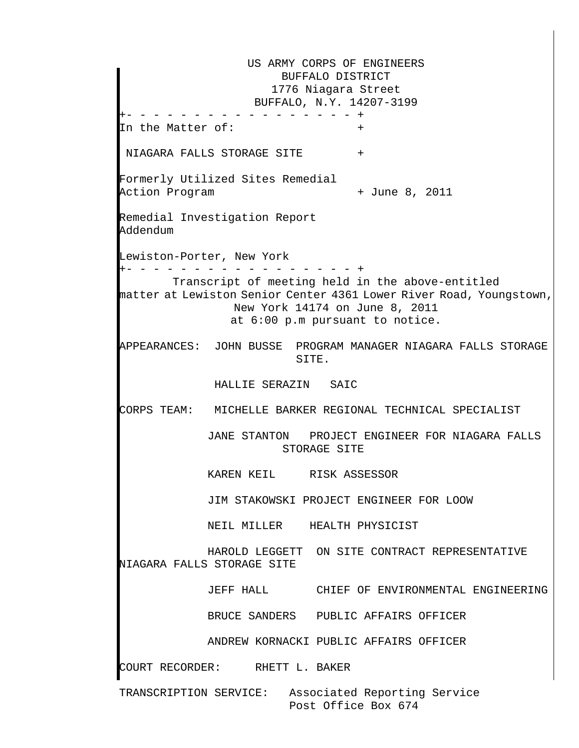US ARMY CORPS OF ENGINEERS BUFFALO DISTRICT 1776 Niagara Street BUFFALO, N.Y. 14207-3199 +- - - - - - - - - - - - - - - - - + In the Matter of: NIAGARA FALLS STORAGE SITE + Formerly Utilized Sites Remedial<br>Action Program + June 8, 2011 Remedial Investigation Report Addendum Lewiston-Porter, New York<br>+- - - - - - - - - - - - -+- - - - - - - - - - - - - - - - - + Transcript of meeting held in the above-entitled matter at Lewiston Senior Center 4361 Lower River Road, Youngstown, New York 14174 on June 8, 2011 at 6:00 p.m pursuant to notice. APPEARANCES: JOHN BUSSE PROGRAM MANAGER NIAGARA FALLS STORAGE SITE. HALLIE SERAZIN SAIC CORPS TEAM: MICHELLE BARKER REGIONAL TECHNICAL SPECIALIST  $\mathbf{L}$  JANE STANTON PROJECT ENGINEER FOR NIAGARA FALLS STORAGE SITE  $\mathbf{L}$  KAREN KEIL RISK ASSESSOR JIM STAKOWSKI PROJECT ENGINEER FOR LOOW  $\mathbf{L}$  NEIL MILLER HEALTH PHYSICIST  $\mathbf{L}$  HAROLD LEGGETT ON SITE CONTRACT REPRESENTATIVE NIAGARA FALLS STORAGE SITE  $\mathbf{L}$  JEFF HALL CHIEF OF ENVIRONMENTAL ENGINEERING  $\mathbf{L}$  BRUCE SANDERS PUBLIC AFFAIRS OFFICER  $\mathbf{L}$  ANDREW KORNACKI PUBLIC AFFAIRS OFFICER COURT RECORDER: RHETT L. BAKER TRANSCRIPTION SERVICE: Associated Reporting Service

Post Office Box 674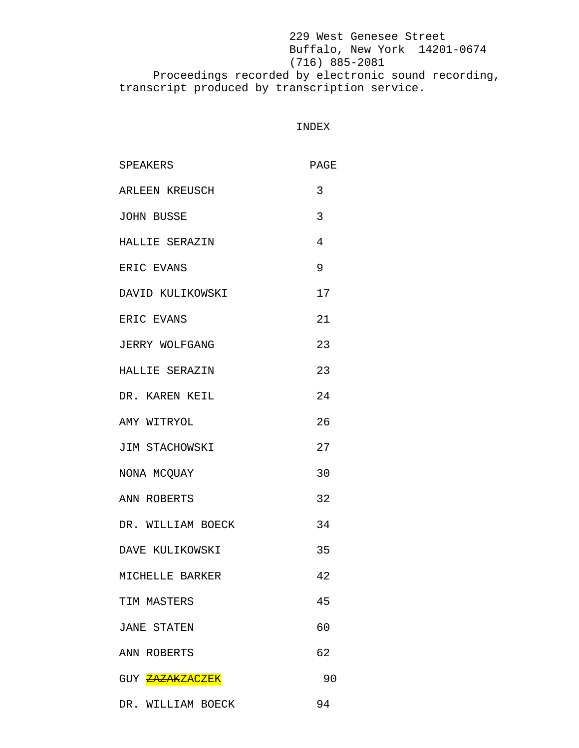## 229 West Genesee Street Buffalo, New York 14201-0674 (716) 885-2081 Proceedings recorded by electronic sound recording, transcript produced by transcription service.

## INDEX

| SPEAKERS                     | PAGE |
|------------------------------|------|
| ARLEEN KREUSCH               | 3    |
| JOHN BUSSE                   | 3    |
| HALLIE SERAZIN               | 4    |
| ERIC EVANS                   | 9    |
| DAVID KULIKOWSKI             | 17   |
| ERIC EVANS                   | 21   |
| JERRY WOLFGANG               | 23   |
| HALLIE SERAZIN               | 23   |
| DR. KAREN KEIL               | 24   |
| AMY WITRYOL                  | 26   |
| JIM STACHOWSKI               | 27   |
| NONA MCQUAY                  | 30   |
| ANN ROBERTS                  | 32   |
| DR. WILLIAM BOECK            | 34   |
| DAVE KULIKOWSKI              | 35   |
| MICHELLE BARKER              | 42   |
| TIM MASTERS                  | 45   |
| <b>JANE STATEN</b>           | 60   |
| ANN ROBERTS                  | 62   |
| GUY <mark>ZAZAKZACZEK</mark> | 90   |
|                              |      |

DR. WILLIAM BOECK 94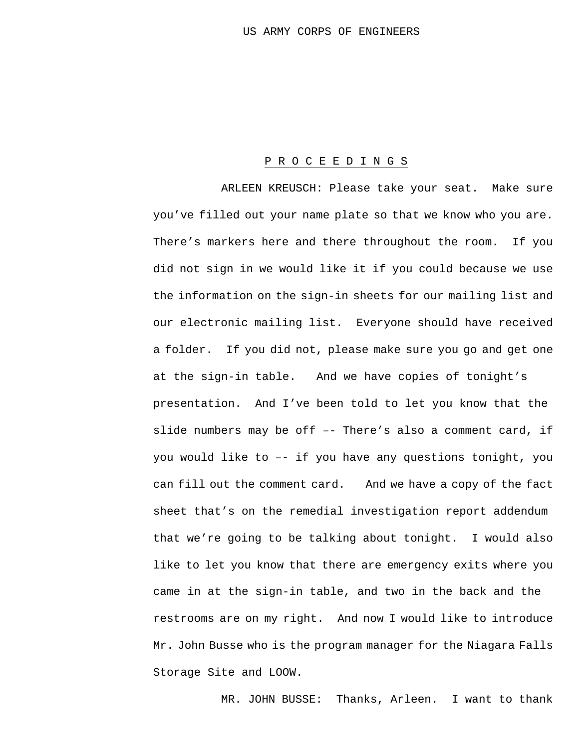## P R O C E E D I N G S

ARLEEN KREUSCH: Please take your seat. Make sure you've filled out your name plate so that we know who you are. There's markers here and there throughout the room. If you did not sign in we would like it if you could because we use the information on the sign-in sheets for our mailing list and our electronic mailing list. Everyone should have received a folder. If you did not, please make sure you go and get one at the sign-in table. And we have copies of tonight's presentation. And I've been told to let you know that the slide numbers may be off -- There's also a comment card, if you would like to –- if you have any questions tonight, you can fill out the comment card. And we have a copy of the fact sheet that's on the remedial investigation report addendum that we're going to be talking about tonight. I would also like to let you know that there are emergency exits where you came in at the sign-in table, and two in the back and the restrooms are on my right. And now I would like to introduce Mr. John Busse who is the program manager for the Niagara Falls Storage Site and LOOW.

MR. JOHN BUSSE: Thanks, Arleen. I want to thank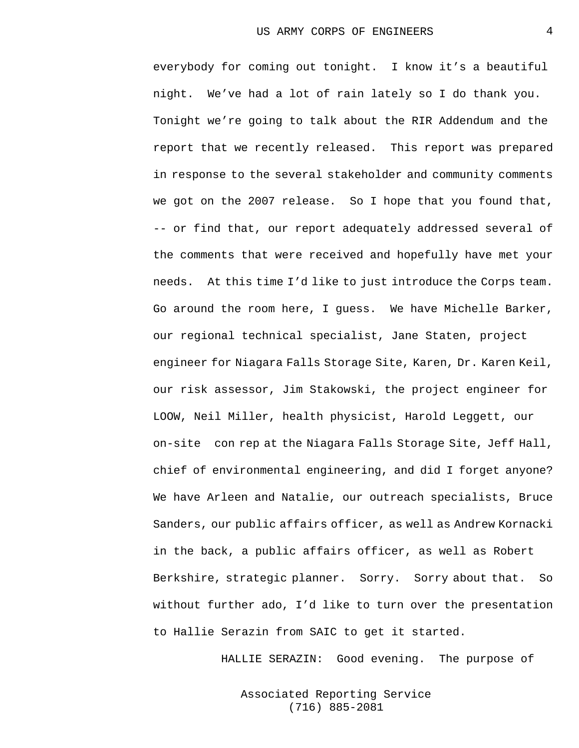everybody for coming out tonight. I know it's a beautiful night. We've had a lot of rain lately so I do thank you. Tonight we're going to talk about the RIR Addendum and the report that we recently released. This report was prepared in response to the several stakeholder and community comments we got on the 2007 release. So I hope that you found that, -- or find that, our report adequately addressed several of the comments that were received and hopefully have met your needs. At this time I'd like to just introduce the Corps team. Go around the room here, I guess. We have Michelle Barker, our regional technical specialist, Jane Staten, project engineer for Niagara Falls Storage Site, Karen, Dr. Karen Keil, our risk assessor, Jim Stakowski, the project engineer for LOOW, Neil Miller, health physicist, Harold Leggett, our on-site con rep at the Niagara Falls Storage Site, Jeff Hall, chief of environmental engineering, and did I forget anyone? We have Arleen and Natalie, our outreach specialists, Bruce Sanders, our public affairs officer, as well as Andrew Kornacki in the back, a public affairs officer, as well as Robert Berkshire, strategic planner. Sorry. Sorry about that. So without further ado, I'd like to turn over the presentation to Hallie Serazin from SAIC to get it started.

HALLIE SERAZIN: Good evening. The purpose of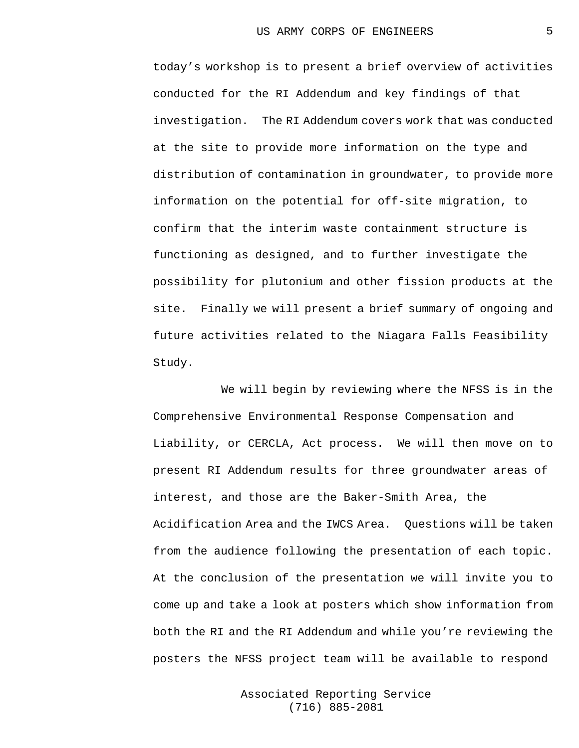today's workshop is to present a brief overview of activities conducted for the RI Addendum and key findings of that investigation. The RI Addendum covers work that was conducted at the site to provide more information on the type and distribution of contamination in groundwater, to provide more information on the potential for off-site migration, to confirm that the interim waste containment structure is functioning as designed, and to further investigate the possibility for plutonium and other fission products at the site. Finally we will present a brief summary of ongoing and future activities related to the Niagara Falls Feasibility Study.

We will begin by reviewing where the NFSS is in the Comprehensive Environmental Response Compensation and Liability, or CERCLA, Act process. We will then move on to present RI Addendum results for three groundwater areas of interest, and those are the Baker-Smith Area, the Acidification Area and the IWCS Area. Questions will be taken from the audience following the presentation of each topic. At the conclusion of the presentation we will invite you to come up and take a look at posters which show information from both the RI and the RI Addendum and while you're reviewing the posters the NFSS project team will be available to respond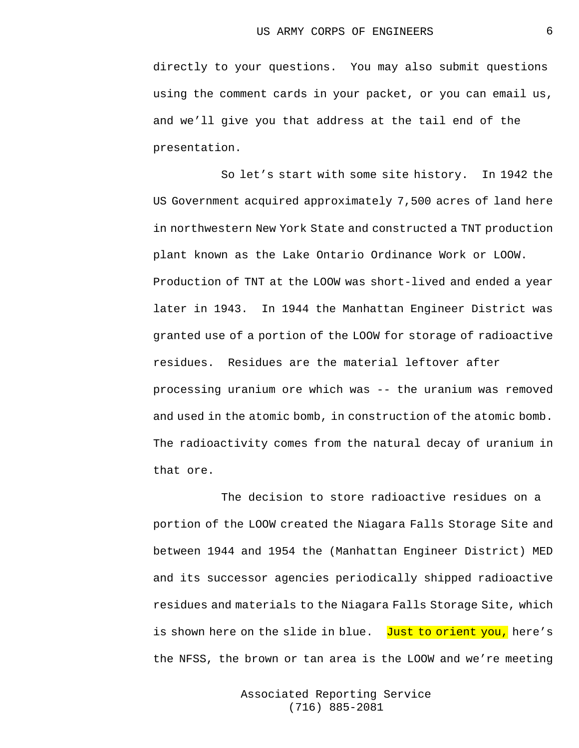directly to your questions. You may also submit questions using the comment cards in your packet, or you can email us, and we'll give you that address at the tail end of the presentation.

So let's start with some site history. In 1942 the US Government acquired approximately 7,500 acres of land here in northwestern New York State and constructed a TNT production plant known as the Lake Ontario Ordinance Work or LOOW. Production of TNT at the LOOW was short-lived and ended a year later in 1943. In 1944 the Manhattan Engineer District was granted use of a portion of the LOOW for storage of radioactive residues. Residues are the material leftover after processing uranium ore which was -- the uranium was removed and used in the atomic bomb, in construction of the atomic bomb. The radioactivity comes from the natural decay of uranium in that ore.

The decision to store radioactive residues on a portion of the LOOW created the Niagara Falls Storage Site and between 1944 and 1954 the (Manhattan Engineer District) MED and its successor agencies periodically shipped radioactive residues and materials to the Niagara Falls Storage Site, which is shown here on the slide in blue. Just to orient you, here's the NFSS, the brown or tan area is the LOOW and we're meeting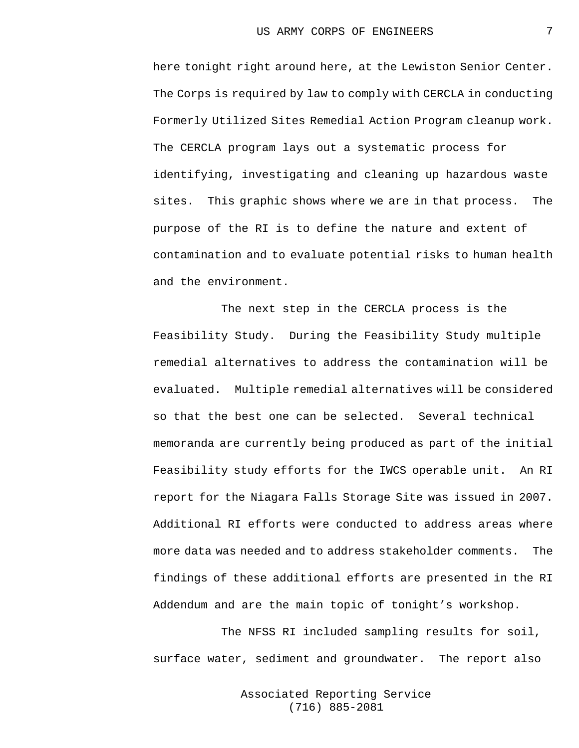here tonight right around here, at the Lewiston Senior Center. The Corps is required by law to comply with CERCLA in conducting Formerly Utilized Sites Remedial Action Program cleanup work. The CERCLA program lays out a systematic process for identifying, investigating and cleaning up hazardous waste sites. This graphic shows where we are in that process. The purpose of the RI is to define the nature and extent of contamination and to evaluate potential risks to human health and the environment.

The next step in the CERCLA process is the Feasibility Study. During the Feasibility Study multiple remedial alternatives to address the contamination will be evaluated. Multiple remedial alternatives will be considered so that the best one can be selected. Several technical memoranda are currently being produced as part of the initial Feasibility study efforts for the IWCS operable unit. An RI report for the Niagara Falls Storage Site was issued in 2007. Additional RI efforts were conducted to address areas where more data was needed and to address stakeholder comments. The findings of these additional efforts are presented in the RI Addendum and are the main topic of tonight's workshop.

The NFSS RI included sampling results for soil, surface water, sediment and groundwater. The report also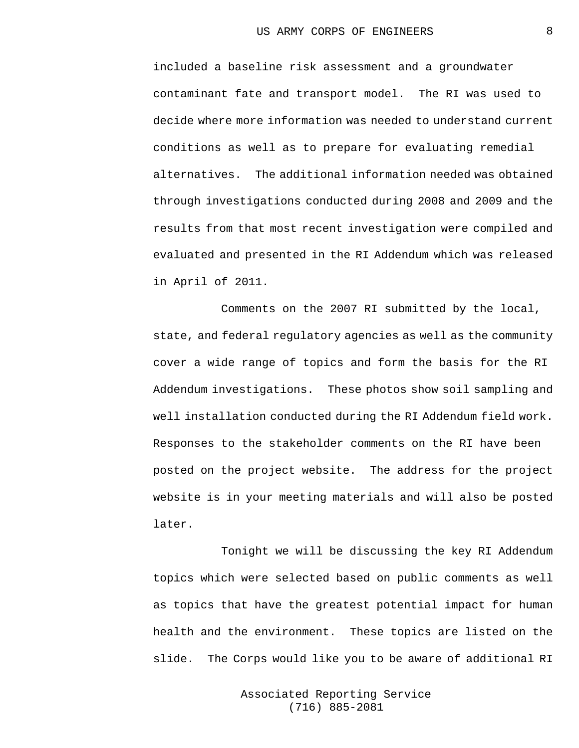included a baseline risk assessment and a groundwater contaminant fate and transport model. The RI was used to decide where more information was needed to understand current conditions as well as to prepare for evaluating remedial alternatives. The additional information needed was obtained through investigations conducted during 2008 and 2009 and the results from that most recent investigation were compiled and evaluated and presented in the RI Addendum which was released in April of 2011.

Comments on the 2007 RI submitted by the local, state, and federal regulatory agencies as well as the community cover a wide range of topics and form the basis for the RI Addendum investigations. These photos show soil sampling and well installation conducted during the RI Addendum field work. Responses to the stakeholder comments on the RI have been posted on the project website. The address for the project website is in your meeting materials and will also be posted later.

Tonight we will be discussing the key RI Addendum topics which were selected based on public comments as well as topics that have the greatest potential impact for human health and the environment. These topics are listed on the slide. The Corps would like you to be aware of additional RI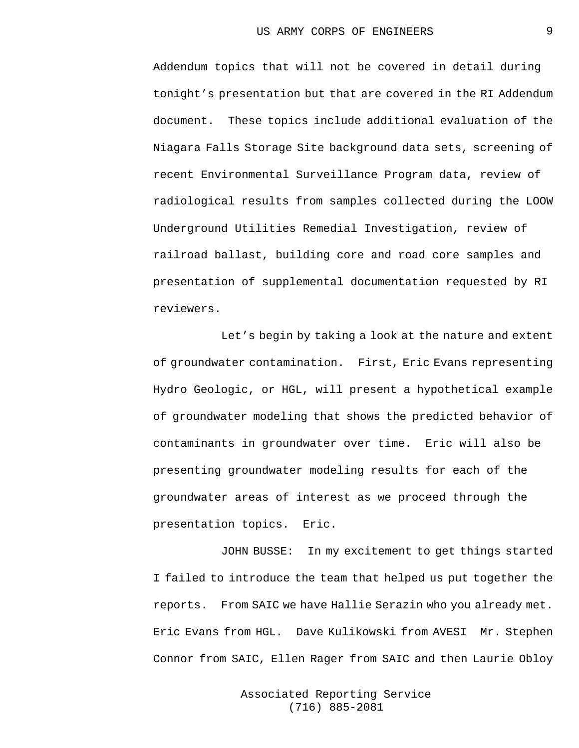Addendum topics that will not be covered in detail during tonight's presentation but that are covered in the RI Addendum document. These topics include additional evaluation of the Niagara Falls Storage Site background data sets, screening of recent Environmental Surveillance Program data, review of radiological results from samples collected during the LOOW Underground Utilities Remedial Investigation, review of railroad ballast, building core and road core samples and presentation of supplemental documentation requested by RI reviewers.

Let's begin by taking a look at the nature and extent of groundwater contamination. First, Eric Evans representing Hydro Geologic, or HGL, will present a hypothetical example of groundwater modeling that shows the predicted behavior of contaminants in groundwater over time. Eric will also be presenting groundwater modeling results for each of the groundwater areas of interest as we proceed through the presentation topics. Eric.

JOHN BUSSE: In my excitement to get things started I failed to introduce the team that helped us put together the reports. From SAIC we have Hallie Serazin who you already met. Eric Evans from HGL. Dave Kulikowski from AVESI Mr. Stephen Connor from SAIC, Ellen Rager from SAIC and then Laurie Obloy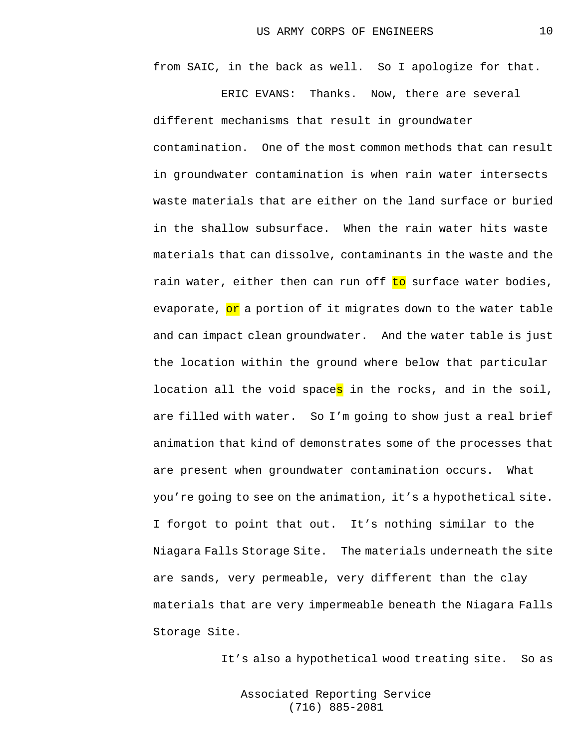from SAIC, in the back as well. So I apologize for that.

ERIC EVANS: Thanks. Now, there are several different mechanisms that result in groundwater contamination. One of the most common methods that can result in groundwater contamination is when rain water intersects waste materials that are either on the land surface or buried in the shallow subsurface. When the rain water hits waste materials that can dissolve, contaminants in the waste and the rain water, either then can run off to surface water bodies, evaporate,  $or$  a portion of it migrates down to the water table and can impact clean groundwater. And the water table is just the location within the ground where below that particular location all the void spaces in the rocks, and in the soil, are filled with water. So I'm going to show just a real brief animation that kind of demonstrates some of the processes that are present when groundwater contamination occurs. What you're going to see on the animation, it's a hypothetical site. I forgot to point that out. It's nothing similar to the Niagara Falls Storage Site. The materials underneath the site are sands, very permeable, very different than the clay materials that are very impermeable beneath the Niagara Falls Storage Site.

It's also a hypothetical wood treating site. So as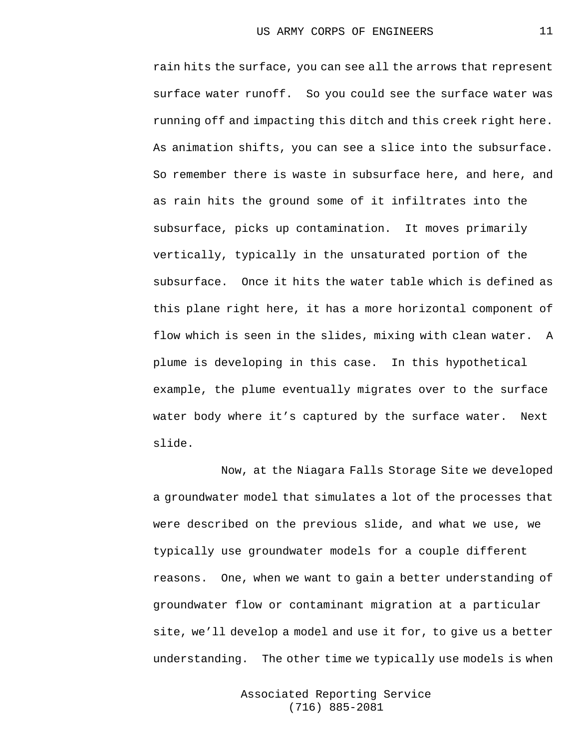rain hits the surface, you can see all the arrows that represent surface water runoff. So you could see the surface water was running off and impacting this ditch and this creek right here. As animation shifts, you can see a slice into the subsurface. So remember there is waste in subsurface here, and here, and as rain hits the ground some of it infiltrates into the subsurface, picks up contamination. It moves primarily vertically, typically in the unsaturated portion of the subsurface. Once it hits the water table which is defined as this plane right here, it has a more horizontal component of flow which is seen in the slides, mixing with clean water. A plume is developing in this case. In this hypothetical example, the plume eventually migrates over to the surface water body where it's captured by the surface water. Next slide.

Now, at the Niagara Falls Storage Site we developed a groundwater model that simulates a lot of the processes that were described on the previous slide, and what we use, we typically use groundwater models for a couple different reasons. One, when we want to gain a better understanding of groundwater flow or contaminant migration at a particular site, we'll develop a model and use it for, to give us a better understanding. The other time we typically use models is when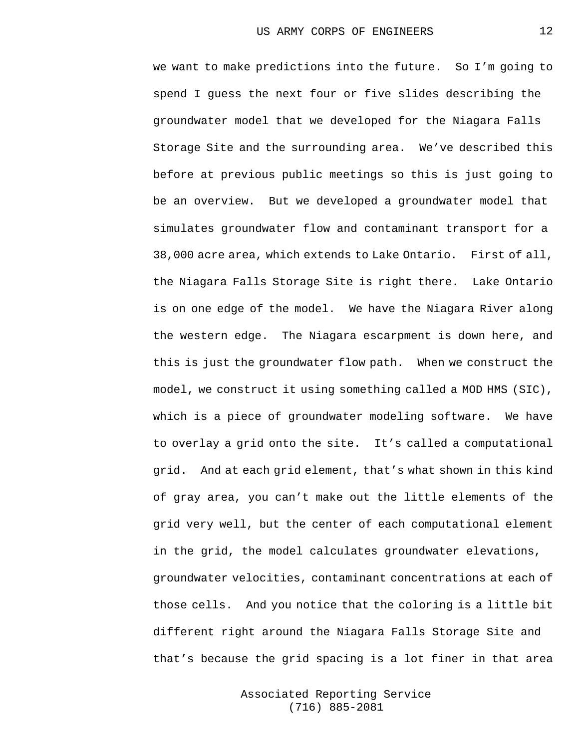we want to make predictions into the future. So I'm going to spend I guess the next four or five slides describing the groundwater model that we developed for the Niagara Falls Storage Site and the surrounding area. We've described this before at previous public meetings so this is just going to be an overview. But we developed a groundwater model that simulates groundwater flow and contaminant transport for a 38,000 acre area, which extends to Lake Ontario. First of all, the Niagara Falls Storage Site is right there. Lake Ontario is on one edge of the model. We have the Niagara River along the western edge. The Niagara escarpment is down here, and this is just the groundwater flow path. When we construct the model, we construct it using something called a MOD HMS (SIC), which is a piece of groundwater modeling software. We have to overlay a grid onto the site. It's called a computational grid. And at each grid element, that's what shown in this kind of gray area, you can't make out the little elements of the grid very well, but the center of each computational element in the grid, the model calculates groundwater elevations, groundwater velocities, contaminant concentrations at each of those cells. And you notice that the coloring is a little bit different right around the Niagara Falls Storage Site and that's because the grid spacing is a lot finer in that area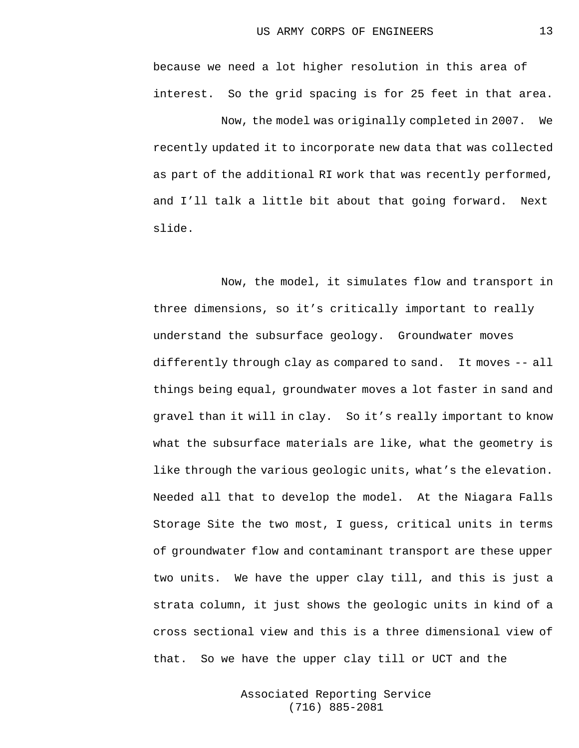because we need a lot higher resolution in this area of interest. So the grid spacing is for 25 feet in that area.

Now, the model was originally completed in 2007. We recently updated it to incorporate new data that was collected as part of the additional RI work that was recently performed, and I'll talk a little bit about that going forward. Next slide.

Now, the model, it simulates flow and transport in three dimensions, so it's critically important to really understand the subsurface geology. Groundwater moves differently through clay as compared to sand. It moves -- all things being equal, groundwater moves a lot faster in sand and gravel than it will in clay. So it's really important to know what the subsurface materials are like, what the geometry is like through the various geologic units, what's the elevation. Needed all that to develop the model. At the Niagara Falls Storage Site the two most, I guess, critical units in terms of groundwater flow and contaminant transport are these upper two units. We have the upper clay till, and this is just a strata column, it just shows the geologic units in kind of a cross sectional view and this is a three dimensional view of that. So we have the upper clay till or UCT and the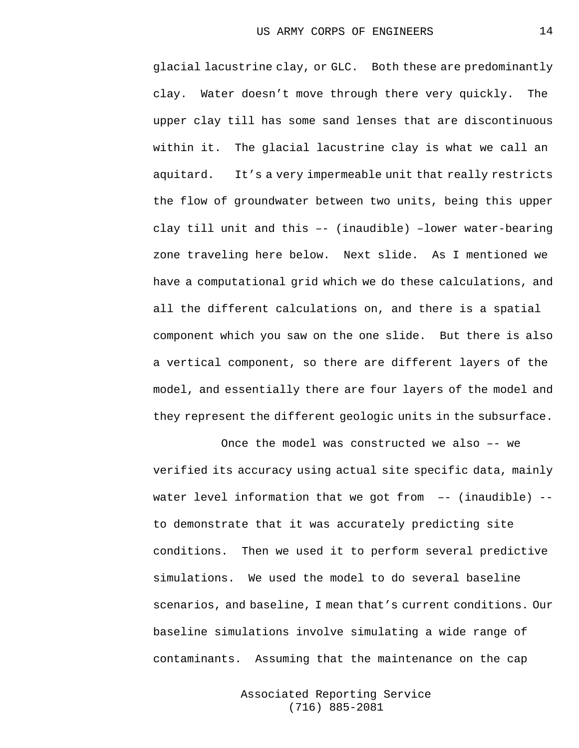glacial lacustrine clay, or GLC. Both these are predominantly clay. Water doesn't move through there very quickly. The upper clay till has some sand lenses that are discontinuous within it. The glacial lacustrine clay is what we call an aquitard. It's a very impermeable unit that really restricts the flow of groundwater between two units, being this upper clay till unit and this –- (inaudible) –lower water-bearing zone traveling here below. Next slide. As I mentioned we have a computational grid which we do these calculations, and all the different calculations on, and there is a spatial component which you saw on the one slide. But there is also a vertical component, so there are different layers of the model, and essentially there are four layers of the model and they represent the different geologic units in the subsurface.

Once the model was constructed we also –- we verified its accuracy using actual site specific data, mainly water level information that we got from  $-$ - (inaudible)  $-$ to demonstrate that it was accurately predicting site conditions. Then we used it to perform several predictive simulations. We used the model to do several baseline scenarios, and baseline, I mean that's current conditions. Our baseline simulations involve simulating a wide range of contaminants. Assuming that the maintenance on the cap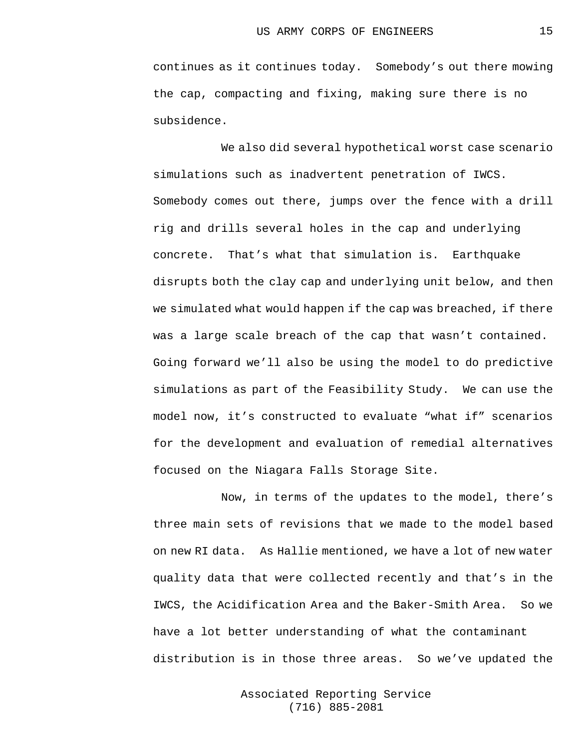continues as it continues today. Somebody's out there mowing the cap, compacting and fixing, making sure there is no subsidence.

We also did several hypothetical worst case scenario simulations such as inadvertent penetration of IWCS. Somebody comes out there, jumps over the fence with a drill rig and drills several holes in the cap and underlying concrete. That's what that simulation is. Earthquake disrupts both the clay cap and underlying unit below, and then we simulated what would happen if the cap was breached, if there was a large scale breach of the cap that wasn't contained. Going forward we'll also be using the model to do predictive simulations as part of the Feasibility Study. We can use the model now, it's constructed to evaluate "what if" scenarios for the development and evaluation of remedial alternatives focused on the Niagara Falls Storage Site.

Now, in terms of the updates to the model, there's three main sets of revisions that we made to the model based on new RI data. As Hallie mentioned, we have a lot of new water quality data that were collected recently and that's in the IWCS, the Acidification Area and the Baker-Smith Area. So we have a lot better understanding of what the contaminant distribution is in those three areas. So we've updated the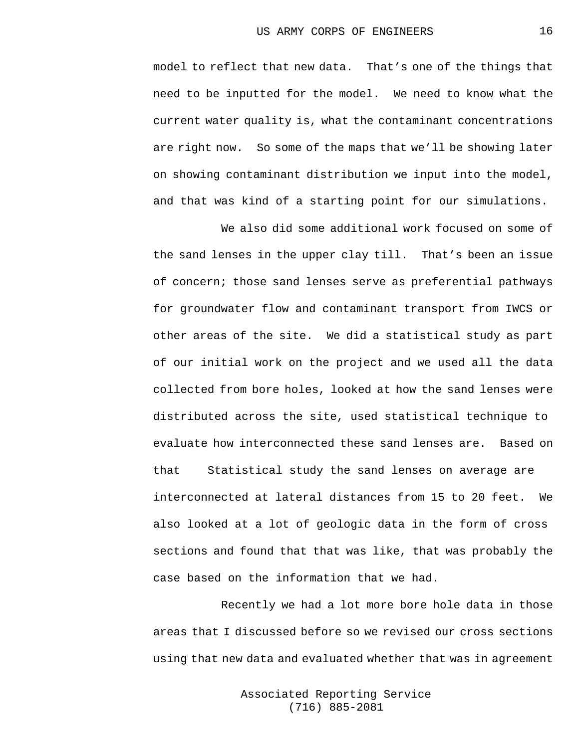model to reflect that new data. That's one of the things that need to be inputted for the model. We need to know what the current water quality is, what the contaminant concentrations are right now. So some of the maps that we'll be showing later on showing contaminant distribution we input into the model, and that was kind of a starting point for our simulations.

We also did some additional work focused on some of the sand lenses in the upper clay till. That's been an issue of concern; those sand lenses serve as preferential pathways for groundwater flow and contaminant transport from IWCS or other areas of the site. We did a statistical study as part of our initial work on the project and we used all the data collected from bore holes, looked at how the sand lenses were distributed across the site, used statistical technique to evaluate how interconnected these sand lenses are. Based on that Statistical study the sand lenses on average are interconnected at lateral distances from 15 to 20 feet. We also looked at a lot of geologic data in the form of cross sections and found that that was like, that was probably the case based on the information that we had.

Recently we had a lot more bore hole data in those areas that I discussed before so we revised our cross sections using that new data and evaluated whether that was in agreement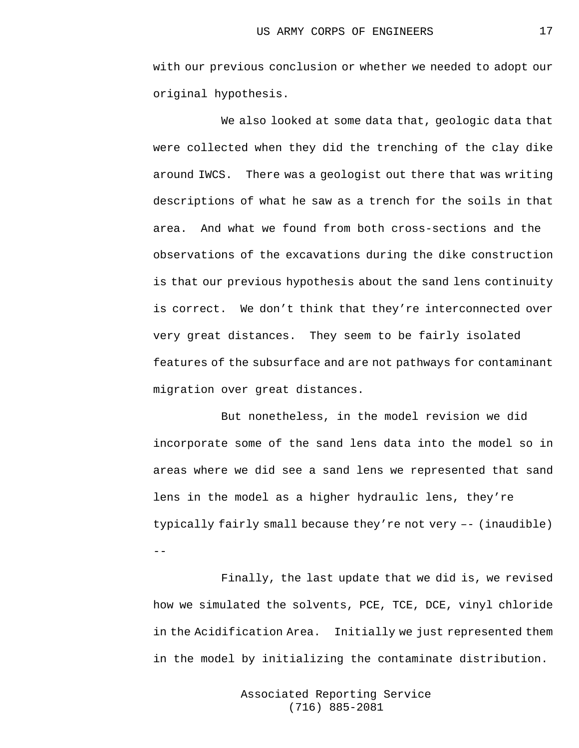with our previous conclusion or whether we needed to adopt our original hypothesis.

We also looked at some data that, geologic data that were collected when they did the trenching of the clay dike around IWCS. There was a geologist out there that was writing descriptions of what he saw as a trench for the soils in that area. And what we found from both cross-sections and the observations of the excavations during the dike construction is that our previous hypothesis about the sand lens continuity is correct. We don't think that they're interconnected over very great distances. They seem to be fairly isolated features of the subsurface and are not pathways for contaminant migration over great distances.

But nonetheless, in the model revision we did incorporate some of the sand lens data into the model so in areas where we did see a sand lens we represented that sand lens in the model as a higher hydraulic lens, they're typically fairly small because they're not very –- (inaudible) --

Finally, the last update that we did is, we revised how we simulated the solvents, PCE, TCE, DCE, vinyl chloride in the Acidification Area. Initially we just represented them in the model by initializing the contaminate distribution.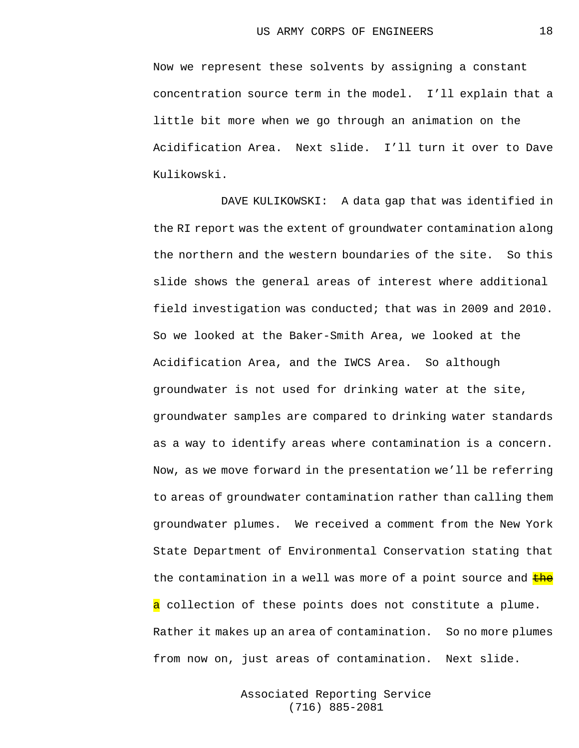Now we represent these solvents by assigning a constant concentration source term in the model. I'll explain that a little bit more when we go through an animation on the Acidification Area. Next slide. I'll turn it over to Dave Kulikowski.

DAVE KULIKOWSKI: A data gap that was identified in the RI report was the extent of groundwater contamination along the northern and the western boundaries of the site. So this slide shows the general areas of interest where additional field investigation was conducted; that was in 2009 and 2010. So we looked at the Baker-Smith Area, we looked at the Acidification Area, and the IWCS Area. So although groundwater is not used for drinking water at the site, groundwater samples are compared to drinking water standards as a way to identify areas where contamination is a concern. Now, as we move forward in the presentation we'll be referring to areas of groundwater contamination rather than calling them groundwater plumes. We received a comment from the New York State Department of Environmental Conservation stating that the contamination in a well was more of a point source and  $\frac{f}{f}$ a collection of these points does not constitute a plume. Rather it makes up an area of contamination. So no more plumes from now on, just areas of contamination. Next slide.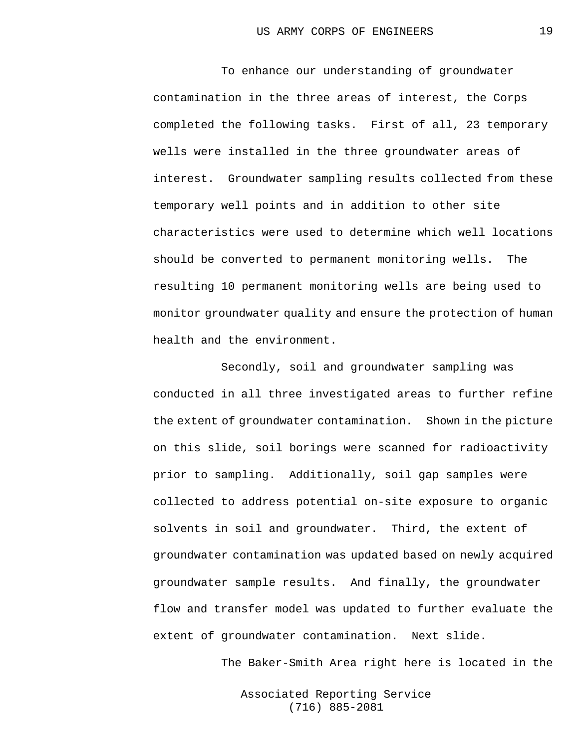To enhance our understanding of groundwater contamination in the three areas of interest, the Corps completed the following tasks. First of all, 23 temporary wells were installed in the three groundwater areas of interest. Groundwater sampling results collected from these temporary well points and in addition to other site characteristics were used to determine which well locations should be converted to permanent monitoring wells. The resulting 10 permanent monitoring wells are being used to monitor groundwater quality and ensure the protection of human health and the environment.

Secondly, soil and groundwater sampling was conducted in all three investigated areas to further refine the extent of groundwater contamination. Shown in the picture on this slide, soil borings were scanned for radioactivity prior to sampling. Additionally, soil gap samples were collected to address potential on-site exposure to organic solvents in soil and groundwater. Third, the extent of groundwater contamination was updated based on newly acquired groundwater sample results. And finally, the groundwater flow and transfer model was updated to further evaluate the extent of groundwater contamination. Next slide.

The Baker-Smith Area right here is located in the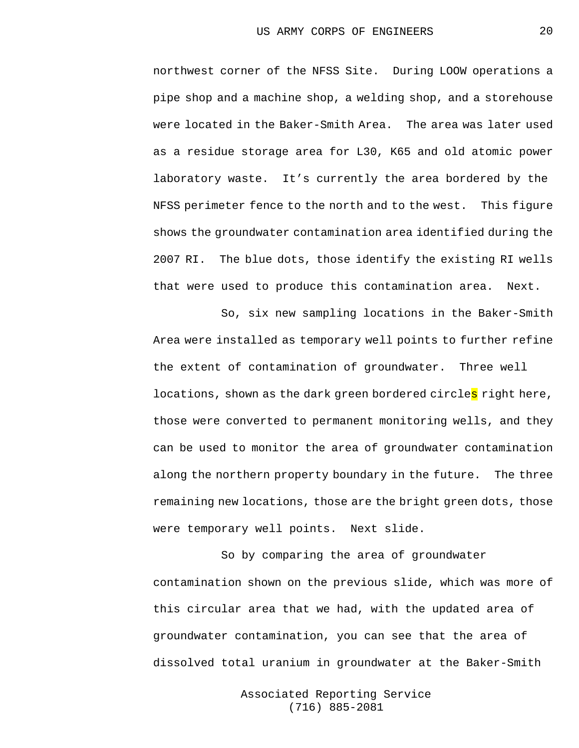northwest corner of the NFSS Site. During LOOW operations a pipe shop and a machine shop, a welding shop, and a storehouse were located in the Baker-Smith Area. The area was later used as a residue storage area for L30, K65 and old atomic power laboratory waste. It's currently the area bordered by the NFSS perimeter fence to the north and to the west. This figure shows the groundwater contamination area identified during the 2007 RI. The blue dots, those identify the existing RI wells that were used to produce this contamination area. Next.

So, six new sampling locations in the Baker-Smith Area were installed as temporary well points to further refine the extent of contamination of groundwater. Three well locations, shown as the dark green bordered circles right here, those were converted to permanent monitoring wells, and they can be used to monitor the area of groundwater contamination along the northern property boundary in the future. The three remaining new locations, those are the bright green dots, those were temporary well points. Next slide.

So by comparing the area of groundwater contamination shown on the previous slide, which was more of this circular area that we had, with the updated area of groundwater contamination, you can see that the area of dissolved total uranium in groundwater at the Baker-Smith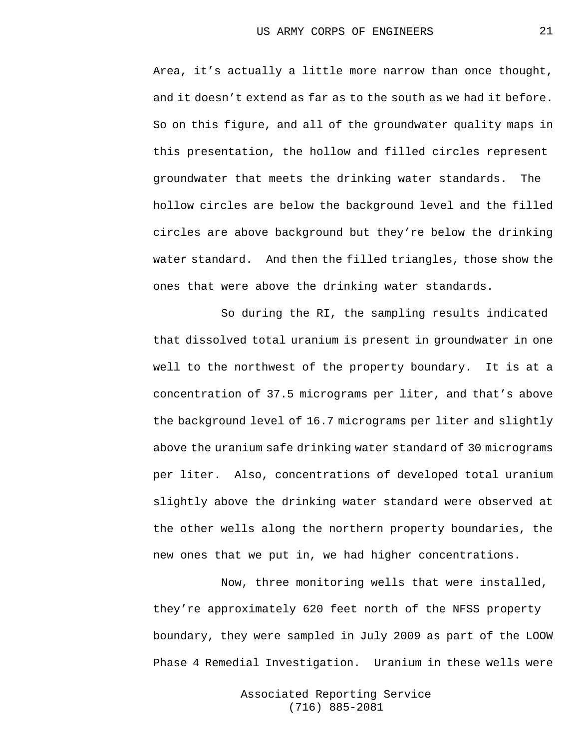Area, it's actually a little more narrow than once thought, and it doesn't extend as far as to the south as we had it before. So on this figure, and all of the groundwater quality maps in this presentation, the hollow and filled circles represent groundwater that meets the drinking water standards. The hollow circles are below the background level and the filled circles are above background but they're below the drinking water standard. And then the filled triangles, those show the ones that were above the drinking water standards.

So during the RI, the sampling results indicated that dissolved total uranium is present in groundwater in one well to the northwest of the property boundary. It is at a concentration of 37.5 micrograms per liter, and that's above the background level of 16.7 micrograms per liter and slightly above the uranium safe drinking water standard of 30 micrograms per liter. Also, concentrations of developed total uranium slightly above the drinking water standard were observed at the other wells along the northern property boundaries, the new ones that we put in, we had higher concentrations.

Now, three monitoring wells that were installed, they're approximately 620 feet north of the NFSS property boundary, they were sampled in July 2009 as part of the LOOW Phase 4 Remedial Investigation. Uranium in these wells were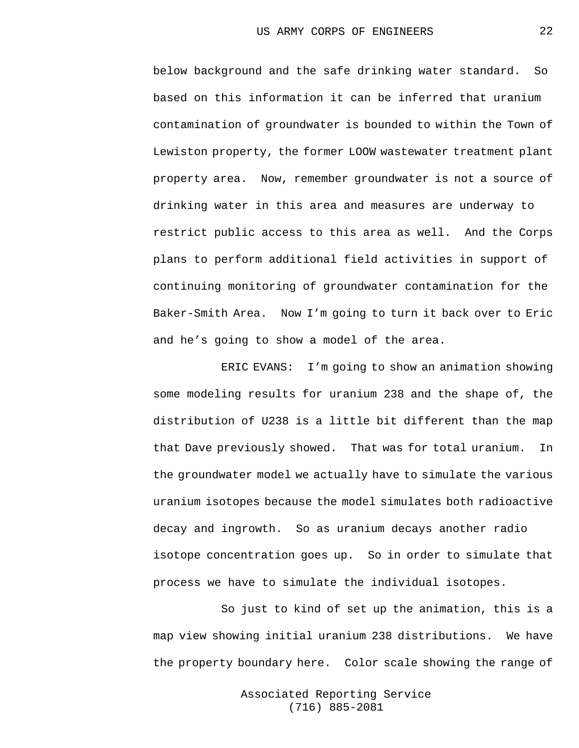below background and the safe drinking water standard. So based on this information it can be inferred that uranium contamination of groundwater is bounded to within the Town of Lewiston property, the former LOOW wastewater treatment plant property area. Now, remember groundwater is not a source of drinking water in this area and measures are underway to restrict public access to this area as well. And the Corps plans to perform additional field activities in support of continuing monitoring of groundwater contamination for the Baker-Smith Area. Now I'm going to turn it back over to Eric and he's going to show a model of the area.

ERIC EVANS: I'm going to show an animation showing some modeling results for uranium 238 and the shape of, the distribution of U238 is a little bit different than the map that Dave previously showed. That was for total uranium. In the groundwater model we actually have to simulate the various uranium isotopes because the model simulates both radioactive decay and ingrowth. So as uranium decays another radio isotope concentration goes up. So in order to simulate that process we have to simulate the individual isotopes.

So just to kind of set up the animation, this is a map view showing initial uranium 238 distributions. We have the property boundary here. Color scale showing the range of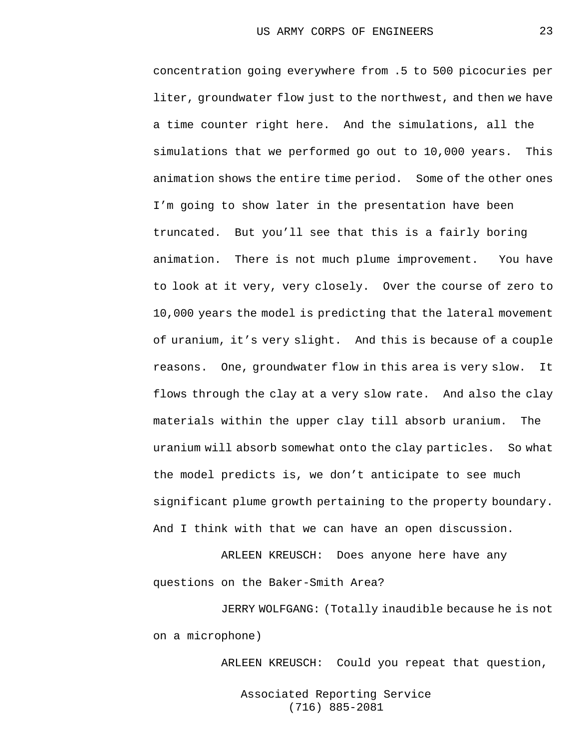concentration going everywhere from .5 to 500 picocuries per liter, groundwater flow just to the northwest, and then we have a time counter right here. And the simulations, all the simulations that we performed go out to 10,000 years. This animation shows the entire time period. Some of the other ones I'm going to show later in the presentation have been truncated. But you'll see that this is a fairly boring animation. There is not much plume improvement. You have to look at it very, very closely. Over the course of zero to 10,000 years the model is predicting that the lateral movement of uranium, it's very slight. And this is because of a couple reasons. One, groundwater flow in this area is very slow. It flows through the clay at a very slow rate. And also the clay materials within the upper clay till absorb uranium. The uranium will absorb somewhat onto the clay particles. So what the model predicts is, we don't anticipate to see much significant plume growth pertaining to the property boundary. And I think with that we can have an open discussion.

ARLEEN KREUSCH: Does anyone here have any questions on the Baker-Smith Area?

JERRY WOLFGANG: (Totally inaudible because he is not on a microphone)

ARLEEN KREUSCH: Could you repeat that question,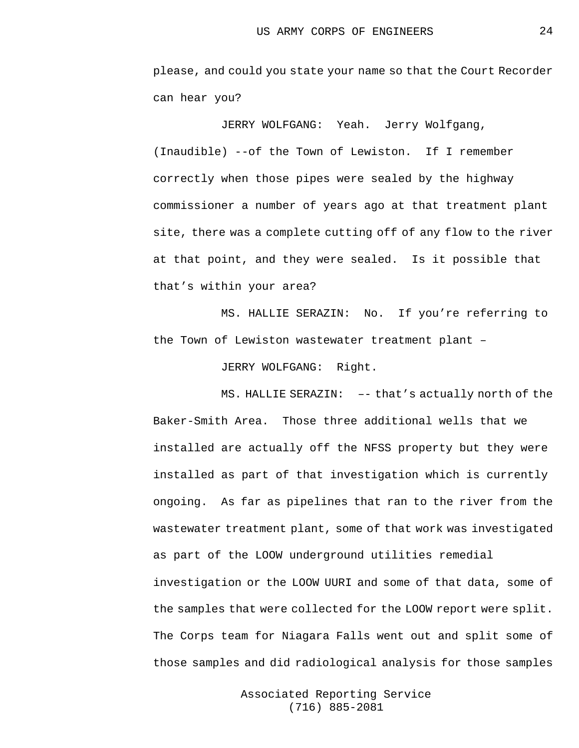please, and could you state your name so that the Court Recorder can hear you?

JERRY WOLFGANG: Yeah. Jerry Wolfgang, (Inaudible) --of the Town of Lewiston. If I remember correctly when those pipes were sealed by the highway commissioner a number of years ago at that treatment plant site, there was a complete cutting off of any flow to the river at that point, and they were sealed. Is it possible that that's within your area?

MS. HALLIE SERAZIN: No. If you're referring to the Town of Lewiston wastewater treatment plant –

JERRY WOLFGANG: Right.

MS. HALLIE SERAZIN: –- that's actually north of the Baker-Smith Area. Those three additional wells that we installed are actually off the NFSS property but they were installed as part of that investigation which is currently ongoing. As far as pipelines that ran to the river from the wastewater treatment plant, some of that work was investigated as part of the LOOW underground utilities remedial investigation or the LOOW UURI and some of that data, some of the samples that were collected for the LOOW report were split. The Corps team for Niagara Falls went out and split some of those samples and did radiological analysis for those samples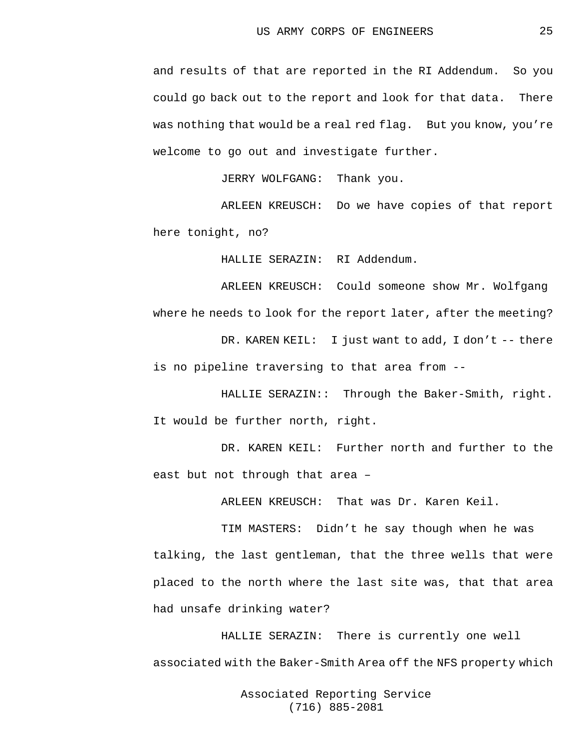and results of that are reported in the RI Addendum. So you could go back out to the report and look for that data. There was nothing that would be a real red flag. But you know, you're welcome to go out and investigate further.

JERRY WOLFGANG: Thank you.

ARLEEN KREUSCH: Do we have copies of that report here tonight, no?

HALLIE SERAZIN: RI Addendum.

ARLEEN KREUSCH: Could someone show Mr. Wolfgang where he needs to look for the report later, after the meeting? DR. KAREN KEIL: I just want to add, I don't -- there

is no pipeline traversing to that area from --

HALLIE SERAZIN:: Through the Baker-Smith, right. It would be further north, right.

DR. KAREN KEIL: Further north and further to the east but not through that area –

ARLEEN KREUSCH: That was Dr. Karen Keil.

TIM MASTERS: Didn't he say though when he was talking, the last gentleman, that the three wells that were placed to the north where the last site was, that that area had unsafe drinking water?

HALLIE SERAZIN: There is currently one well associated with the Baker-Smith Area off the NFS property which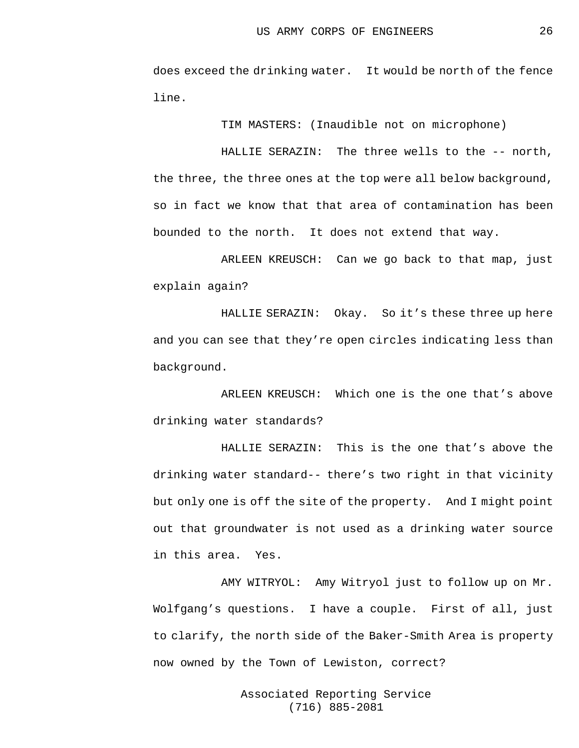does exceed the drinking water. It would be north of the fence line.

TIM MASTERS: (Inaudible not on microphone)

HALLIE SERAZIN: The three wells to the -- north, the three, the three ones at the top were all below background, so in fact we know that that area of contamination has been bounded to the north. It does not extend that way.

ARLEEN KREUSCH: Can we go back to that map, just explain again?

HALLIE SERAZIN: Okay. So it's these three up here and you can see that they're open circles indicating less than background.

ARLEEN KREUSCH: Which one is the one that's above drinking water standards?

HALLIE SERAZIN: This is the one that's above the drinking water standard-- there's two right in that vicinity but only one is off the site of the property. And I might point out that groundwater is not used as a drinking water source in this area. Yes.

AMY WITRYOL: Amy Witryol just to follow up on Mr. Wolfgang's questions. I have a couple. First of all, just to clarify, the north side of the Baker-Smith Area is property now owned by the Town of Lewiston, correct?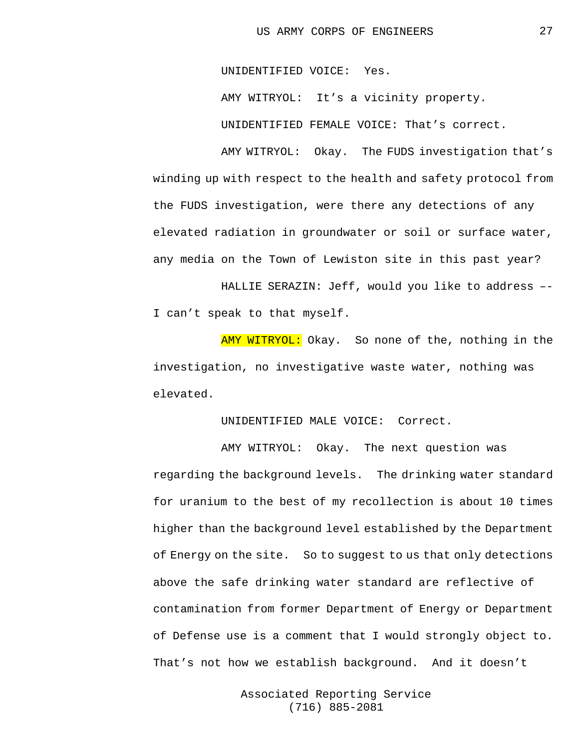UNIDENTIFIED VOICE: Yes.

AMY WITRYOL: It's a vicinity property.

UNIDENTIFIED FEMALE VOICE: That's correct.

AMY WITRYOL: Okay. The FUDS investigation that's winding up with respect to the health and safety protocol from the FUDS investigation, were there any detections of any elevated radiation in groundwater or soil or surface water, any media on the Town of Lewiston site in this past year?

HALLIE SERAZIN: Jeff, would you like to address –- I can't speak to that myself.

AMY WITRYOL: Okay. So none of the, nothing in the investigation, no investigative waste water, nothing was elevated.

UNIDENTIFIED MALE VOICE: Correct.

AMY WITRYOL: Okay. The next question was regarding the background levels. The drinking water standard for uranium to the best of my recollection is about 10 times higher than the background level established by the Department of Energy on the site. So to suggest to us that only detections above the safe drinking water standard are reflective of contamination from former Department of Energy or Department of Defense use is a comment that I would strongly object to. That's not how we establish background. And it doesn't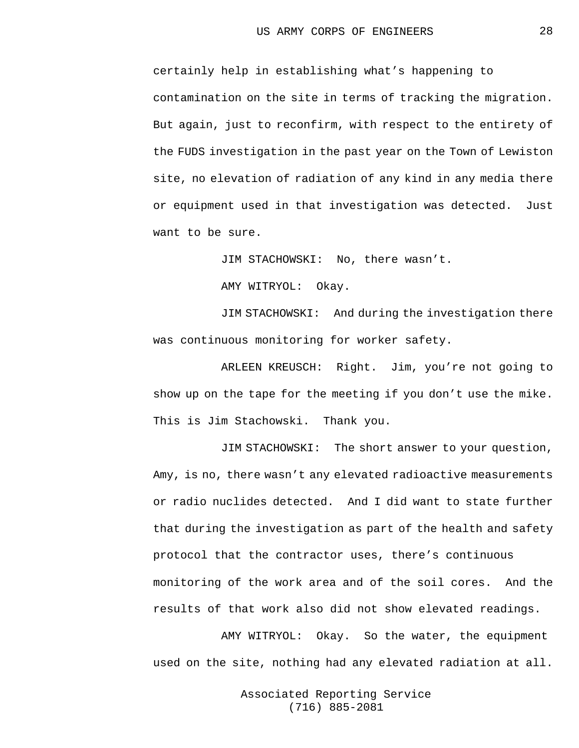certainly help in establishing what's happening to contamination on the site in terms of tracking the migration. But again, just to reconfirm, with respect to the entirety of the FUDS investigation in the past year on the Town of Lewiston site, no elevation of radiation of any kind in any media there or equipment used in that investigation was detected. Just want to be sure.

JIM STACHOWSKI: No, there wasn't.

AMY WITRYOL: Okay.

JIM STACHOWSKI: And during the investigation there was continuous monitoring for worker safety.

ARLEEN KREUSCH: Right. Jim, you're not going to show up on the tape for the meeting if you don't use the mike. This is Jim Stachowski. Thank you.

JIM STACHOWSKI: The short answer to your question, Amy, is no, there wasn't any elevated radioactive measurements or radio nuclides detected. And I did want to state further that during the investigation as part of the health and safety protocol that the contractor uses, there's continuous monitoring of the work area and of the soil cores. And the results of that work also did not show elevated readings.

AMY WITRYOL: Okay. So the water, the equipment used on the site, nothing had any elevated radiation at all.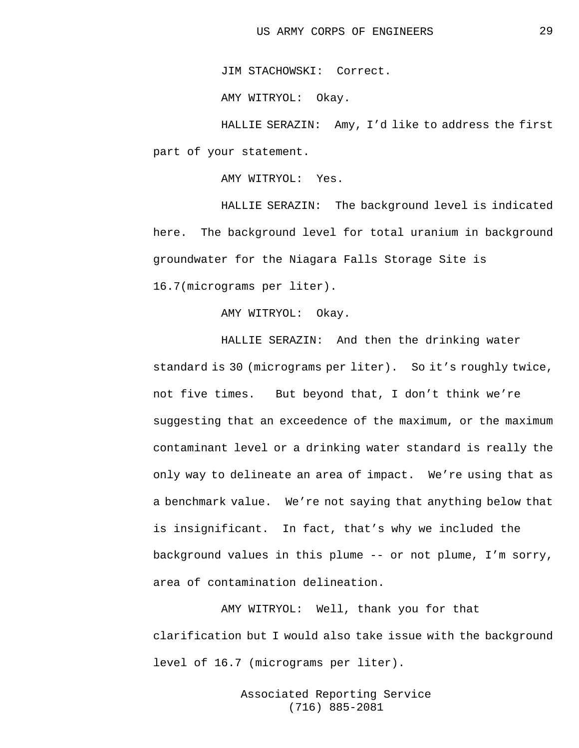JIM STACHOWSKI: Correct.

AMY WITRYOL: Okay.

HALLIE SERAZIN: Amy, I'd like to address the first part of your statement.

AMY WITRYOL: Yes.

HALLIE SERAZIN: The background level is indicated here. The background level for total uranium in background groundwater for the Niagara Falls Storage Site is 16.7(micrograms per liter).

AMY WITRYOL: Okay.

HALLIE SERAZIN: And then the drinking water standard is 30 (micrograms per liter). So it's roughly twice, not five times. But beyond that, I don't think we're suggesting that an exceedence of the maximum, or the maximum contaminant level or a drinking water standard is really the only way to delineate an area of impact. We're using that as a benchmark value. We're not saying that anything below that is insignificant. In fact, that's why we included the background values in this plume -- or not plume, I'm sorry, area of contamination delineation.

AMY WITRYOL: Well, thank you for that clarification but I would also take issue with the background level of 16.7 (micrograms per liter).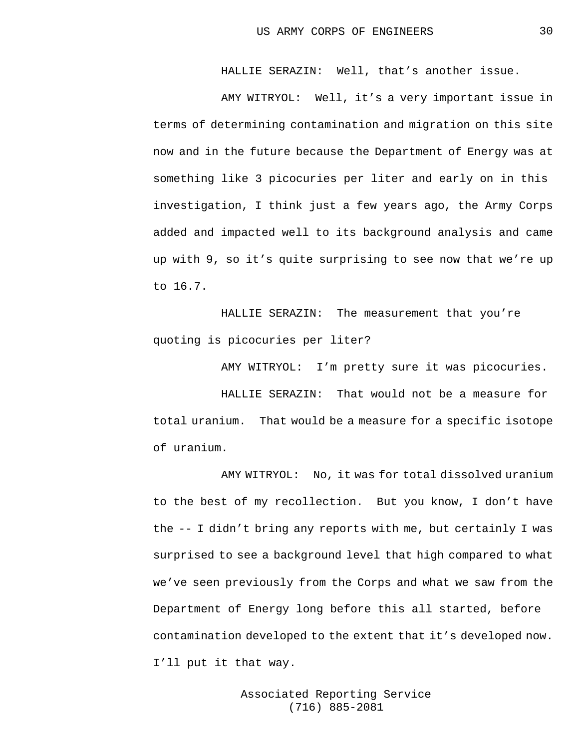HALLIE SERAZIN: Well, that's another issue.

AMY WITRYOL: Well, it's a very important issue in terms of determining contamination and migration on this site now and in the future because the Department of Energy was at something like 3 picocuries per liter and early on in this investigation, I think just a few years ago, the Army Corps added and impacted well to its background analysis and came up with 9, so it's quite surprising to see now that we're up to 16.7.

HALLIE SERAZIN: The measurement that you're quoting is picocuries per liter?

AMY WITRYOL: I'm pretty sure it was picocuries.

HALLIE SERAZIN: That would not be a measure for total uranium. That would be a measure for a specific isotope of uranium.

AMY WITRYOL: No, it was for total dissolved uranium to the best of my recollection. But you know, I don't have the -- I didn't bring any reports with me, but certainly I was surprised to see a background level that high compared to what we've seen previously from the Corps and what we saw from the Department of Energy long before this all started, before contamination developed to the extent that it's developed now. I'll put it that way.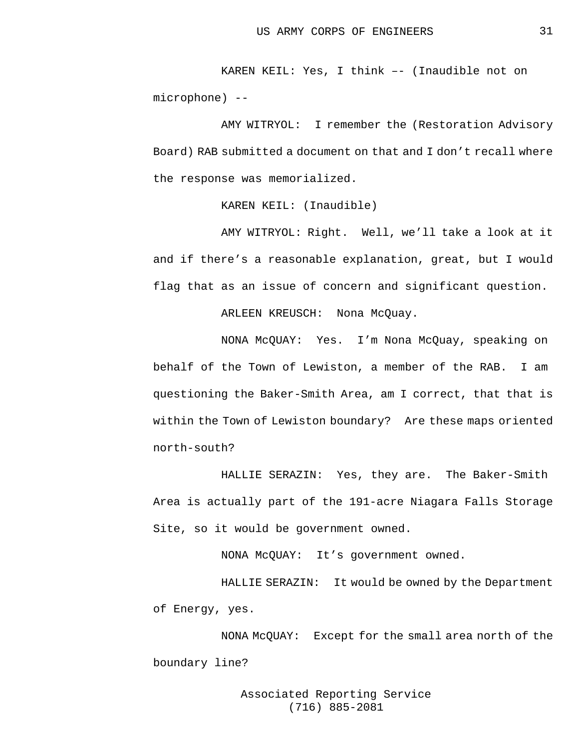KAREN KEIL: Yes, I think –- (Inaudible not on microphone) --

AMY WITRYOL: I remember the (Restoration Advisory Board) RAB submitted a document on that and I don't recall where the response was memorialized.

KAREN KEIL: (Inaudible)

AMY WITRYOL: Right. Well, we'll take a look at it and if there's a reasonable explanation, great, but I would flag that as an issue of concern and significant question.

ARLEEN KREUSCH: Nona McQuay.

NONA McQUAY: Yes. I'm Nona McQuay, speaking on behalf of the Town of Lewiston, a member of the RAB. I am questioning the Baker-Smith Area, am I correct, that that is within the Town of Lewiston boundary? Are these maps oriented north-south?

HALLIE SERAZIN: Yes, they are. The Baker-Smith Area is actually part of the 191-acre Niagara Falls Storage Site, so it would be government owned.

NONA McQUAY: It's government owned.

HALLIE SERAZIN: It would be owned by the Department of Energy, yes.

NONA McQUAY: Except for the small area north of the boundary line?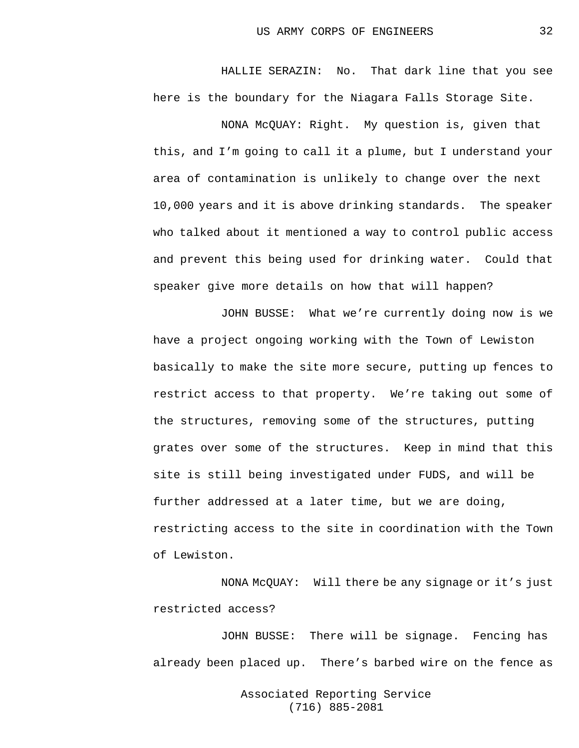HALLIE SERAZIN: No. That dark line that you see here is the boundary for the Niagara Falls Storage Site.

NONA McQUAY: Right. My question is, given that this, and I'm going to call it a plume, but I understand your area of contamination is unlikely to change over the next 10,000 years and it is above drinking standards. The speaker who talked about it mentioned a way to control public access and prevent this being used for drinking water. Could that speaker give more details on how that will happen?

JOHN BUSSE: What we're currently doing now is we have a project ongoing working with the Town of Lewiston basically to make the site more secure, putting up fences to restrict access to that property. We're taking out some of the structures, removing some of the structures, putting grates over some of the structures. Keep in mind that this site is still being investigated under FUDS, and will be further addressed at a later time, but we are doing, restricting access to the site in coordination with the Town of Lewiston.

NONA McQUAY: Will there be any signage or it's just restricted access?

JOHN BUSSE: There will be signage. Fencing has already been placed up. There's barbed wire on the fence as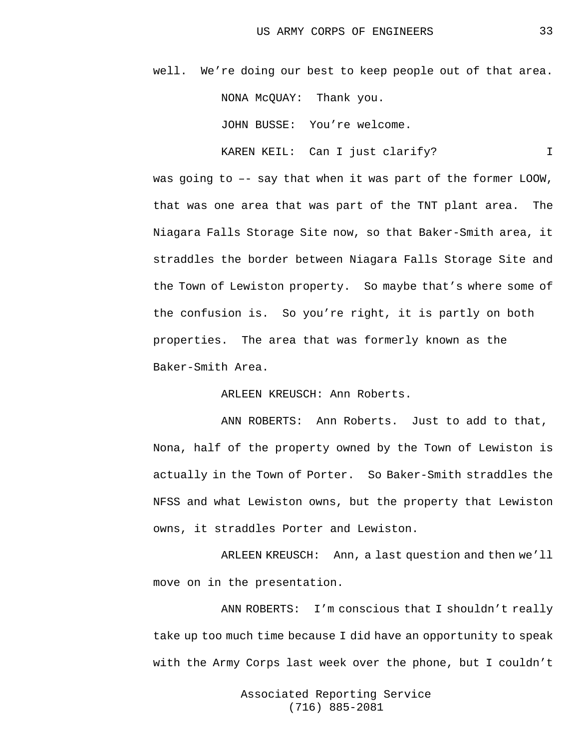well. We're doing our best to keep people out of that area. NONA McQUAY: Thank you. JOHN BUSSE: You're welcome.

KAREN KEIL: Can I just clarify? I

was going to –- say that when it was part of the former LOOW, that was one area that was part of the TNT plant area. The Niagara Falls Storage Site now, so that Baker-Smith area, it straddles the border between Niagara Falls Storage Site and the Town of Lewiston property. So maybe that's where some of the confusion is. So you're right, it is partly on both properties. The area that was formerly known as the Baker-Smith Area.

ARLEEN KREUSCH: Ann Roberts.

ANN ROBERTS: Ann Roberts. Just to add to that, Nona, half of the property owned by the Town of Lewiston is actually in the Town of Porter. So Baker-Smith straddles the NFSS and what Lewiston owns, but the property that Lewiston owns, it straddles Porter and Lewiston.

ARLEEN KREUSCH: Ann, a last question and then we'll move on in the presentation.

ANN ROBERTS: I'm conscious that I shouldn't really take up too much time because I did have an opportunity to speak with the Army Corps last week over the phone, but I couldn't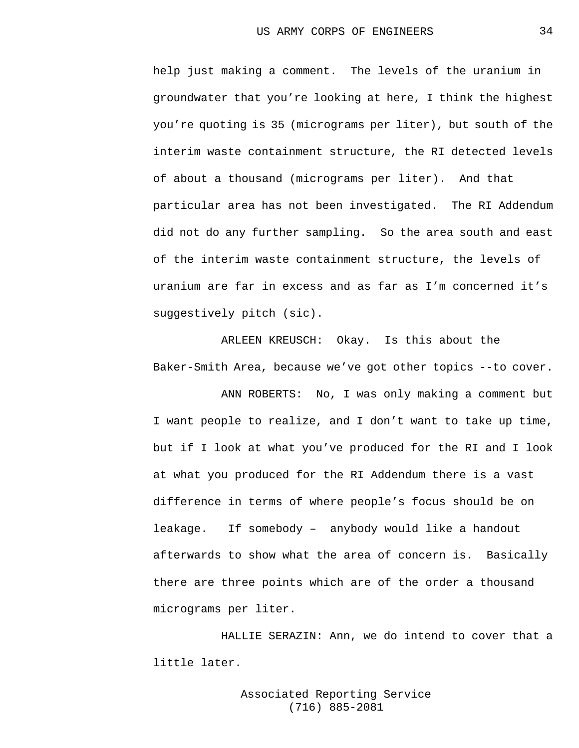help just making a comment. The levels of the uranium in groundwater that you're looking at here, I think the highest you're quoting is 35 (micrograms per liter), but south of the interim waste containment structure, the RI detected levels of about a thousand (micrograms per liter). And that particular area has not been investigated. The RI Addendum did not do any further sampling. So the area south and east of the interim waste containment structure, the levels of uranium are far in excess and as far as I'm concerned it's suggestively pitch (sic).

ARLEEN KREUSCH: Okay. Is this about the Baker-Smith Area, because we've got other topics --to cover.

ANN ROBERTS: No, I was only making a comment but I want people to realize, and I don't want to take up time, but if I look at what you've produced for the RI and I look at what you produced for the RI Addendum there is a vast difference in terms of where people's focus should be on leakage. If somebody – anybody would like a handout afterwards to show what the area of concern is. Basically there are three points which are of the order a thousand micrograms per liter.

HALLIE SERAZIN: Ann, we do intend to cover that a little later.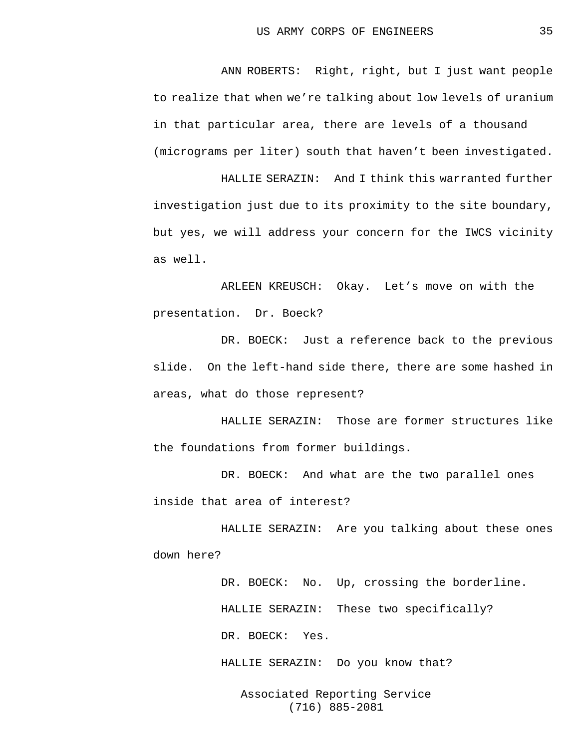ANN ROBERTS: Right, right, but I just want people to realize that when we're talking about low levels of uranium in that particular area, there are levels of a thousand (micrograms per liter) south that haven't been investigated.

HALLIE SERAZIN: And I think this warranted further investigation just due to its proximity to the site boundary, but yes, we will address your concern for the IWCS vicinity as well.

ARLEEN KREUSCH: Okay. Let's move on with the presentation. Dr. Boeck?

DR. BOECK: Just a reference back to the previous slide. On the left-hand side there, there are some hashed in areas, what do those represent?

HALLIE SERAZIN: Those are former structures like the foundations from former buildings.

DR. BOECK: And what are the two parallel ones inside that area of interest?

HALLIE SERAZIN: Are you talking about these ones down here?

> DR. BOECK: No. Up, crossing the borderline. HALLIE SERAZIN: These two specifically? DR. BOECK: Yes.

HALLIE SERAZIN: Do you know that?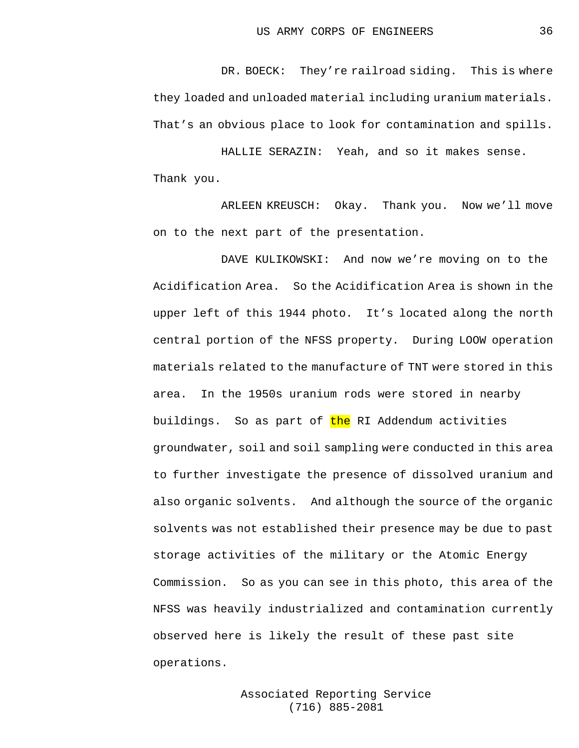DR. BOECK: They're railroad siding. This is where they loaded and unloaded material including uranium materials. That's an obvious place to look for contamination and spills.

HALLIE SERAZIN: Yeah, and so it makes sense. Thank you.

ARLEEN KREUSCH: Okay. Thank you. Now we'll move on to the next part of the presentation.

DAVE KULIKOWSKI: And now we're moving on to the Acidification Area. So the Acidification Area is shown in the upper left of this 1944 photo. It's located along the north central portion of the NFSS property. During LOOW operation materials related to the manufacture of TNT were stored in this area. In the 1950s uranium rods were stored in nearby buildings. So as part of the RI Addendum activities groundwater, soil and soil sampling were conducted in this area to further investigate the presence of dissolved uranium and also organic solvents. And although the source of the organic solvents was not established their presence may be due to past storage activities of the military or the Atomic Energy Commission. So as you can see in this photo, this area of the NFSS was heavily industrialized and contamination currently observed here is likely the result of these past site operations.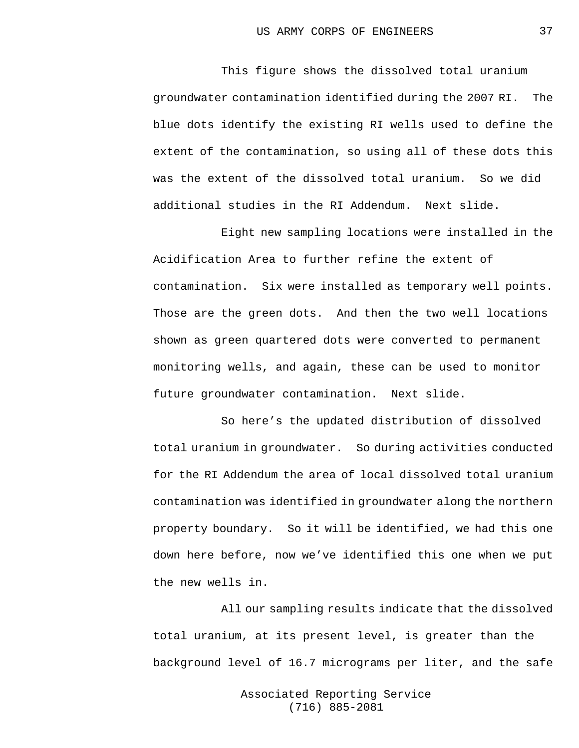This figure shows the dissolved total uranium groundwater contamination identified during the 2007 RI. The blue dots identify the existing RI wells used to define the extent of the contamination, so using all of these dots this was the extent of the dissolved total uranium. So we did additional studies in the RI Addendum. Next slide.

Eight new sampling locations were installed in the Acidification Area to further refine the extent of contamination. Six were installed as temporary well points. Those are the green dots. And then the two well locations shown as green quartered dots were converted to permanent monitoring wells, and again, these can be used to monitor future groundwater contamination. Next slide.

So here's the updated distribution of dissolved total uranium in groundwater. So during activities conducted for the RI Addendum the area of local dissolved total uranium contamination was identified in groundwater along the northern property boundary. So it will be identified, we had this one down here before, now we've identified this one when we put the new wells in.

All our sampling results indicate that the dissolved total uranium, at its present level, is greater than the background level of 16.7 micrograms per liter, and the safe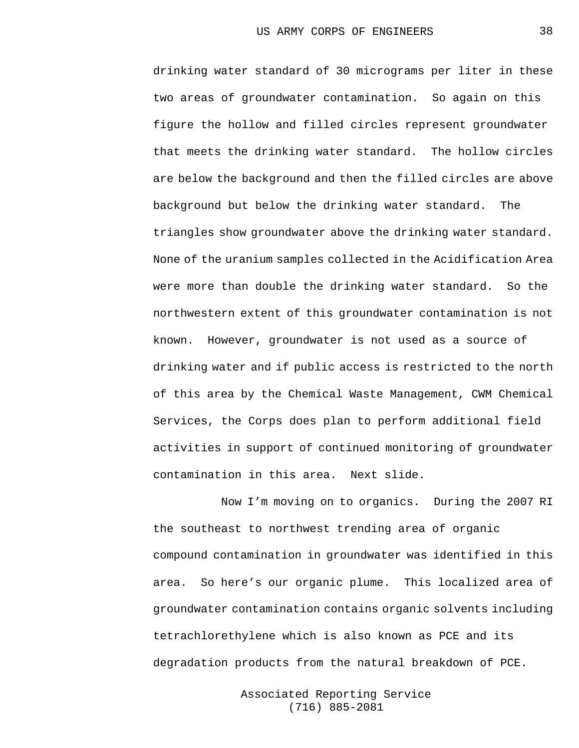drinking water standard of 30 micrograms per liter in these two areas of groundwater contamination. So again on this figure the hollow and filled circles represent groundwater that meets the drinking water standard. The hollow circles are below the background and then the filled circles are above background but below the drinking water standard. The triangles show groundwater above the drinking water standard. None of the uranium samples collected in the Acidification Area were more than double the drinking water standard. So the northwestern extent of this groundwater contamination is not known. However, groundwater is not used as a source of drinking water and if public access is restricted to the north of this area by the Chemical Waste Management, CWM Chemical Services, the Corps does plan to perform additional field activities in support of continued monitoring of groundwater contamination in this area. Next slide.

Now I'm moving on to organics. During the 2007 RI the southeast to northwest trending area of organic compound contamination in groundwater was identified in this area. So here's our organic plume. This localized area of groundwater contamination contains organic solvents including tetrachlorethylene which is also known as PCE and its degradation products from the natural breakdown of PCE.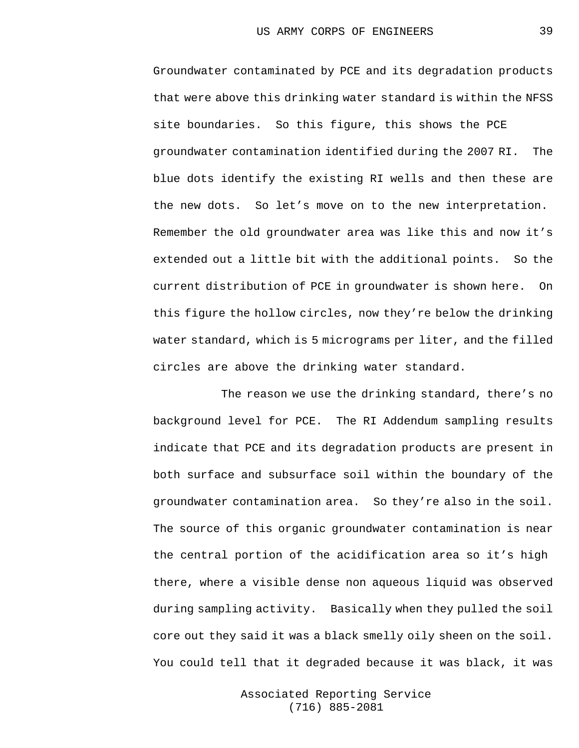Groundwater contaminated by PCE and its degradation products that were above this drinking water standard is within the NFSS site boundaries. So this figure, this shows the PCE groundwater contamination identified during the 2007 RI. The blue dots identify the existing RI wells and then these are the new dots. So let's move on to the new interpretation. Remember the old groundwater area was like this and now it's extended out a little bit with the additional points. So the current distribution of PCE in groundwater is shown here. On this figure the hollow circles, now they're below the drinking water standard, which is 5 micrograms per liter, and the filled circles are above the drinking water standard.

The reason we use the drinking standard, there's no background level for PCE. The RI Addendum sampling results indicate that PCE and its degradation products are present in both surface and subsurface soil within the boundary of the groundwater contamination area. So they're also in the soil. The source of this organic groundwater contamination is near the central portion of the acidification area so it's high there, where a visible dense non aqueous liquid was observed during sampling activity. Basically when they pulled the soil core out they said it was a black smelly oily sheen on the soil. You could tell that it degraded because it was black, it was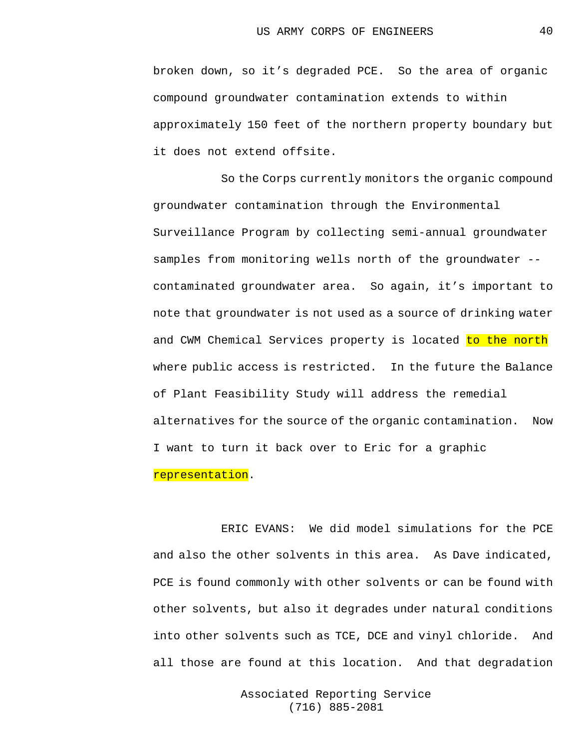broken down, so it's degraded PCE. So the area of organic compound groundwater contamination extends to within approximately 150 feet of the northern property boundary but it does not extend offsite.

So the Corps currently monitors the organic compound groundwater contamination through the Environmental Surveillance Program by collecting semi-annual groundwater samples from monitoring wells north of the groundwater - contaminated groundwater area. So again, it's important to note that groundwater is not used as a source of drinking water and CWM Chemical Services property is located to the north where public access is restricted. In the future the Balance of Plant Feasibility Study will address the remedial alternatives for the source of the organic contamination. Now I want to turn it back over to Eric for a graphic representation.

ERIC EVANS: We did model simulations for the PCE and also the other solvents in this area. As Dave indicated, PCE is found commonly with other solvents or can be found with other solvents, but also it degrades under natural conditions into other solvents such as TCE, DCE and vinyl chloride. And all those are found at this location. And that degradation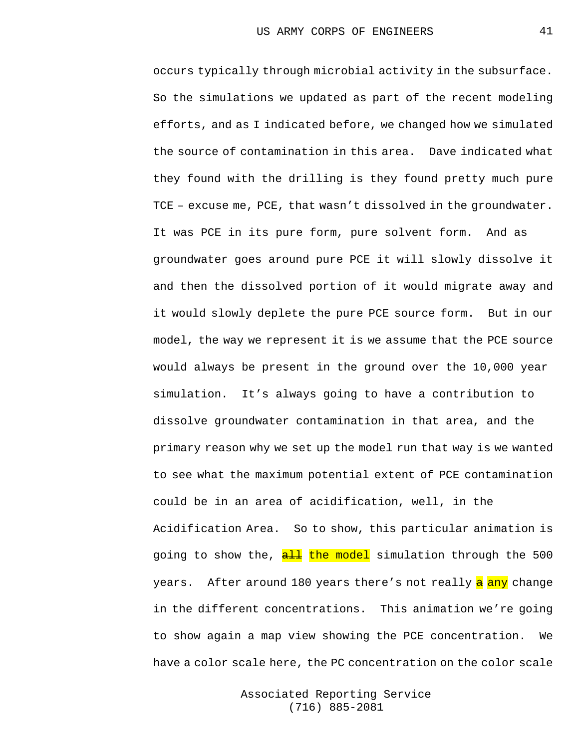occurs typically through microbial activity in the subsurface. So the simulations we updated as part of the recent modeling efforts, and as I indicated before, we changed how we simulated the source of contamination in this area. Dave indicated what they found with the drilling is they found pretty much pure TCE – excuse me, PCE, that wasn't dissolved in the groundwater. It was PCE in its pure form, pure solvent form. And as groundwater goes around pure PCE it will slowly dissolve it and then the dissolved portion of it would migrate away and it would slowly deplete the pure PCE source form. But in our model, the way we represent it is we assume that the PCE source would always be present in the ground over the 10,000 year simulation. It's always going to have a contribution to dissolve groundwater contamination in that area, and the primary reason why we set up the model run that way is we wanted to see what the maximum potential extent of PCE contamination could be in an area of acidification, well, in the Acidification Area. So to show, this particular animation is going to show the,  $\frac{1}{2}$  the model simulation through the 500 years. After around 180 years there's not really a any change in the different concentrations. This animation we're going to show again a map view showing the PCE concentration. We have a color scale here, the PC concentration on the color scale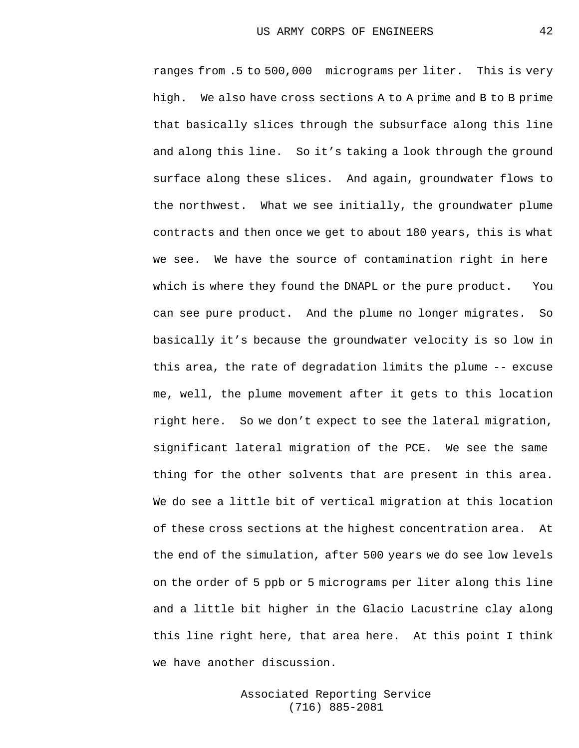ranges from .5 to 500,000 micrograms per liter. This is very high. We also have cross sections A to A prime and B to B prime that basically slices through the subsurface along this line and along this line. So it's taking a look through the ground surface along these slices. And again, groundwater flows to the northwest. What we see initially, the groundwater plume contracts and then once we get to about 180 years, this is what we see. We have the source of contamination right in here which is where they found the DNAPL or the pure product. You can see pure product. And the plume no longer migrates. So basically it's because the groundwater velocity is so low in this area, the rate of degradation limits the plume -- excuse me, well, the plume movement after it gets to this location right here. So we don't expect to see the lateral migration, significant lateral migration of the PCE. We see the same thing for the other solvents that are present in this area. We do see a little bit of vertical migration at this location of these cross sections at the highest concentration area. At the end of the simulation, after 500 years we do see low levels on the order of 5 ppb or 5 micrograms per liter along this line and a little bit higher in the Glacio Lacustrine clay along this line right here, that area here. At this point I think we have another discussion.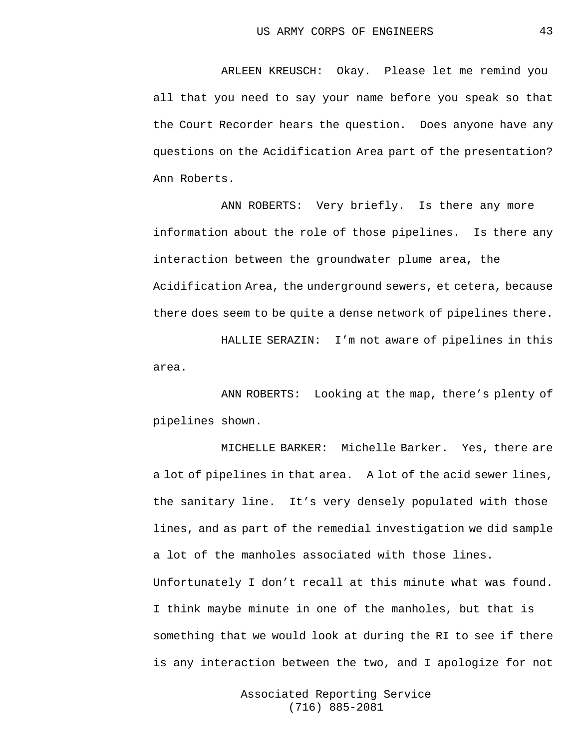ARLEEN KREUSCH: Okay. Please let me remind you all that you need to say your name before you speak so that the Court Recorder hears the question. Does anyone have any questions on the Acidification Area part of the presentation? Ann Roberts.

ANN ROBERTS: Very briefly. Is there any more information about the role of those pipelines. Is there any interaction between the groundwater plume area, the Acidification Area, the underground sewers, et cetera, because there does seem to be quite a dense network of pipelines there.

HALLIE SERAZIN: I'm not aware of pipelines in this area.

ANN ROBERTS: Looking at the map, there's plenty of pipelines shown.

MICHELLE BARKER: Michelle Barker. Yes, there are a lot of pipelines in that area. A lot of the acid sewer lines, the sanitary line. It's very densely populated with those lines, and as part of the remedial investigation we did sample a lot of the manholes associated with those lines. Unfortunately I don't recall at this minute what was found. I think maybe minute in one of the manholes, but that is something that we would look at during the RI to see if there is any interaction between the two, and I apologize for not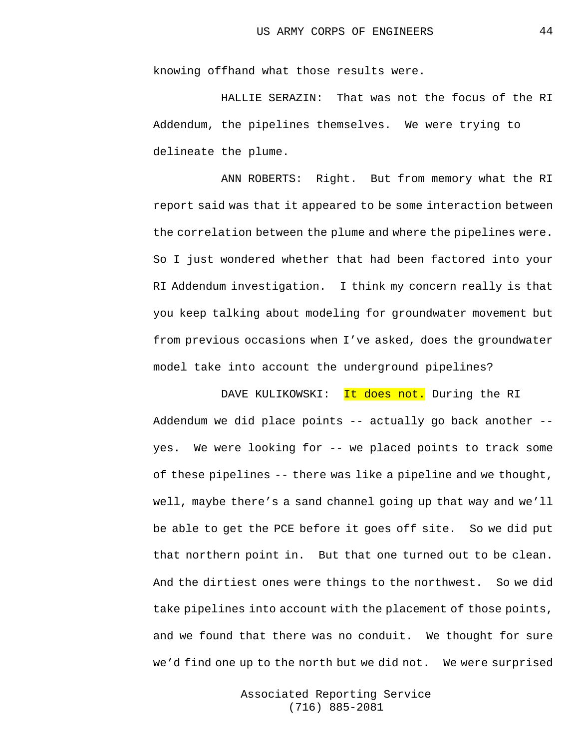knowing offhand what those results were.

HALLIE SERAZIN: That was not the focus of the RI Addendum, the pipelines themselves. We were trying to delineate the plume.

ANN ROBERTS: Right. But from memory what the RI report said was that it appeared to be some interaction between the correlation between the plume and where the pipelines were. So I just wondered whether that had been factored into your RI Addendum investigation. I think my concern really is that you keep talking about modeling for groundwater movement but from previous occasions when I've asked, does the groundwater model take into account the underground pipelines?

DAVE KULIKOWSKI: It does not. During the RI Addendum we did place points -- actually go back another - yes. We were looking for -- we placed points to track some of these pipelines -- there was like a pipeline and we thought, well, maybe there's a sand channel going up that way and we'll be able to get the PCE before it goes off site. So we did put that northern point in. But that one turned out to be clean. And the dirtiest ones were things to the northwest. So we did take pipelines into account with the placement of those points, and we found that there was no conduit. We thought for sure we'd find one up to the north but we did not. We were surprised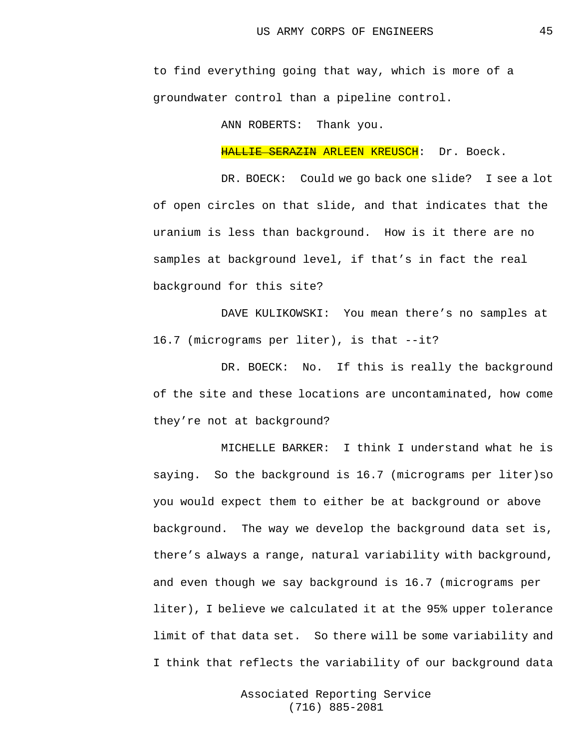to find everything going that way, which is more of a groundwater control than a pipeline control.

ANN ROBERTS: Thank you.

HALLIE SERAZIN ARLEEN KREUSCH: Dr. Boeck.

DR. BOECK: Could we go back one slide? I see a lot of open circles on that slide, and that indicates that the uranium is less than background. How is it there are no samples at background level, if that's in fact the real background for this site?

DAVE KULIKOWSKI: You mean there's no samples at 16.7 (micrograms per liter), is that --it?

DR. BOECK: No. If this is really the background of the site and these locations are uncontaminated, how come they're not at background?

MICHELLE BARKER: I think I understand what he is saying. So the background is 16.7 (micrograms per liter)so you would expect them to either be at background or above background. The way we develop the background data set is, there's always a range, natural variability with background, and even though we say background is 16.7 (micrograms per liter), I believe we calculated it at the 95% upper tolerance limit of that data set. So there will be some variability and I think that reflects the variability of our background data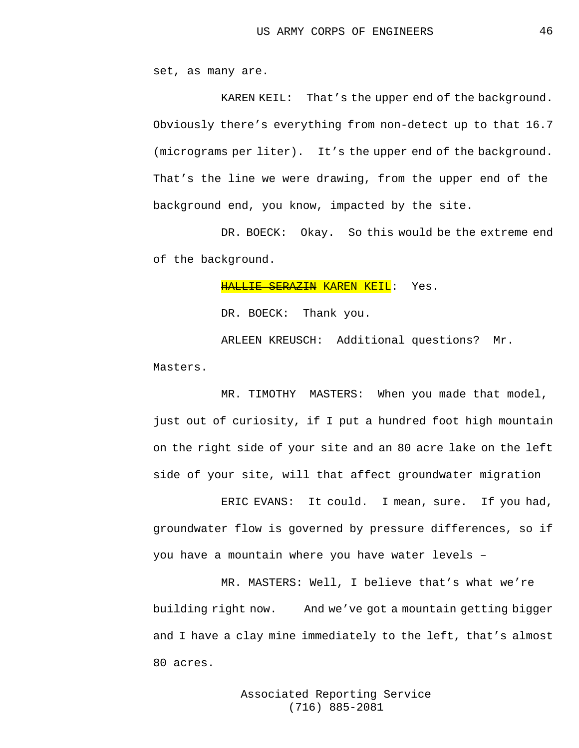set, as many are.

KAREN KEIL: That's the upper end of the background. Obviously there's everything from non-detect up to that 16.7 (micrograms per liter). It's the upper end of the background. That's the line we were drawing, from the upper end of the background end, you know, impacted by the site.

DR. BOECK: Okay. So this would be the extreme end of the background.

HALLIE SERAZIN KAREN KEIL: Yes.

DR. BOECK: Thank you.

ARLEEN KREUSCH: Additional questions? Mr. Masters.

MR. TIMOTHY MASTERS: When you made that model, just out of curiosity, if I put a hundred foot high mountain on the right side of your site and an 80 acre lake on the left side of your site, will that affect groundwater migration

ERIC EVANS: It could. I mean, sure. If you had, groundwater flow is governed by pressure differences, so if you have a mountain where you have water levels –

MR. MASTERS: Well, I believe that's what we're building right now. And we've got a mountain getting bigger and I have a clay mine immediately to the left, that's almost 80 acres.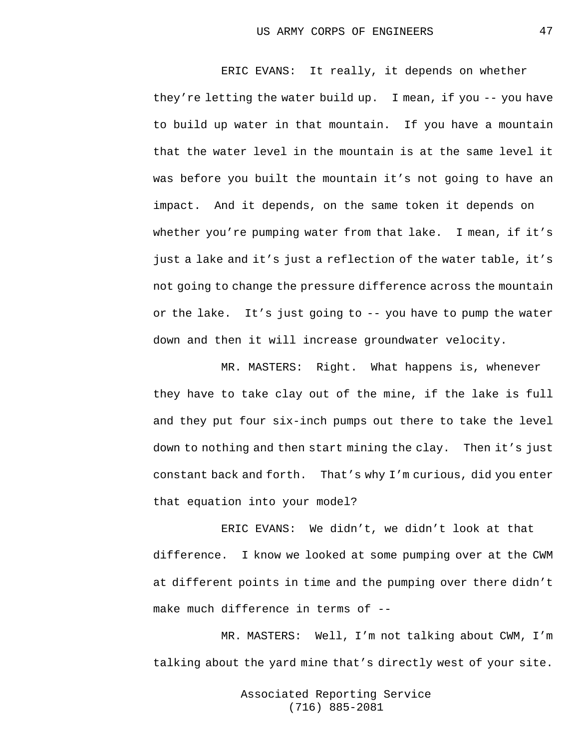ERIC EVANS: It really, it depends on whether they're letting the water build up. I mean, if you -- you have to build up water in that mountain. If you have a mountain that the water level in the mountain is at the same level it was before you built the mountain it's not going to have an impact. And it depends, on the same token it depends on whether you're pumping water from that lake. I mean, if it's just a lake and it's just a reflection of the water table, it's not going to change the pressure difference across the mountain or the lake. It's just going to -- you have to pump the water down and then it will increase groundwater velocity.

MR. MASTERS: Right. What happens is, whenever they have to take clay out of the mine, if the lake is full and they put four six-inch pumps out there to take the level down to nothing and then start mining the clay. Then it's just constant back and forth. That's why I'm curious, did you enter that equation into your model?

ERIC EVANS: We didn't, we didn't look at that difference. I know we looked at some pumping over at the CWM at different points in time and the pumping over there didn't make much difference in terms of --

MR. MASTERS: Well, I'm not talking about CWM, I'm talking about the yard mine that's directly west of your site.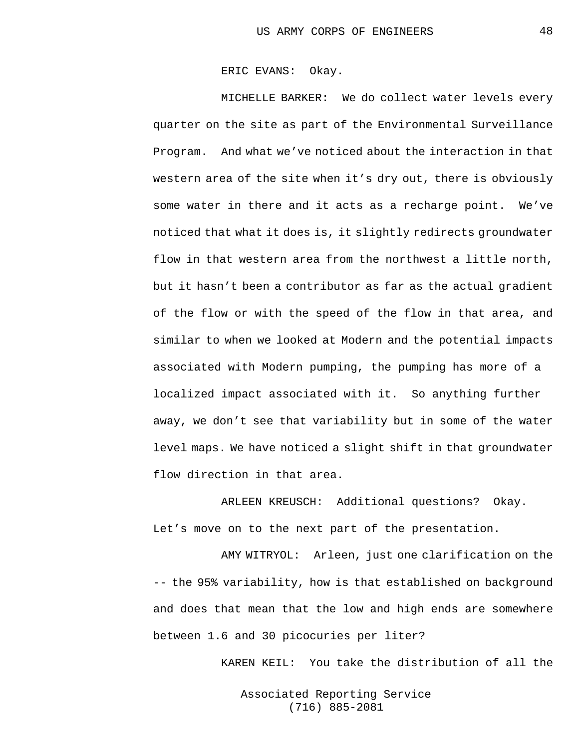## ERIC EVANS: Okay.

MICHELLE BARKER: We do collect water levels every quarter on the site as part of the Environmental Surveillance Program. And what we've noticed about the interaction in that western area of the site when it's dry out, there is obviously some water in there and it acts as a recharge point. We've noticed that what it does is, it slightly redirects groundwater flow in that western area from the northwest a little north, but it hasn't been a contributor as far as the actual gradient of the flow or with the speed of the flow in that area, and similar to when we looked at Modern and the potential impacts associated with Modern pumping, the pumping has more of a localized impact associated with it. So anything further away, we don't see that variability but in some of the water level maps. We have noticed a slight shift in that groundwater flow direction in that area.

ARLEEN KREUSCH: Additional questions? Okay. Let's move on to the next part of the presentation.

AMY WITRYOL: Arleen, just one clarification on the -- the 95% variability, how is that established on background and does that mean that the low and high ends are somewhere between 1.6 and 30 picocuries per liter?

KAREN KEIL: You take the distribution of all the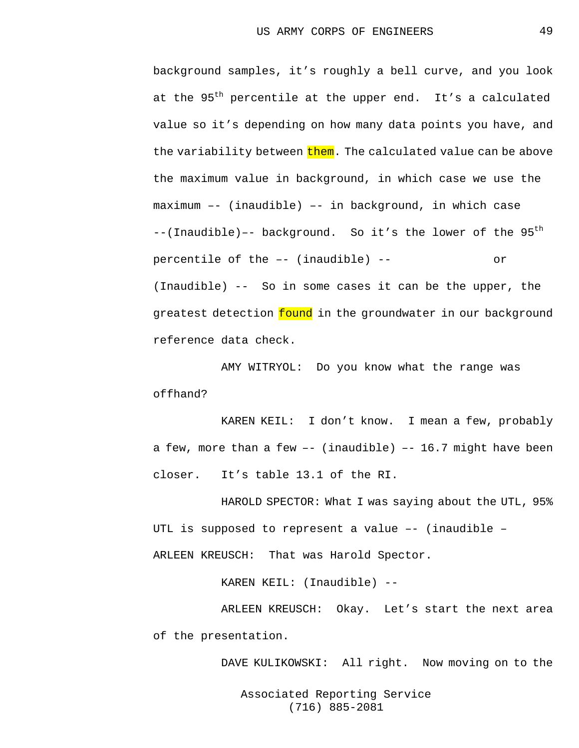background samples, it's roughly a bell curve, and you look at the 95<sup>th</sup> percentile at the upper end. It's a calculated value so it's depending on how many data points you have, and the variability between them. The calculated value can be above the maximum value in background, in which case we use the maximum –- (inaudible) –- in background, in which case  $-$ (Inaudible)-- background. So it's the lower of the 95<sup>th</sup> percentile of the –- (inaudible) -- or (Inaudible) -- So in some cases it can be the upper, the greatest detection found in the groundwater in our background reference data check.

AMY WITRYOL: Do you know what the range was offhand?

KAREN KEIL: I don't know. I mean a few, probably a few, more than a few  $-$  (inaudible)  $-$  16.7 might have been closer. It's table 13.1 of the RI.

HAROLD SPECTOR: What I was saying about the UTL, 95% UTL is supposed to represent a value –- (inaudible – ARLEEN KREUSCH: That was Harold Spector.

KAREN KEIL: (Inaudible) --

ARLEEN KREUSCH: Okay. Let's start the next area of the presentation.

DAVE KULIKOWSKI: All right. Now moving on to the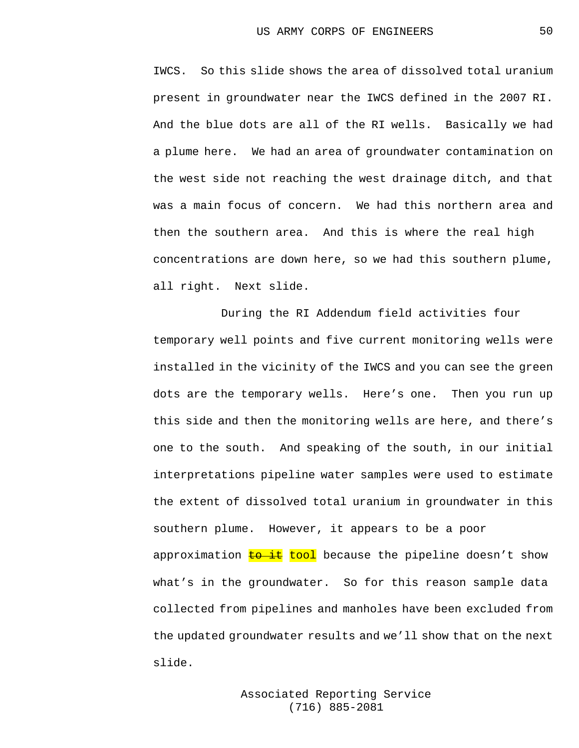IWCS. So this slide shows the area of dissolved total uranium present in groundwater near the IWCS defined in the 2007 RI. And the blue dots are all of the RI wells. Basically we had a plume here. We had an area of groundwater contamination on the west side not reaching the west drainage ditch, and that was a main focus of concern. We had this northern area and then the southern area. And this is where the real high concentrations are down here, so we had this southern plume, all right. Next slide.

During the RI Addendum field activities four temporary well points and five current monitoring wells were installed in the vicinity of the IWCS and you can see the green dots are the temporary wells. Here's one. Then you run up this side and then the monitoring wells are here, and there's one to the south. And speaking of the south, in our initial interpretations pipeline water samples were used to estimate the extent of dissolved total uranium in groundwater in this southern plume. However, it appears to be a poor approximation  $\frac{1}{t}$  tool because the pipeline doesn't show what's in the groundwater. So for this reason sample data collected from pipelines and manholes have been excluded from the updated groundwater results and we'll show that on the next slide.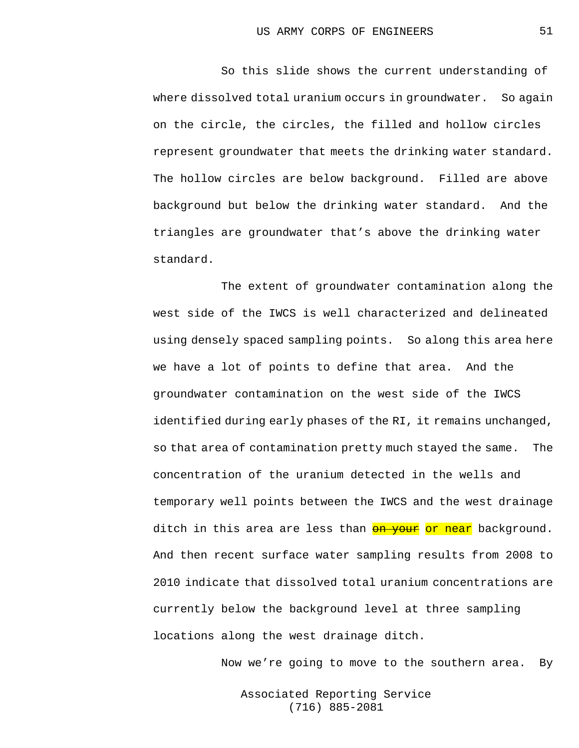So this slide shows the current understanding of where dissolved total uranium occurs in groundwater. So again on the circle, the circles, the filled and hollow circles represent groundwater that meets the drinking water standard. The hollow circles are below background. Filled are above background but below the drinking water standard. And the triangles are groundwater that's above the drinking water standard.

The extent of groundwater contamination along the west side of the IWCS is well characterized and delineated using densely spaced sampling points. So along this area here we have a lot of points to define that area. And the groundwater contamination on the west side of the IWCS identified during early phases of the RI, it remains unchanged, so that area of contamination pretty much stayed the same. The concentration of the uranium detected in the wells and temporary well points between the IWCS and the west drainage ditch in this area are less than **on your** or near background. And then recent surface water sampling results from 2008 to 2010 indicate that dissolved total uranium concentrations are currently below the background level at three sampling locations along the west drainage ditch.

Now we're going to move to the southern area. By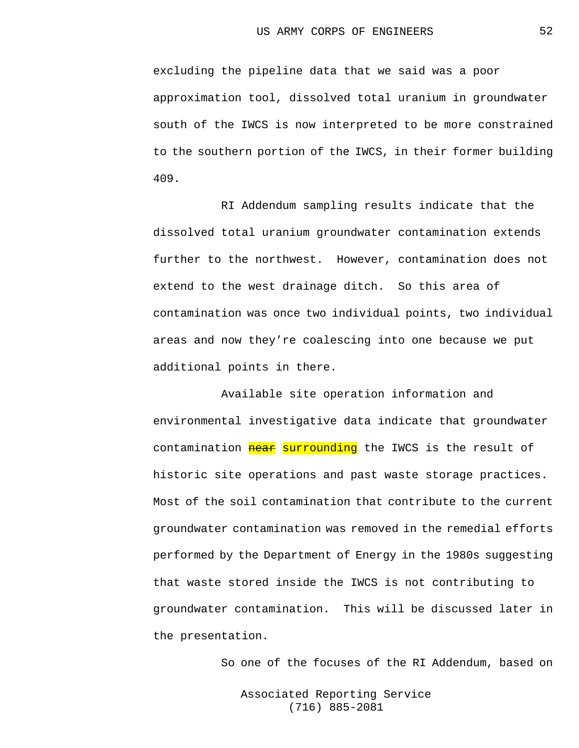excluding the pipeline data that we said was a poor approximation tool, dissolved total uranium in groundwater south of the IWCS is now interpreted to be more constrained to the southern portion of the IWCS, in their former building 409.

RI Addendum sampling results indicate that the dissolved total uranium groundwater contamination extends further to the northwest. However, contamination does not extend to the west drainage ditch. So this area of contamination was once two individual points, two individual areas and now they're coalescing into one because we put additional points in there.

Available site operation information and environmental investigative data indicate that groundwater contamination **near** surrounding the IWCS is the result of historic site operations and past waste storage practices. Most of the soil contamination that contribute to the current groundwater contamination was removed in the remedial efforts performed by the Department of Energy in the 1980s suggesting that waste stored inside the IWCS is not contributing to groundwater contamination. This will be discussed later in the presentation.

So one of the focuses of the RI Addendum, based on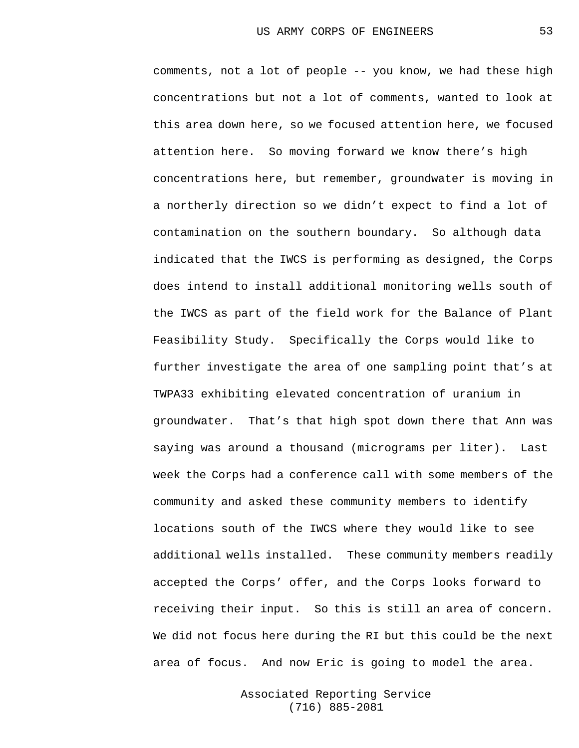comments, not a lot of people -- you know, we had these high concentrations but not a lot of comments, wanted to look at this area down here, so we focused attention here, we focused attention here. So moving forward we know there's high concentrations here, but remember, groundwater is moving in a northerly direction so we didn't expect to find a lot of contamination on the southern boundary. So although data indicated that the IWCS is performing as designed, the Corps does intend to install additional monitoring wells south of the IWCS as part of the field work for the Balance of Plant Feasibility Study. Specifically the Corps would like to further investigate the area of one sampling point that's at TWPA33 exhibiting elevated concentration of uranium in groundwater. That's that high spot down there that Ann was saying was around a thousand (micrograms per liter). Last week the Corps had a conference call with some members of the community and asked these community members to identify locations south of the IWCS where they would like to see additional wells installed. These community members readily accepted the Corps' offer, and the Corps looks forward to receiving their input. So this is still an area of concern. We did not focus here during the RI but this could be the next area of focus. And now Eric is going to model the area.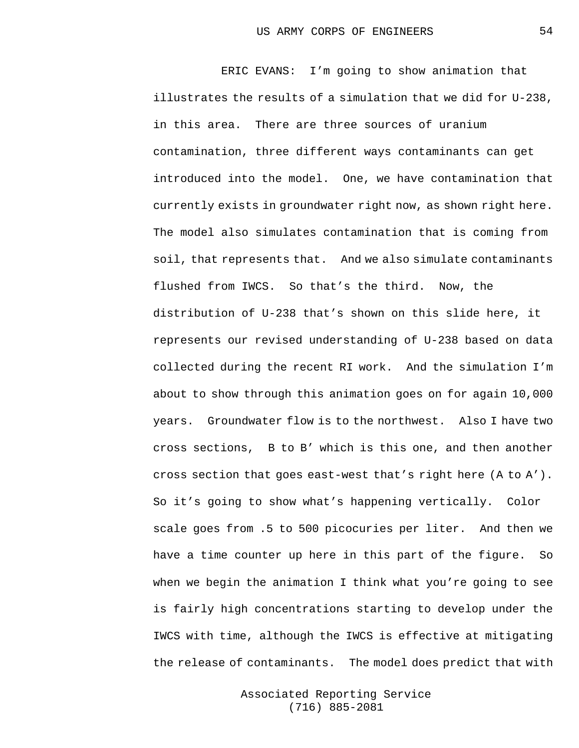ERIC EVANS: I'm going to show animation that illustrates the results of a simulation that we did for U-238, in this area. There are three sources of uranium contamination, three different ways contaminants can get introduced into the model. One, we have contamination that currently exists in groundwater right now, as shown right here. The model also simulates contamination that is coming from soil, that represents that. And we also simulate contaminants flushed from IWCS. So that's the third. Now, the distribution of U-238 that's shown on this slide here, it represents our revised understanding of U-238 based on data collected during the recent RI work. And the simulation I'm about to show through this animation goes on for again 10,000 years. Groundwater flow is to the northwest. Also I have two cross sections, B to B' which is this one, and then another cross section that goes east-west that's right here (A to A'). So it's going to show what's happening vertically. Color scale goes from .5 to 500 picocuries per liter. And then we have a time counter up here in this part of the figure. So when we begin the animation I think what you're going to see is fairly high concentrations starting to develop under the IWCS with time, although the IWCS is effective at mitigating the release of contaminants. The model does predict that with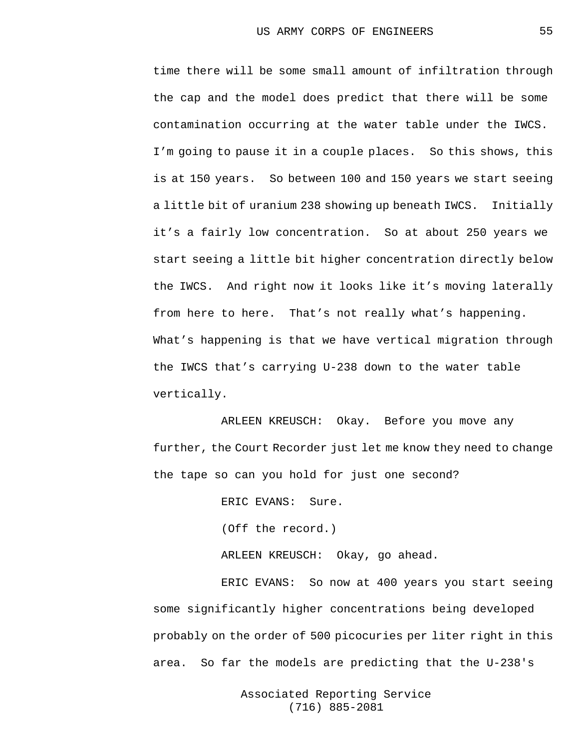time there will be some small amount of infiltration through the cap and the model does predict that there will be some contamination occurring at the water table under the IWCS. I'm going to pause it in a couple places. So this shows, this is at 150 years. So between 100 and 150 years we start seeing a little bit of uranium 238 showing up beneath IWCS. Initially it's a fairly low concentration. So at about 250 years we start seeing a little bit higher concentration directly below the IWCS. And right now it looks like it's moving laterally from here to here. That's not really what's happening. What's happening is that we have vertical migration through the IWCS that's carrying U-238 down to the water table vertically.

ARLEEN KREUSCH: Okay. Before you move any further, the Court Recorder just let me know they need to change the tape so can you hold for just one second?

ERIC EVANS: Sure.

(Off the record.)

ARLEEN KREUSCH: Okay, go ahead.

ERIC EVANS: So now at 400 years you start seeing some significantly higher concentrations being developed probably on the order of 500 picocuries per liter right in this area. So far the models are predicting that the U-238's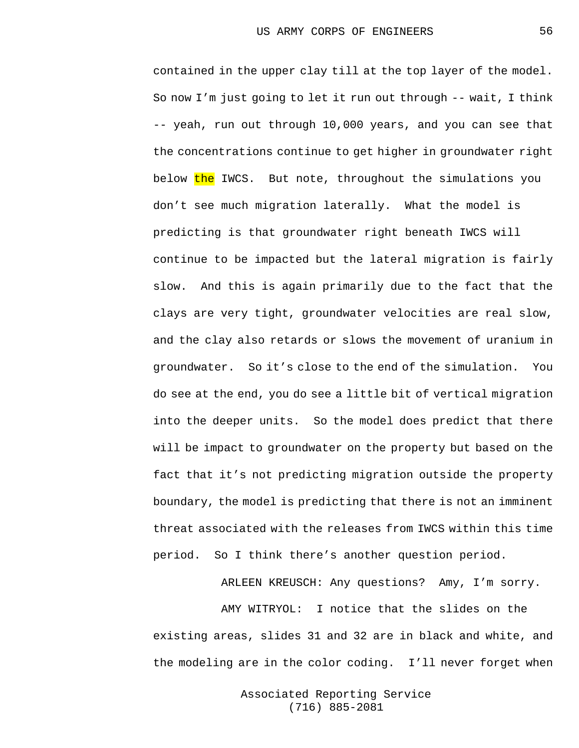contained in the upper clay till at the top layer of the model. So now I'm just going to let it run out through -- wait, I think -- yeah, run out through 10,000 years, and you can see that the concentrations continue to get higher in groundwater right below the IWCS. But note, throughout the simulations you don't see much migration laterally. What the model is predicting is that groundwater right beneath IWCS will continue to be impacted but the lateral migration is fairly slow. And this is again primarily due to the fact that the clays are very tight, groundwater velocities are real slow, and the clay also retards or slows the movement of uranium in groundwater. So it's close to the end of the simulation. You do see at the end, you do see a little bit of vertical migration into the deeper units. So the model does predict that there will be impact to groundwater on the property but based on the fact that it's not predicting migration outside the property boundary, the model is predicting that there is not an imminent threat associated with the releases from IWCS within this time period. So I think there's another question period.

ARLEEN KREUSCH: Any questions? Amy, I'm sorry.

AMY WITRYOL: I notice that the slides on the existing areas, slides 31 and 32 are in black and white, and the modeling are in the color coding. I'll never forget when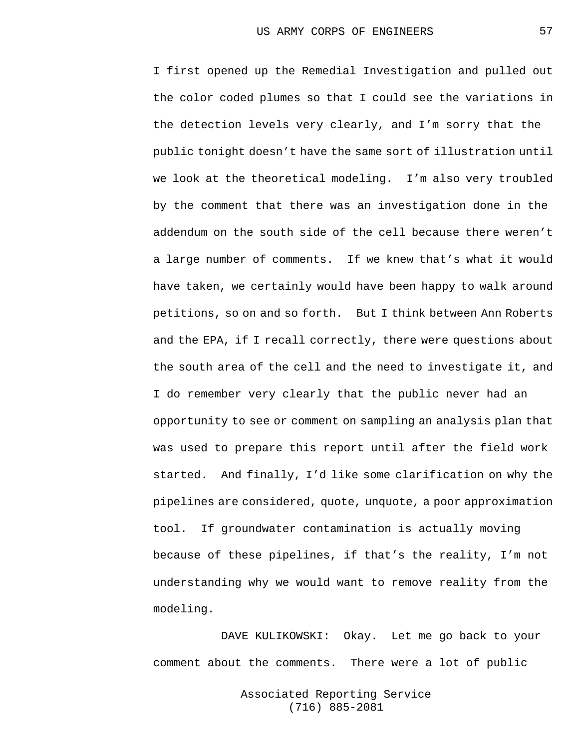I first opened up the Remedial Investigation and pulled out the color coded plumes so that I could see the variations in the detection levels very clearly, and I'm sorry that the public tonight doesn't have the same sort of illustration until we look at the theoretical modeling. I'm also very troubled by the comment that there was an investigation done in the addendum on the south side of the cell because there weren't a large number of comments. If we knew that's what it would have taken, we certainly would have been happy to walk around petitions, so on and so forth. But I think between Ann Roberts and the EPA, if I recall correctly, there were questions about the south area of the cell and the need to investigate it, and I do remember very clearly that the public never had an opportunity to see or comment on sampling an analysis plan that was used to prepare this report until after the field work started. And finally, I'd like some clarification on why the pipelines are considered, quote, unquote, a poor approximation tool. If groundwater contamination is actually moving because of these pipelines, if that's the reality, I'm not understanding why we would want to remove reality from the modeling.

DAVE KULIKOWSKI: Okay. Let me go back to your comment about the comments. There were a lot of public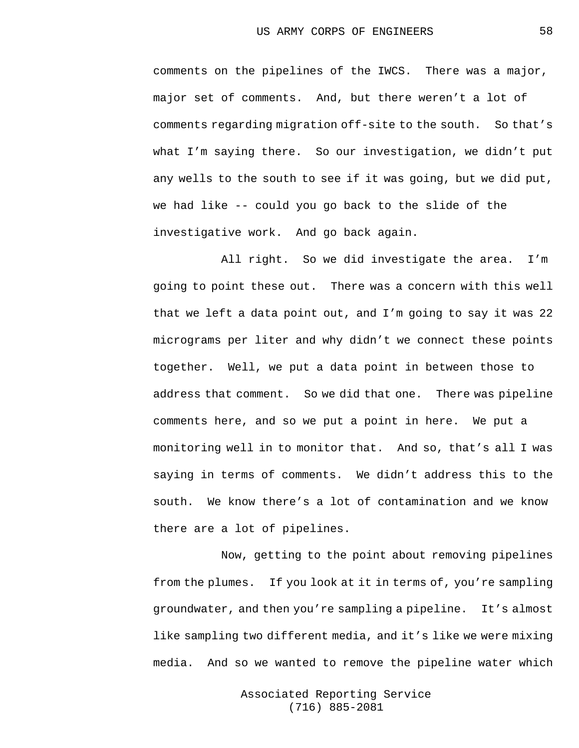comments on the pipelines of the IWCS. There was a major, major set of comments. And, but there weren't a lot of comments regarding migration off-site to the south. So that's what I'm saying there. So our investigation, we didn't put any wells to the south to see if it was going, but we did put, we had like -- could you go back to the slide of the investigative work. And go back again.

All right. So we did investigate the area. I'm going to point these out. There was a concern with this well that we left a data point out, and I'm going to say it was 22 micrograms per liter and why didn't we connect these points together. Well, we put a data point in between those to address that comment. So we did that one. There was pipeline comments here, and so we put a point in here. We put a monitoring well in to monitor that. And so, that's all I was saying in terms of comments. We didn't address this to the south. We know there's a lot of contamination and we know there are a lot of pipelines.

Now, getting to the point about removing pipelines from the plumes. If you look at it in terms of, you're sampling groundwater, and then you're sampling a pipeline. It's almost like sampling two different media, and it's like we were mixing media. And so we wanted to remove the pipeline water which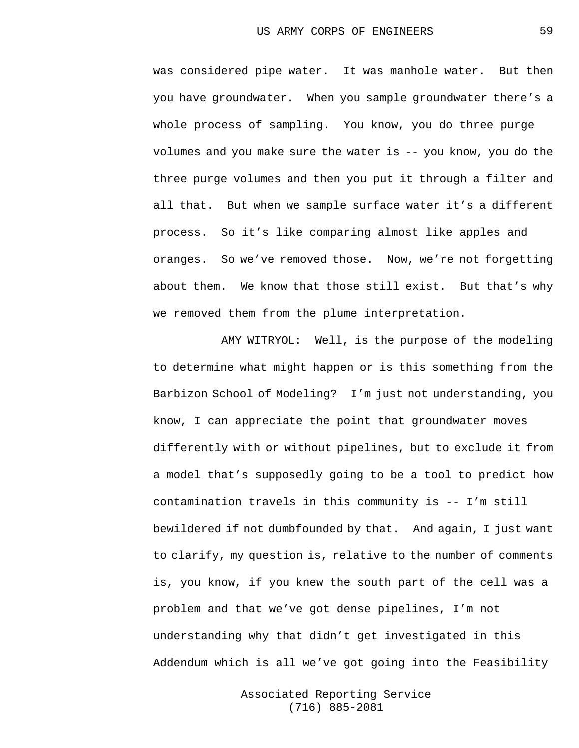was considered pipe water. It was manhole water. But then you have groundwater. When you sample groundwater there's a whole process of sampling. You know, you do three purge volumes and you make sure the water is -- you know, you do the three purge volumes and then you put it through a filter and all that. But when we sample surface water it's a different process. So it's like comparing almost like apples and oranges. So we've removed those. Now, we're not forgetting about them. We know that those still exist. But that's why we removed them from the plume interpretation.

AMY WITRYOL: Well, is the purpose of the modeling to determine what might happen or is this something from the Barbizon School of Modeling? I'm just not understanding, you know, I can appreciate the point that groundwater moves differently with or without pipelines, but to exclude it from a model that's supposedly going to be a tool to predict how contamination travels in this community is -- I'm still bewildered if not dumbfounded by that. And again, I just want to clarify, my question is, relative to the number of comments is, you know, if you knew the south part of the cell was a problem and that we've got dense pipelines, I'm not understanding why that didn't get investigated in this Addendum which is all we've got going into the Feasibility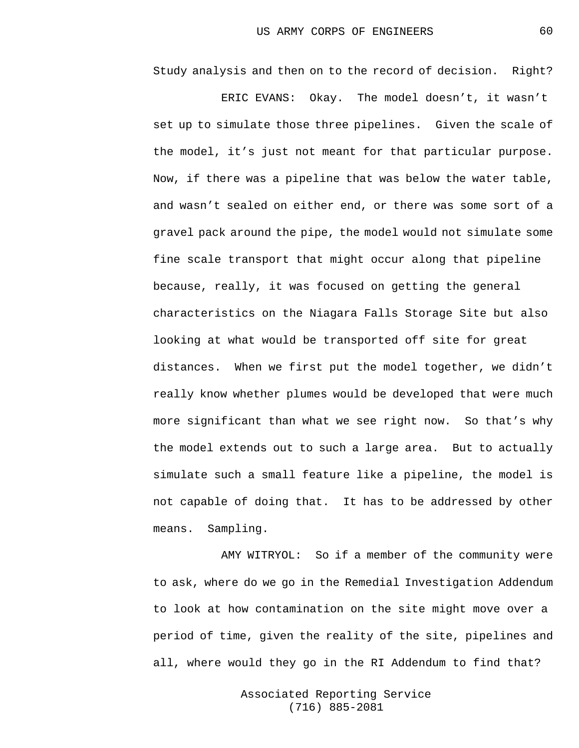Study analysis and then on to the record of decision. Right?

ERIC EVANS: Okay. The model doesn't, it wasn't set up to simulate those three pipelines. Given the scale of the model, it's just not meant for that particular purpose. Now, if there was a pipeline that was below the water table, and wasn't sealed on either end, or there was some sort of a gravel pack around the pipe, the model would not simulate some fine scale transport that might occur along that pipeline because, really, it was focused on getting the general characteristics on the Niagara Falls Storage Site but also looking at what would be transported off site for great distances. When we first put the model together, we didn't really know whether plumes would be developed that were much more significant than what we see right now. So that's why the model extends out to such a large area. But to actually simulate such a small feature like a pipeline, the model is not capable of doing that. It has to be addressed by other means. Sampling.

AMY WITRYOL: So if a member of the community were to ask, where do we go in the Remedial Investigation Addendum to look at how contamination on the site might move over a period of time, given the reality of the site, pipelines and all, where would they go in the RI Addendum to find that?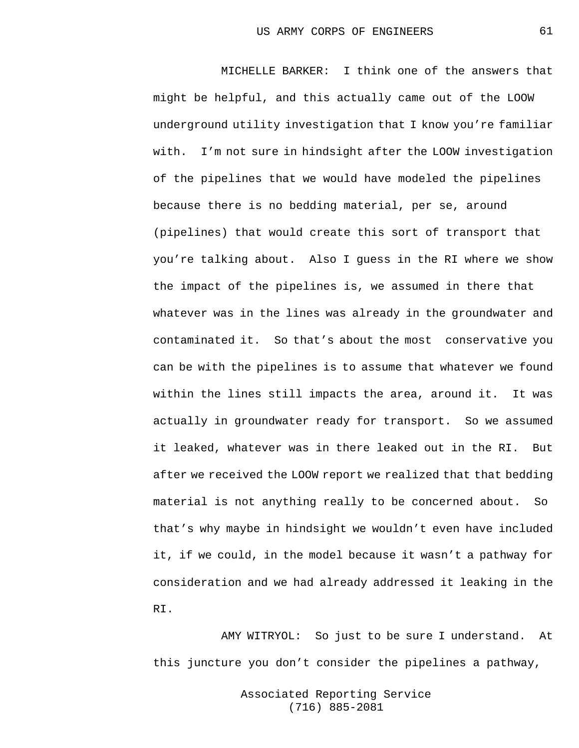MICHELLE BARKER: I think one of the answers that might be helpful, and this actually came out of the LOOW underground utility investigation that I know you're familiar with. I'm not sure in hindsight after the LOOW investigation of the pipelines that we would have modeled the pipelines because there is no bedding material, per se, around (pipelines) that would create this sort of transport that you're talking about. Also I guess in the RI where we show the impact of the pipelines is, we assumed in there that whatever was in the lines was already in the groundwater and contaminated it. So that's about the most conservative you can be with the pipelines is to assume that whatever we found within the lines still impacts the area, around it. It was actually in groundwater ready for transport. So we assumed it leaked, whatever was in there leaked out in the RI. But after we received the LOOW report we realized that that bedding material is not anything really to be concerned about. So that's why maybe in hindsight we wouldn't even have included it, if we could, in the model because it wasn't a pathway for consideration and we had already addressed it leaking in the RI.

AMY WITRYOL: So just to be sure I understand. At this juncture you don't consider the pipelines a pathway,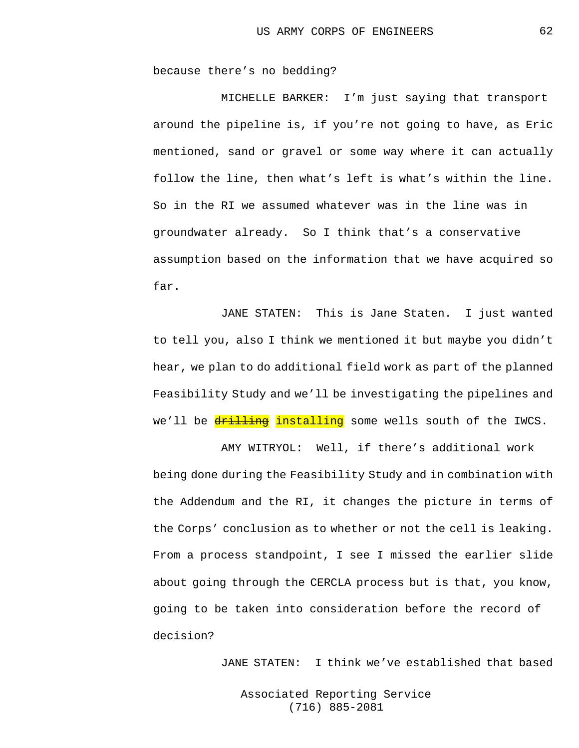because there's no bedding?

MICHELLE BARKER: I'm just saying that transport around the pipeline is, if you're not going to have, as Eric mentioned, sand or gravel or some way where it can actually follow the line, then what's left is what's within the line. So in the RI we assumed whatever was in the line was in groundwater already. So I think that's a conservative assumption based on the information that we have acquired so far.

JANE STATEN: This is Jane Staten. I just wanted to tell you, also I think we mentioned it but maybe you didn't hear, we plan to do additional field work as part of the planned Feasibility Study and we'll be investigating the pipelines and we'll be drilling installing some wells south of the IWCS.

AMY WITRYOL: Well, if there's additional work being done during the Feasibility Study and in combination with the Addendum and the RI, it changes the picture in terms of the Corps' conclusion as to whether or not the cell is leaking. From a process standpoint, I see I missed the earlier slide about going through the CERCLA process but is that, you know, going to be taken into consideration before the record of decision?

JANE STATEN: I think we've established that based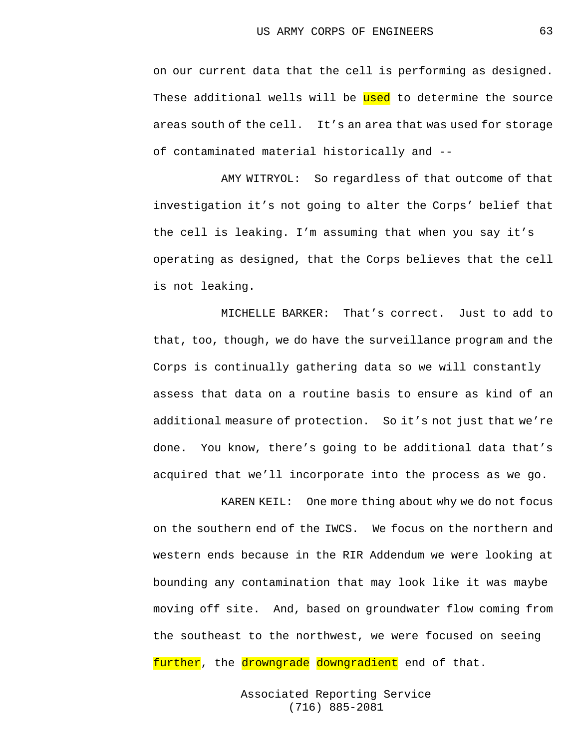on our current data that the cell is performing as designed. These additional wells will be used to determine the source areas south of the cell. It's an area that was used for storage of contaminated material historically and --

AMY WITRYOL: So regardless of that outcome of that investigation it's not going to alter the Corps' belief that the cell is leaking. I'm assuming that when you say it's operating as designed, that the Corps believes that the cell is not leaking.

MICHELLE BARKER: That's correct. Just to add to that, too, though, we do have the surveillance program and the Corps is continually gathering data so we will constantly assess that data on a routine basis to ensure as kind of an additional measure of protection. So it's not just that we're done. You know, there's going to be additional data that's acquired that we'll incorporate into the process as we go.

KAREN KEIL: One more thing about why we do not focus on the southern end of the IWCS. We focus on the northern and western ends because in the RIR Addendum we were looking at bounding any contamination that may look like it was maybe moving off site. And, based on groundwater flow coming from the southeast to the northwest, we were focused on seeing further, the drowngrade downgradient end of that.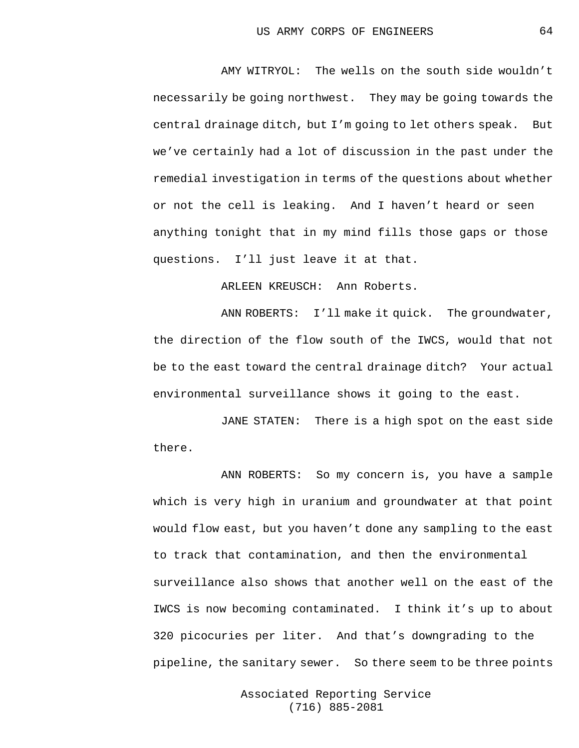AMY WITRYOL: The wells on the south side wouldn't necessarily be going northwest. They may be going towards the central drainage ditch, but I'm going to let others speak. But we've certainly had a lot of discussion in the past under the remedial investigation in terms of the questions about whether or not the cell is leaking. And I haven't heard or seen anything tonight that in my mind fills those gaps or those questions. I'll just leave it at that.

ARLEEN KREUSCH: Ann Roberts.

ANN ROBERTS: I'll make it quick. The groundwater, the direction of the flow south of the IWCS, would that not be to the east toward the central drainage ditch? Your actual environmental surveillance shows it going to the east.

JANE STATEN: There is a high spot on the east side there.

ANN ROBERTS: So my concern is, you have a sample which is very high in uranium and groundwater at that point would flow east, but you haven't done any sampling to the east to track that contamination, and then the environmental surveillance also shows that another well on the east of the IWCS is now becoming contaminated. I think it's up to about 320 picocuries per liter. And that's downgrading to the pipeline, the sanitary sewer. So there seem to be three points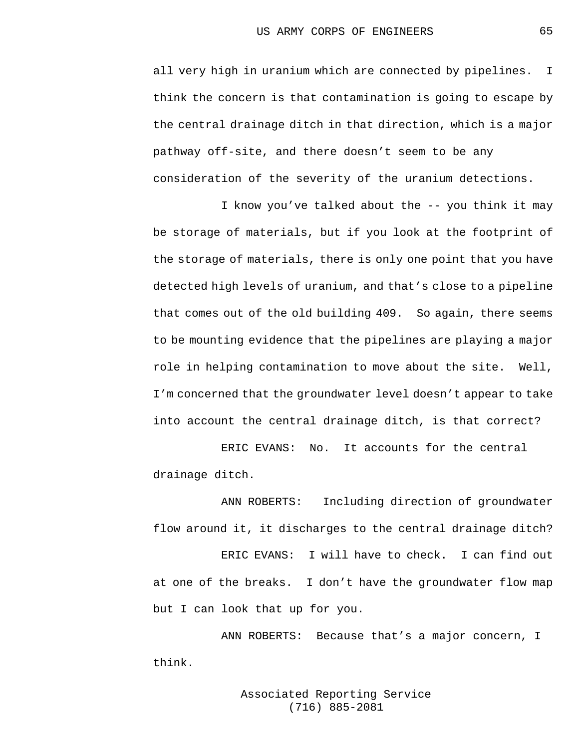all very high in uranium which are connected by pipelines. I think the concern is that contamination is going to escape by the central drainage ditch in that direction, which is a major pathway off-site, and there doesn't seem to be any consideration of the severity of the uranium detections.

I know you've talked about the -- you think it may be storage of materials, but if you look at the footprint of the storage of materials, there is only one point that you have detected high levels of uranium, and that's close to a pipeline that comes out of the old building 409. So again, there seems to be mounting evidence that the pipelines are playing a major role in helping contamination to move about the site. Well, I'm concerned that the groundwater level doesn't appear to take into account the central drainage ditch, is that correct?

ERIC EVANS: No. It accounts for the central drainage ditch.

ANN ROBERTS: Including direction of groundwater flow around it, it discharges to the central drainage ditch?

ERIC EVANS: I will have to check. I can find out at one of the breaks. I don't have the groundwater flow map but I can look that up for you.

ANN ROBERTS: Because that's a major concern, I think.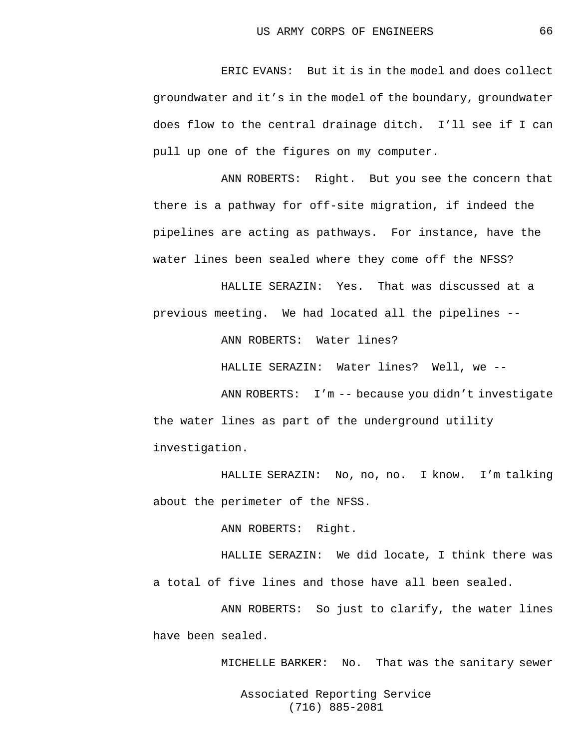ERIC EVANS: But it is in the model and does collect groundwater and it's in the model of the boundary, groundwater does flow to the central drainage ditch. I'll see if I can pull up one of the figures on my computer.

ANN ROBERTS: Right. But you see the concern that there is a pathway for off-site migration, if indeed the pipelines are acting as pathways. For instance, have the water lines been sealed where they come off the NFSS?

HALLIE SERAZIN: Yes. That was discussed at a previous meeting. We had located all the pipelines --

ANN ROBERTS: Water lines?

HALLIE SERAZIN: Water lines? Well, we --

ANN ROBERTS: I'm -- because you didn't investigate the water lines as part of the underground utility investigation.

HALLIE SERAZIN: No, no, no. I know. I'm talking about the perimeter of the NFSS.

ANN ROBERTS: Right.

HALLIE SERAZIN: We did locate, I think there was a total of five lines and those have all been sealed.

ANN ROBERTS: So just to clarify, the water lines have been sealed.

MICHELLE BARKER: No. That was the sanitary sewer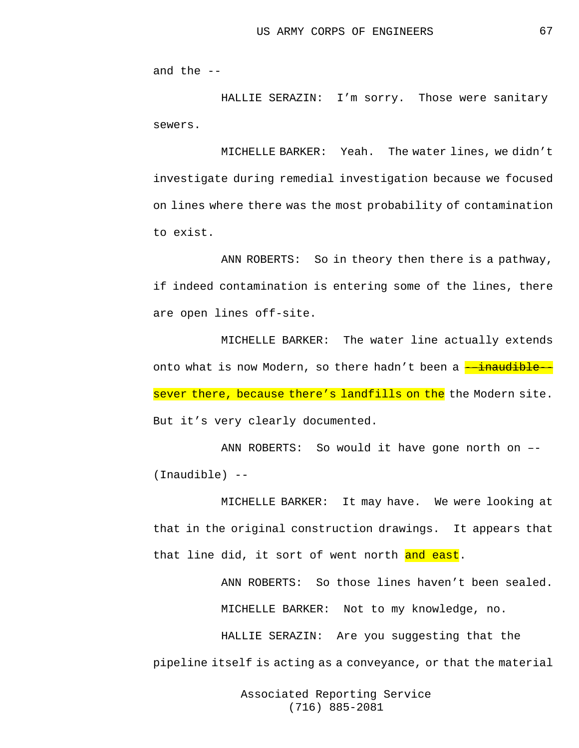and the --

HALLIE SERAZIN: I'm sorry. Those were sanitary sewers.

MICHELLE BARKER: Yeah. The water lines, we didn't investigate during remedial investigation because we focused on lines where there was the most probability of contamination to exist.

ANN ROBERTS: So in theory then there is a pathway, if indeed contamination is entering some of the lines, there are open lines off-site.

MICHELLE BARKER: The water line actually extends onto what is now Modern, so there hadn't been a --inaudiblesever there, because there's landfills on the the Modern site. But it's very clearly documented.

ANN ROBERTS: So would it have gone north on –- (Inaudible) --

MICHELLE BARKER: It may have. We were looking at that in the original construction drawings. It appears that that line did, it sort of went north and east.

> ANN ROBERTS: So those lines haven't been sealed. MICHELLE BARKER: Not to my knowledge, no.

HALLIE SERAZIN: Are you suggesting that the pipeline itself is acting as a conveyance, or that the material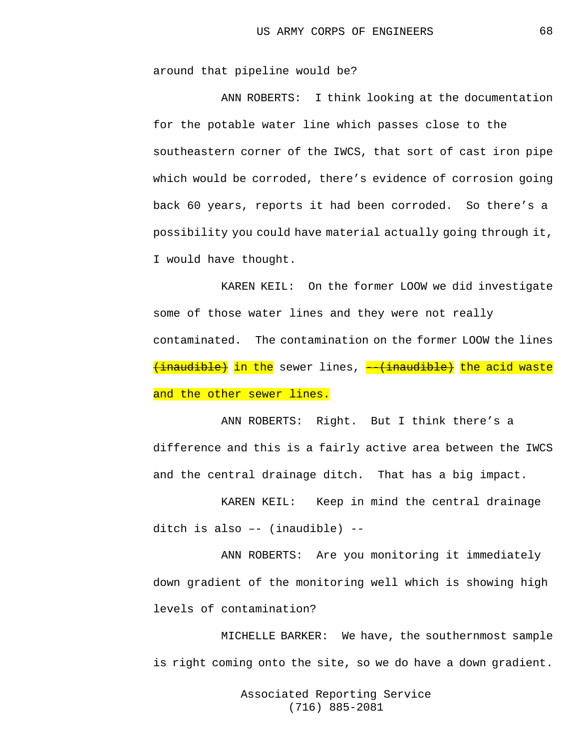around that pipeline would be?

ANN ROBERTS: I think looking at the documentation for the potable water line which passes close to the southeastern corner of the IWCS, that sort of cast iron pipe which would be corroded, there's evidence of corrosion going back 60 years, reports it had been corroded. So there's a possibility you could have material actually going through it, I would have thought.

KAREN KEIL: On the former LOOW we did investigate some of those water lines and they were not really contaminated. The contamination on the former LOOW the lines (inaudible) in the sewer lines, --(inaudible) the acid waste and the other sewer lines.

ANN ROBERTS: Right. But I think there's a difference and this is a fairly active area between the IWCS and the central drainage ditch. That has a big impact.

KAREN KEIL: Keep in mind the central drainage ditch is also –- (inaudible) --

ANN ROBERTS: Are you monitoring it immediately down gradient of the monitoring well which is showing high levels of contamination?

MICHELLE BARKER: We have, the southernmost sample is right coming onto the site, so we do have a down gradient.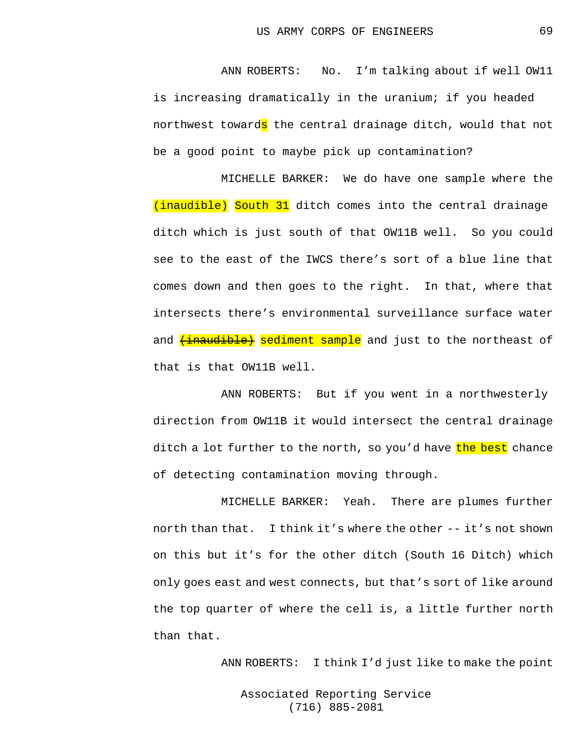ANN ROBERTS: No. I'm talking about if well OW11 is increasing dramatically in the uranium; if you headed northwest towards the central drainage ditch, would that not be a good point to maybe pick up contamination?

MICHELLE BARKER: We do have one sample where the (inaudible) South 31 ditch comes into the central drainage ditch which is just south of that OW11B well. So you could see to the east of the IWCS there's sort of a blue line that comes down and then goes to the right. In that, where that intersects there's environmental surveillance surface water and  $\frac{1}{100}$  and  $\frac{1}{100}$  sediment sample and just to the northeast of that is that OW11B well.

ANN ROBERTS: But if you went in a northwesterly direction from OW11B it would intersect the central drainage ditch a lot further to the north, so you'd have the best chance of detecting contamination moving through.

MICHELLE BARKER: Yeah. There are plumes further north than that. I think it's where the other -- it's not shown on this but it's for the other ditch (South 16 Ditch) which only goes east and west connects, but that's sort of like around the top quarter of where the cell is, a little further north than that.

ANN ROBERTS: I think I'd just like to make the point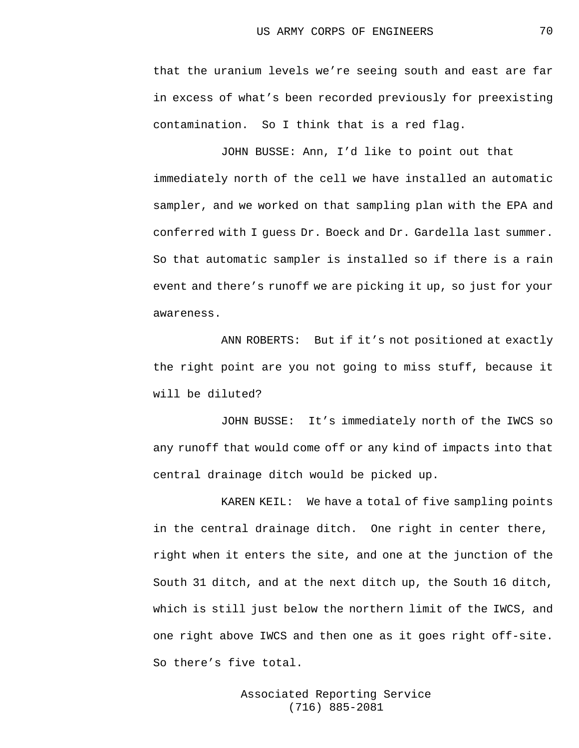that the uranium levels we're seeing south and east are far in excess of what's been recorded previously for preexisting contamination. So I think that is a red flag.

JOHN BUSSE: Ann, I'd like to point out that immediately north of the cell we have installed an automatic sampler, and we worked on that sampling plan with the EPA and conferred with I guess Dr. Boeck and Dr. Gardella last summer. So that automatic sampler is installed so if there is a rain event and there's runoff we are picking it up, so just for your awareness.

ANN ROBERTS: But if it's not positioned at exactly the right point are you not going to miss stuff, because it will be diluted?

JOHN BUSSE: It's immediately north of the IWCS so any runoff that would come off or any kind of impacts into that central drainage ditch would be picked up.

KAREN KEIL: We have a total of five sampling points in the central drainage ditch. One right in center there, right when it enters the site, and one at the junction of the South 31 ditch, and at the next ditch up, the South 16 ditch, which is still just below the northern limit of the IWCS, and one right above IWCS and then one as it goes right off-site. So there's five total.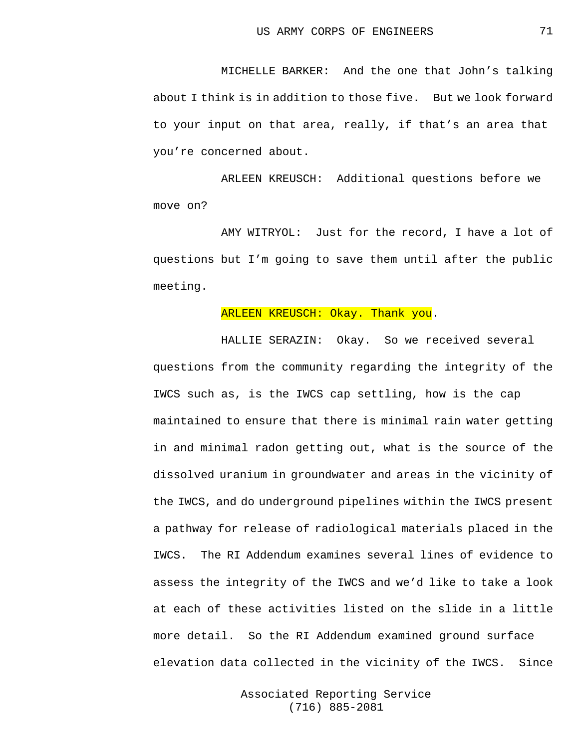MICHELLE BARKER: And the one that John's talking about I think is in addition to those five. But we look forward to your input on that area, really, if that's an area that you're concerned about.

ARLEEN KREUSCH: Additional questions before we move on?

AMY WITRYOL: Just for the record, I have a lot of questions but I'm going to save them until after the public meeting.

## ARLEEN KREUSCH: Okay. Thank you.

HALLIE SERAZIN: Okay. So we received several questions from the community regarding the integrity of the IWCS such as, is the IWCS cap settling, how is the cap maintained to ensure that there is minimal rain water getting in and minimal radon getting out, what is the source of the dissolved uranium in groundwater and areas in the vicinity of the IWCS, and do underground pipelines within the IWCS present a pathway for release of radiological materials placed in the IWCS. The RI Addendum examines several lines of evidence to assess the integrity of the IWCS and we'd like to take a look at each of these activities listed on the slide in a little more detail. So the RI Addendum examined ground surface elevation data collected in the vicinity of the IWCS. Since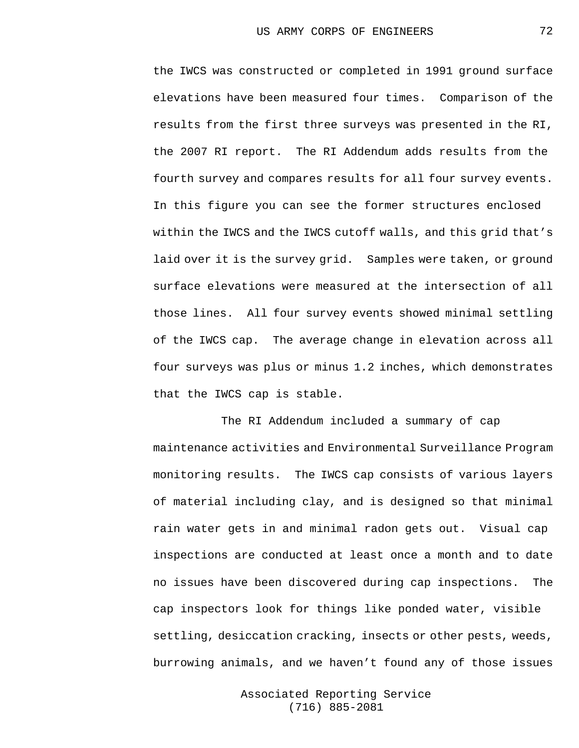the IWCS was constructed or completed in 1991 ground surface elevations have been measured four times. Comparison of the results from the first three surveys was presented in the RI, the 2007 RI report. The RI Addendum adds results from the fourth survey and compares results for all four survey events. In this figure you can see the former structures enclosed within the IWCS and the IWCS cutoff walls, and this grid that's laid over it is the survey grid. Samples were taken, or ground surface elevations were measured at the intersection of all those lines. All four survey events showed minimal settling of the IWCS cap. The average change in elevation across all four surveys was plus or minus 1.2 inches, which demonstrates that the IWCS cap is stable.

The RI Addendum included a summary of cap maintenance activities and Environmental Surveillance Program monitoring results. The IWCS cap consists of various layers of material including clay, and is designed so that minimal rain water gets in and minimal radon gets out. Visual cap inspections are conducted at least once a month and to date no issues have been discovered during cap inspections. The cap inspectors look for things like ponded water, visible settling, desiccation cracking, insects or other pests, weeds, burrowing animals, and we haven't found any of those issues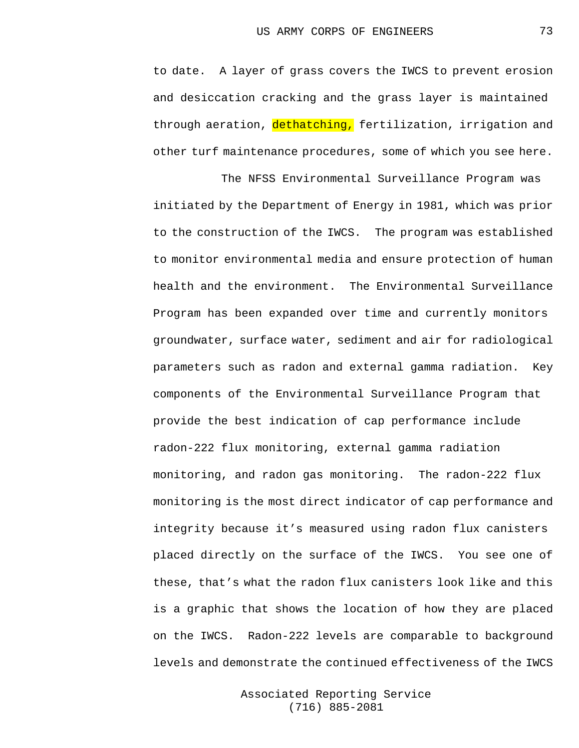to date. A layer of grass covers the IWCS to prevent erosion and desiccation cracking and the grass layer is maintained through aeration, dethatching, fertilization, irrigation and other turf maintenance procedures, some of which you see here.

The NFSS Environmental Surveillance Program was initiated by the Department of Energy in 1981, which was prior to the construction of the IWCS. The program was established to monitor environmental media and ensure protection of human health and the environment. The Environmental Surveillance Program has been expanded over time and currently monitors groundwater, surface water, sediment and air for radiological parameters such as radon and external gamma radiation. Key components of the Environmental Surveillance Program that provide the best indication of cap performance include radon-222 flux monitoring, external gamma radiation monitoring, and radon gas monitoring. The radon-222 flux monitoring is the most direct indicator of cap performance and integrity because it's measured using radon flux canisters placed directly on the surface of the IWCS. You see one of these, that's what the radon flux canisters look like and this is a graphic that shows the location of how they are placed on the IWCS. Radon-222 levels are comparable to background levels and demonstrate the continued effectiveness of the IWCS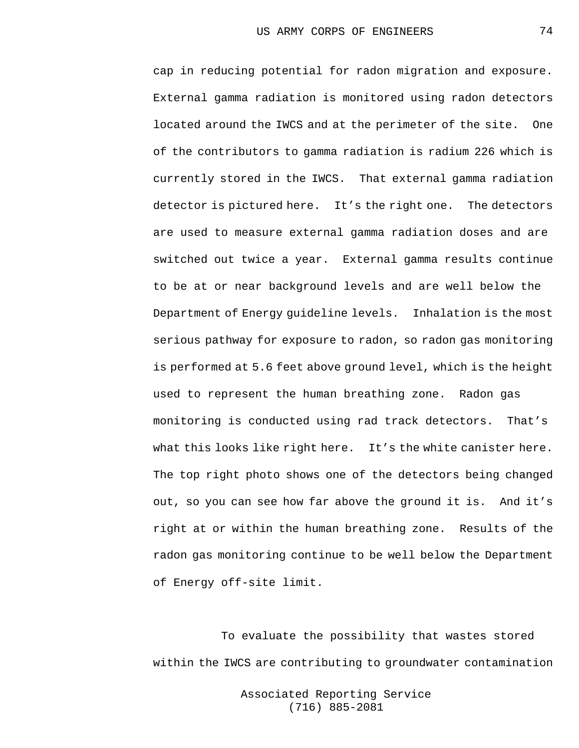cap in reducing potential for radon migration and exposure. External gamma radiation is monitored using radon detectors located around the IWCS and at the perimeter of the site. One of the contributors to gamma radiation is radium 226 which is currently stored in the IWCS. That external gamma radiation detector is pictured here. It's the right one. The detectors are used to measure external gamma radiation doses and are switched out twice a year. External gamma results continue to be at or near background levels and are well below the Department of Energy guideline levels. Inhalation is the most serious pathway for exposure to radon, so radon gas monitoring is performed at 5.6 feet above ground level, which is the height used to represent the human breathing zone. Radon gas monitoring is conducted using rad track detectors. That's what this looks like right here. It's the white canister here. The top right photo shows one of the detectors being changed out, so you can see how far above the ground it is. And it's right at or within the human breathing zone. Results of the radon gas monitoring continue to be well below the Department of Energy off-site limit.

To evaluate the possibility that wastes stored within the IWCS are contributing to groundwater contamination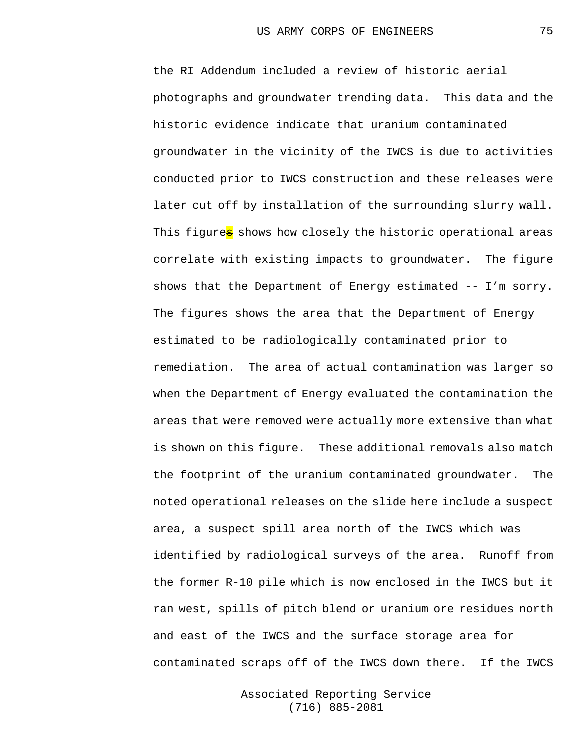the RI Addendum included a review of historic aerial photographs and groundwater trending data. This data and the historic evidence indicate that uranium contaminated groundwater in the vicinity of the IWCS is due to activities conducted prior to IWCS construction and these releases were later cut off by installation of the surrounding slurry wall. This figures shows how closely the historic operational areas correlate with existing impacts to groundwater. The figure shows that the Department of Energy estimated -- I'm sorry. The figures shows the area that the Department of Energy estimated to be radiologically contaminated prior to remediation. The area of actual contamination was larger so when the Department of Energy evaluated the contamination the areas that were removed were actually more extensive than what is shown on this figure. These additional removals also match the footprint of the uranium contaminated groundwater. The noted operational releases on the slide here include a suspect area, a suspect spill area north of the IWCS which was identified by radiological surveys of the area. Runoff from the former R-10 pile which is now enclosed in the IWCS but it ran west, spills of pitch blend or uranium ore residues north and east of the IWCS and the surface storage area for contaminated scraps off of the IWCS down there. If the IWCS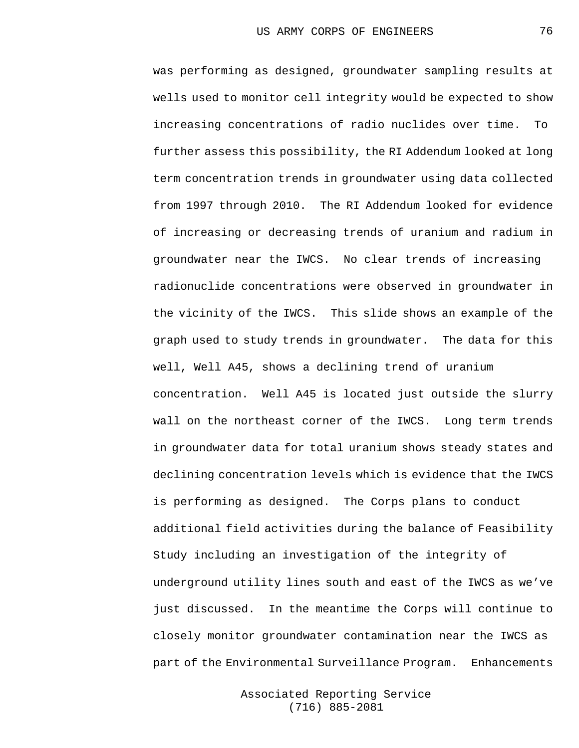was performing as designed, groundwater sampling results at wells used to monitor cell integrity would be expected to show increasing concentrations of radio nuclides over time. To further assess this possibility, the RI Addendum looked at long term concentration trends in groundwater using data collected from 1997 through 2010. The RI Addendum looked for evidence of increasing or decreasing trends of uranium and radium in groundwater near the IWCS. No clear trends of increasing radionuclide concentrations were observed in groundwater in the vicinity of the IWCS. This slide shows an example of the graph used to study trends in groundwater. The data for this well, Well A45, shows a declining trend of uranium concentration. Well A45 is located just outside the slurry wall on the northeast corner of the IWCS. Long term trends in groundwater data for total uranium shows steady states and declining concentration levels which is evidence that the IWCS is performing as designed. The Corps plans to conduct additional field activities during the balance of Feasibility Study including an investigation of the integrity of underground utility lines south and east of the IWCS as we've just discussed. In the meantime the Corps will continue to closely monitor groundwater contamination near the IWCS as part of the Environmental Surveillance Program. Enhancements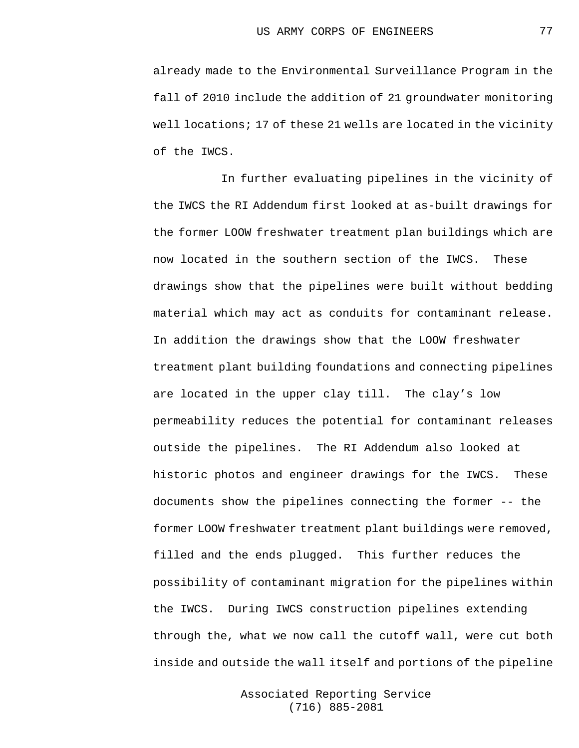already made to the Environmental Surveillance Program in the fall of 2010 include the addition of 21 groundwater monitoring well locations; 17 of these 21 wells are located in the vicinity of the IWCS.

In further evaluating pipelines in the vicinity of the IWCS the RI Addendum first looked at as-built drawings for the former LOOW freshwater treatment plan buildings which are now located in the southern section of the IWCS. These drawings show that the pipelines were built without bedding material which may act as conduits for contaminant release. In addition the drawings show that the LOOW freshwater treatment plant building foundations and connecting pipelines are located in the upper clay till. The clay's low permeability reduces the potential for contaminant releases outside the pipelines. The RI Addendum also looked at historic photos and engineer drawings for the IWCS. These documents show the pipelines connecting the former -- the former LOOW freshwater treatment plant buildings were removed, filled and the ends plugged. This further reduces the possibility of contaminant migration for the pipelines within the IWCS. During IWCS construction pipelines extending through the, what we now call the cutoff wall, were cut both inside and outside the wall itself and portions of the pipeline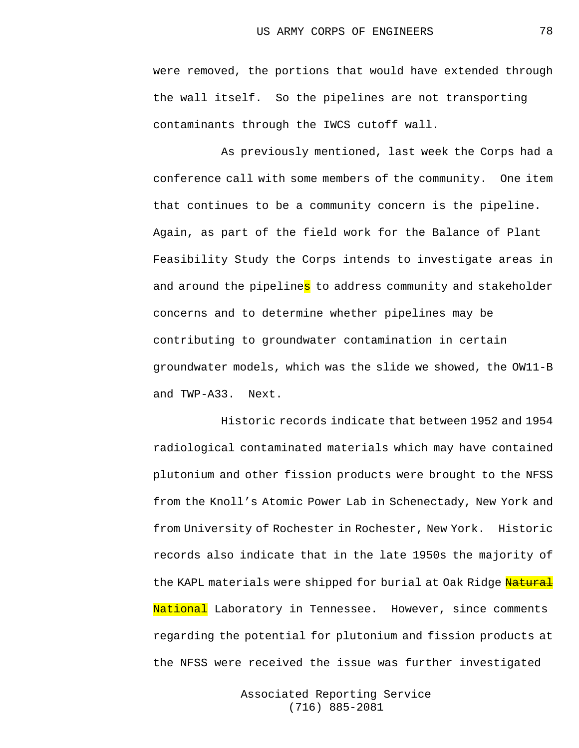were removed, the portions that would have extended through the wall itself. So the pipelines are not transporting contaminants through the IWCS cutoff wall.

As previously mentioned, last week the Corps had a conference call with some members of the community. One item that continues to be a community concern is the pipeline. Again, as part of the field work for the Balance of Plant Feasibility Study the Corps intends to investigate areas in and around the pipelines to address community and stakeholder concerns and to determine whether pipelines may be contributing to groundwater contamination in certain groundwater models, which was the slide we showed, the OW11-B and TWP-A33. Next.

Historic records indicate that between 1952 and 1954 radiological contaminated materials which may have contained plutonium and other fission products were brought to the NFSS from the Knoll's Atomic Power Lab in Schenectady, New York and from University of Rochester in Rochester, New York. Historic records also indicate that in the late 1950s the majority of the KAPL materials were shipped for burial at Oak Ridge Natural National Laboratory in Tennessee. However, since comments regarding the potential for plutonium and fission products at the NFSS were received the issue was further investigated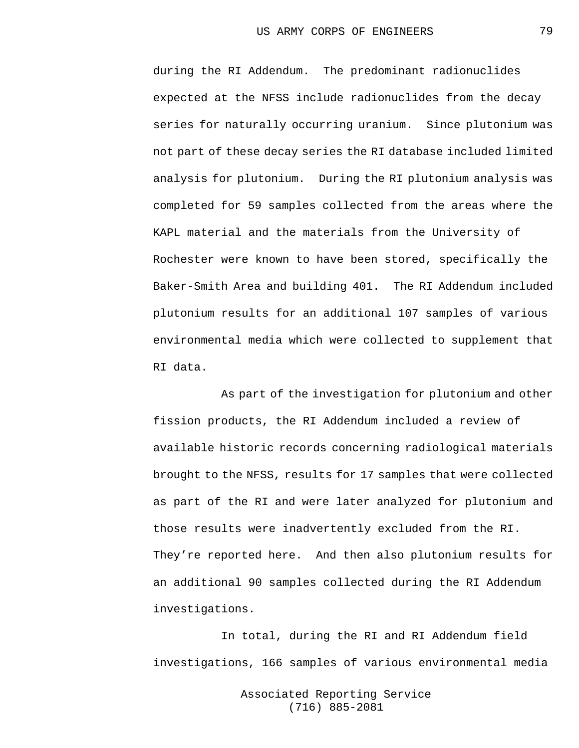during the RI Addendum. The predominant radionuclides expected at the NFSS include radionuclides from the decay series for naturally occurring uranium. Since plutonium was not part of these decay series the RI database included limited analysis for plutonium. During the RI plutonium analysis was completed for 59 samples collected from the areas where the KAPL material and the materials from the University of Rochester were known to have been stored, specifically the Baker-Smith Area and building 401. The RI Addendum included plutonium results for an additional 107 samples of various environmental media which were collected to supplement that RI data.

As part of the investigation for plutonium and other fission products, the RI Addendum included a review of available historic records concerning radiological materials brought to the NFSS, results for 17 samples that were collected as part of the RI and were later analyzed for plutonium and those results were inadvertently excluded from the RI. They're reported here. And then also plutonium results for an additional 90 samples collected during the RI Addendum investigations.

In total, during the RI and RI Addendum field investigations, 166 samples of various environmental media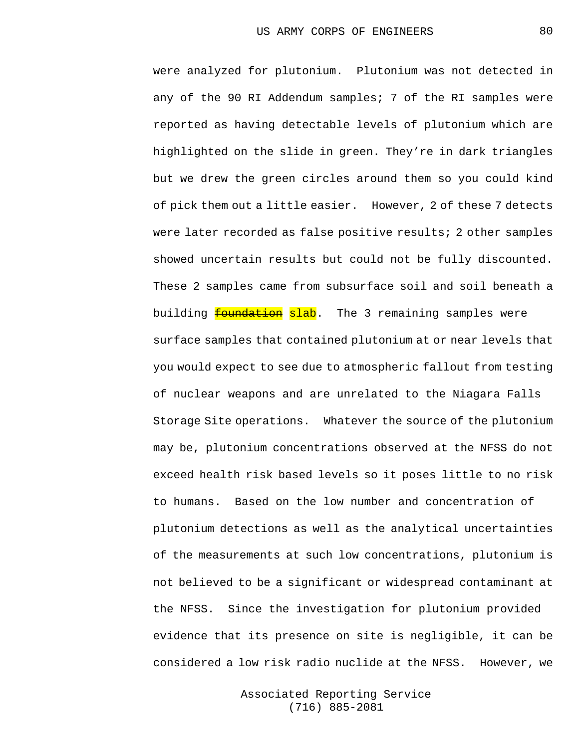were analyzed for plutonium. Plutonium was not detected in any of the 90 RI Addendum samples; 7 of the RI samples were reported as having detectable levels of plutonium which are highlighted on the slide in green. They're in dark triangles but we drew the green circles around them so you could kind of pick them out a little easier. However, 2 of these 7 detects were later recorded as false positive results; 2 other samples showed uncertain results but could not be fully discounted. These 2 samples came from subsurface soil and soil beneath a building foundation slab. The 3 remaining samples were surface samples that contained plutonium at or near levels that you would expect to see due to atmospheric fallout from testing of nuclear weapons and are unrelated to the Niagara Falls Storage Site operations. Whatever the source of the plutonium may be, plutonium concentrations observed at the NFSS do not exceed health risk based levels so it poses little to no risk to humans. Based on the low number and concentration of plutonium detections as well as the analytical uncertainties of the measurements at such low concentrations, plutonium is not believed to be a significant or widespread contaminant at the NFSS. Since the investigation for plutonium provided evidence that its presence on site is negligible, it can be considered a low risk radio nuclide at the NFSS. However, we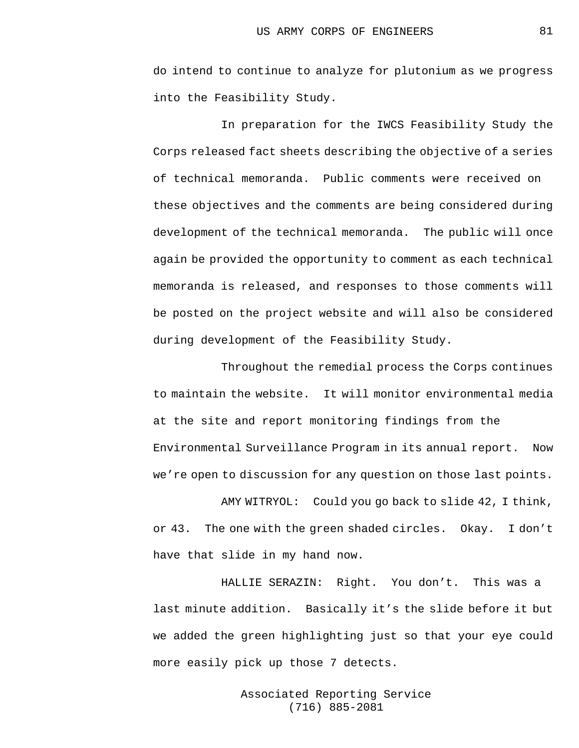do intend to continue to analyze for plutonium as we progress into the Feasibility Study.

In preparation for the IWCS Feasibility Study the Corps released fact sheets describing the objective of a series of technical memoranda. Public comments were received on these objectives and the comments are being considered during development of the technical memoranda. The public will once again be provided the opportunity to comment as each technical memoranda is released, and responses to those comments will be posted on the project website and will also be considered during development of the Feasibility Study.

Throughout the remedial process the Corps continues to maintain the website. It will monitor environmental media at the site and report monitoring findings from the Environmental Surveillance Program in its annual report. Now we're open to discussion for any question on those last points.

AMY WITRYOL: Could you go back to slide 42, I think, or 43. The one with the green shaded circles. Okay. I don't have that slide in my hand now.

HALLIE SERAZIN: Right. You don't. This was a last minute addition. Basically it's the slide before it but we added the green highlighting just so that your eye could more easily pick up those 7 detects.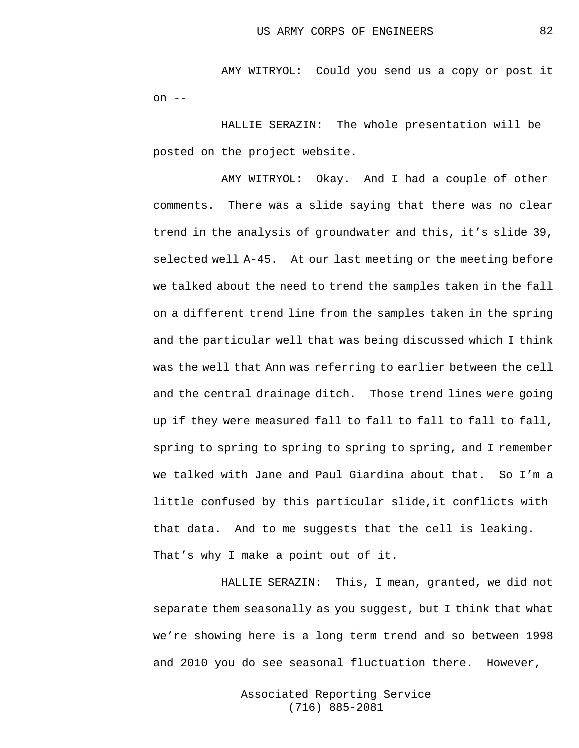AMY WITRYOL: Could you send us a copy or post it  $\cap$ n --

HALLIE SERAZIN: The whole presentation will be posted on the project website.

AMY WITRYOL: Okay. And I had a couple of other comments. There was a slide saying that there was no clear trend in the analysis of groundwater and this, it's slide 39, selected well A-45. At our last meeting or the meeting before we talked about the need to trend the samples taken in the fall on a different trend line from the samples taken in the spring and the particular well that was being discussed which I think was the well that Ann was referring to earlier between the cell and the central drainage ditch. Those trend lines were going up if they were measured fall to fall to fall to fall to fall, spring to spring to spring to spring to spring, and I remember we talked with Jane and Paul Giardina about that. So I'm a little confused by this particular slide,it conflicts with that data. And to me suggests that the cell is leaking. That's why I make a point out of it.

HALLIE SERAZIN: This, I mean, granted, we did not separate them seasonally as you suggest, but I think that what we're showing here is a long term trend and so between 1998 and 2010 you do see seasonal fluctuation there. However,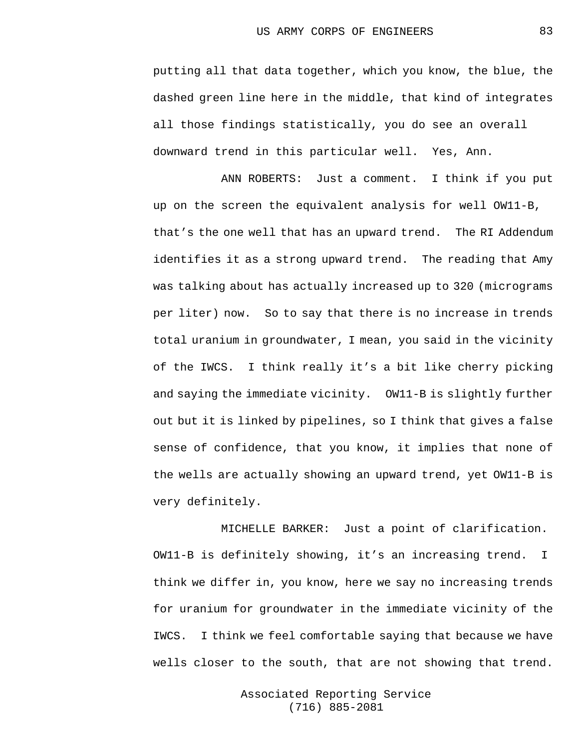putting all that data together, which you know, the blue, the dashed green line here in the middle, that kind of integrates all those findings statistically, you do see an overall downward trend in this particular well. Yes, Ann.

ANN ROBERTS: Just a comment. I think if you put up on the screen the equivalent analysis for well OW11-B, that's the one well that has an upward trend. The RI Addendum identifies it as a strong upward trend. The reading that Amy was talking about has actually increased up to 320 (micrograms per liter) now. So to say that there is no increase in trends total uranium in groundwater, I mean, you said in the vicinity of the IWCS. I think really it's a bit like cherry picking and saying the immediate vicinity. OW11-B is slightly further out but it is linked by pipelines, so I think that gives a false sense of confidence, that you know, it implies that none of the wells are actually showing an upward trend, yet OW11-B is very definitely.

MICHELLE BARKER: Just a point of clarification. OW11-B is definitely showing, it's an increasing trend. I think we differ in, you know, here we say no increasing trends for uranium for groundwater in the immediate vicinity of the IWCS. I think we feel comfortable saying that because we have wells closer to the south, that are not showing that trend.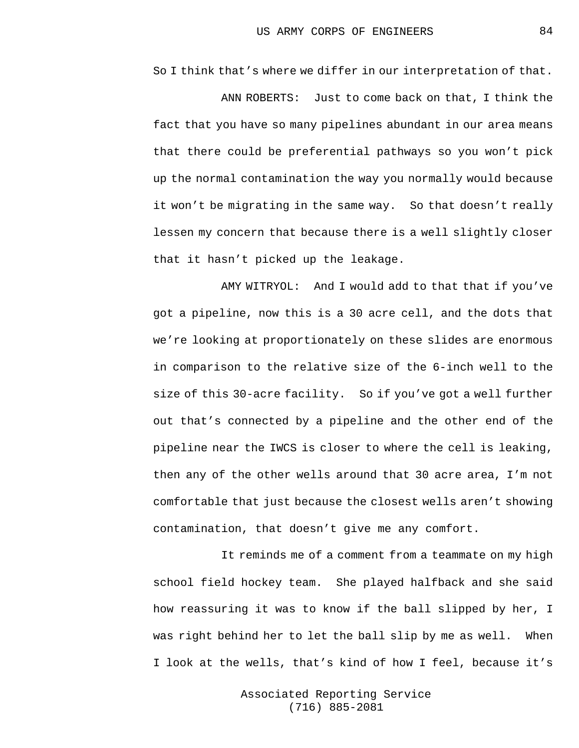So I think that's where we differ in our interpretation of that.

ANN ROBERTS: Just to come back on that, I think the fact that you have so many pipelines abundant in our area means that there could be preferential pathways so you won't pick up the normal contamination the way you normally would because it won't be migrating in the same way. So that doesn't really lessen my concern that because there is a well slightly closer that it hasn't picked up the leakage.

AMY WITRYOL: And I would add to that that if you've got a pipeline, now this is a 30 acre cell, and the dots that we're looking at proportionately on these slides are enormous in comparison to the relative size of the 6-inch well to the size of this 30-acre facility. So if you've got a well further out that's connected by a pipeline and the other end of the pipeline near the IWCS is closer to where the cell is leaking, then any of the other wells around that 30 acre area, I'm not comfortable that just because the closest wells aren't showing contamination, that doesn't give me any comfort.

It reminds me of a comment from a teammate on my high school field hockey team. She played halfback and she said how reassuring it was to know if the ball slipped by her, I was right behind her to let the ball slip by me as well. When I look at the wells, that's kind of how I feel, because it's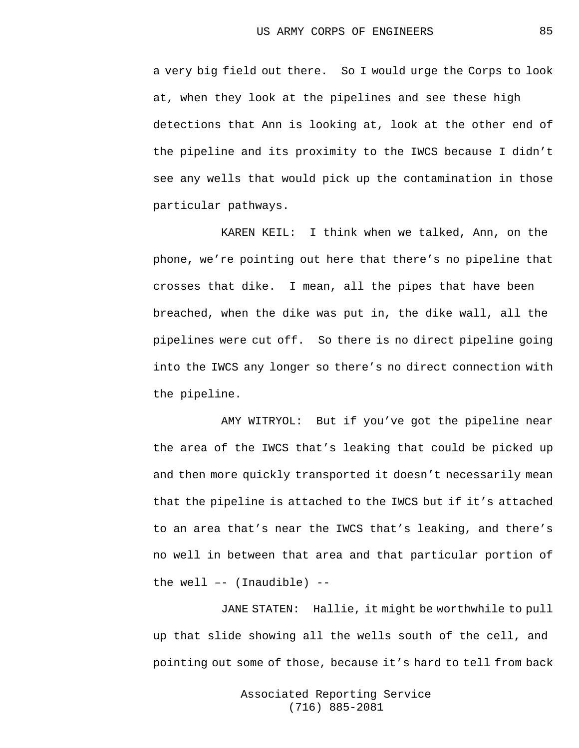a very big field out there. So I would urge the Corps to look at, when they look at the pipelines and see these high detections that Ann is looking at, look at the other end of the pipeline and its proximity to the IWCS because I didn't see any wells that would pick up the contamination in those particular pathways.

KAREN KEIL: I think when we talked, Ann, on the phone, we're pointing out here that there's no pipeline that crosses that dike. I mean, all the pipes that have been breached, when the dike was put in, the dike wall, all the pipelines were cut off. So there is no direct pipeline going into the IWCS any longer so there's no direct connection with the pipeline.

AMY WITRYOL: But if you've got the pipeline near the area of the IWCS that's leaking that could be picked up and then more quickly transported it doesn't necessarily mean that the pipeline is attached to the IWCS but if it's attached to an area that's near the IWCS that's leaking, and there's no well in between that area and that particular portion of the well –- (Inaudible) --

JANE STATEN: Hallie, it might be worthwhile to pull up that slide showing all the wells south of the cell, and pointing out some of those, because it's hard to tell from back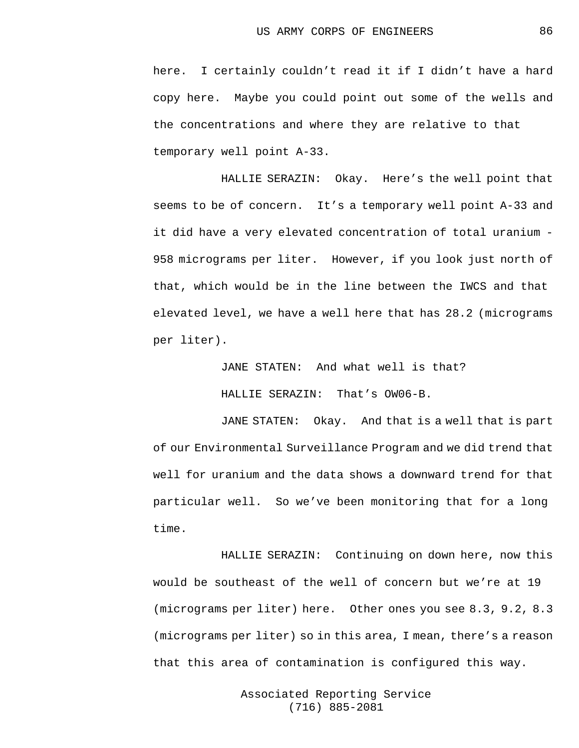here. I certainly couldn't read it if I didn't have a hard copy here. Maybe you could point out some of the wells and the concentrations and where they are relative to that temporary well point A-33.

HALLIE SERAZIN: Okay. Here's the well point that seems to be of concern. It's a temporary well point A-33 and it did have a very elevated concentration of total uranium - 958 micrograms per liter. However, if you look just north of that, which would be in the line between the IWCS and that elevated level, we have a well here that has 28.2 (micrograms per liter).

> JANE STATEN: And what well is that? HALLIE SERAZIN: That's OW06-B.

JANE STATEN: Okay. And that is a well that is part of our Environmental Surveillance Program and we did trend that well for uranium and the data shows a downward trend for that particular well. So we've been monitoring that for a long time.

HALLIE SERAZIN: Continuing on down here, now this would be southeast of the well of concern but we're at 19 (micrograms per liter) here. Other ones you see 8.3, 9.2, 8.3 (micrograms per liter) so in this area, I mean, there's a reason that this area of contamination is configured this way.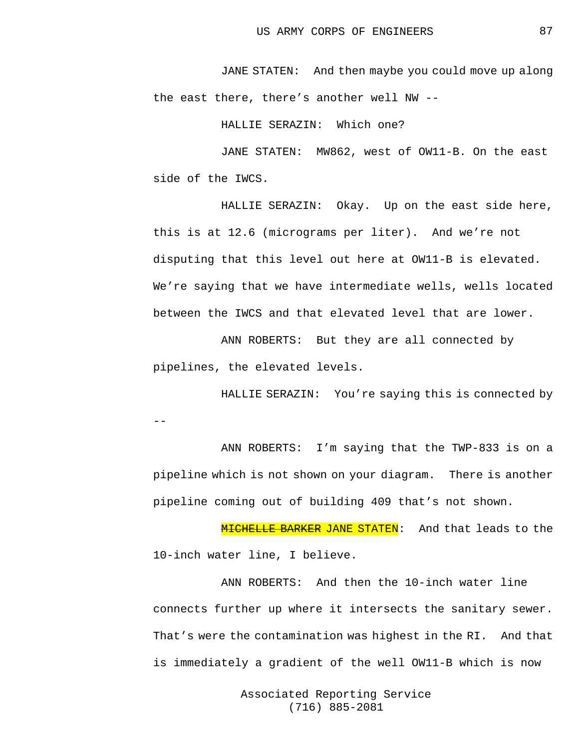JANE STATEN: And then maybe you could move up along the east there, there's another well NW --

HALLIE SERAZIN: Which one?

JANE STATEN: MW862, west of OW11-B. On the east side of the IWCS.

HALLIE SERAZIN: Okay. Up on the east side here, this is at 12.6 (micrograms per liter). And we're not disputing that this level out here at OW11-B is elevated. We're saying that we have intermediate wells, wells located between the IWCS and that elevated level that are lower.

ANN ROBERTS: But they are all connected by pipelines, the elevated levels.

HALLIE SERAZIN: You're saying this is connected by  $-$ 

ANN ROBERTS: I'm saying that the TWP-833 is on a pipeline which is not shown on your diagram. There is another pipeline coming out of building 409 that's not shown.

MICHELLE BARKER JANE STATEN: And that leads to the 10-inch water line, I believe.

ANN ROBERTS: And then the 10-inch water line connects further up where it intersects the sanitary sewer. That's were the contamination was highest in the RI. And that is immediately a gradient of the well OW11-B which is now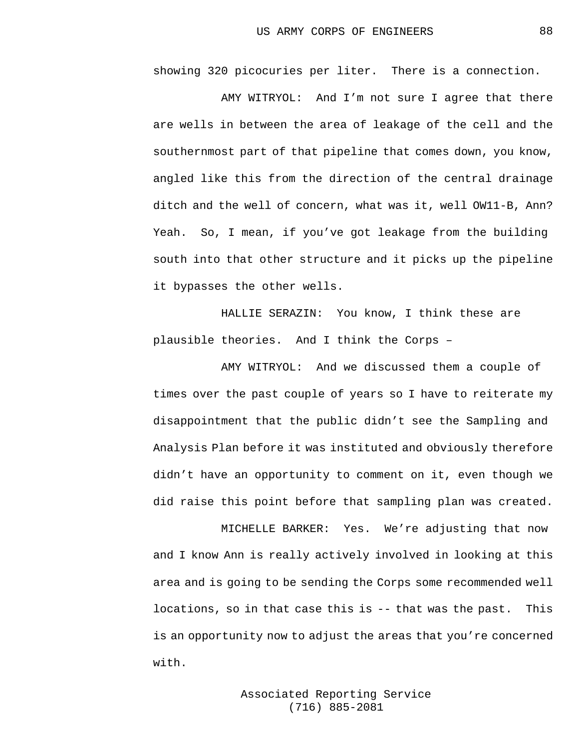showing 320 picocuries per liter. There is a connection.

AMY WITRYOL: And I'm not sure I agree that there are wells in between the area of leakage of the cell and the southernmost part of that pipeline that comes down, you know, angled like this from the direction of the central drainage ditch and the well of concern, what was it, well OW11-B, Ann? Yeah. So, I mean, if you've got leakage from the building south into that other structure and it picks up the pipeline it bypasses the other wells.

HALLIE SERAZIN: You know, I think these are plausible theories. And I think the Corps –

AMY WITRYOL: And we discussed them a couple of times over the past couple of years so I have to reiterate my disappointment that the public didn't see the Sampling and Analysis Plan before it was instituted and obviously therefore didn't have an opportunity to comment on it, even though we did raise this point before that sampling plan was created.

MICHELLE BARKER: Yes. We're adjusting that now and I know Ann is really actively involved in looking at this area and is going to be sending the Corps some recommended well locations, so in that case this is -- that was the past. This is an opportunity now to adjust the areas that you're concerned with.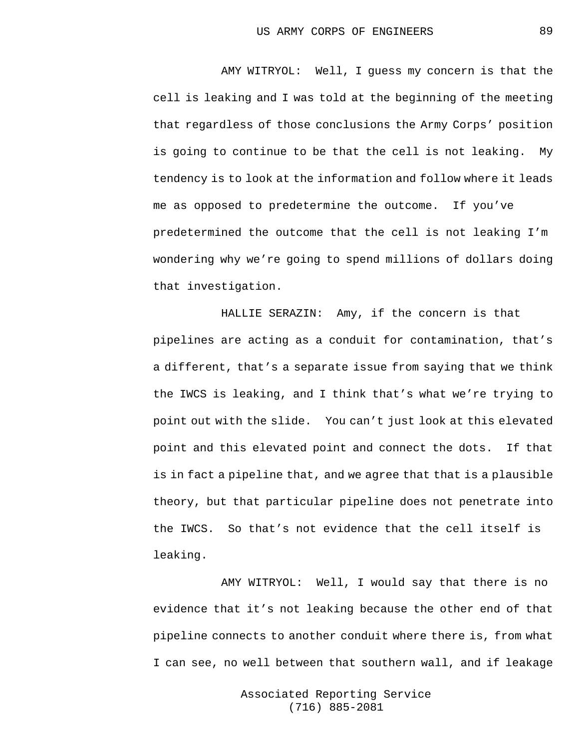AMY WITRYOL: Well, I guess my concern is that the cell is leaking and I was told at the beginning of the meeting that regardless of those conclusions the Army Corps' position is going to continue to be that the cell is not leaking. My tendency is to look at the information and follow where it leads me as opposed to predetermine the outcome. If you've predetermined the outcome that the cell is not leaking I'm wondering why we're going to spend millions of dollars doing that investigation.

HALLIE SERAZIN: Amy, if the concern is that pipelines are acting as a conduit for contamination, that's a different, that's a separate issue from saying that we think the IWCS is leaking, and I think that's what we're trying to point out with the slide. You can't just look at this elevated point and this elevated point and connect the dots. If that is in fact a pipeline that, and we agree that that is a plausible theory, but that particular pipeline does not penetrate into the IWCS. So that's not evidence that the cell itself is leaking.

AMY WITRYOL: Well, I would say that there is no evidence that it's not leaking because the other end of that pipeline connects to another conduit where there is, from what I can see, no well between that southern wall, and if leakage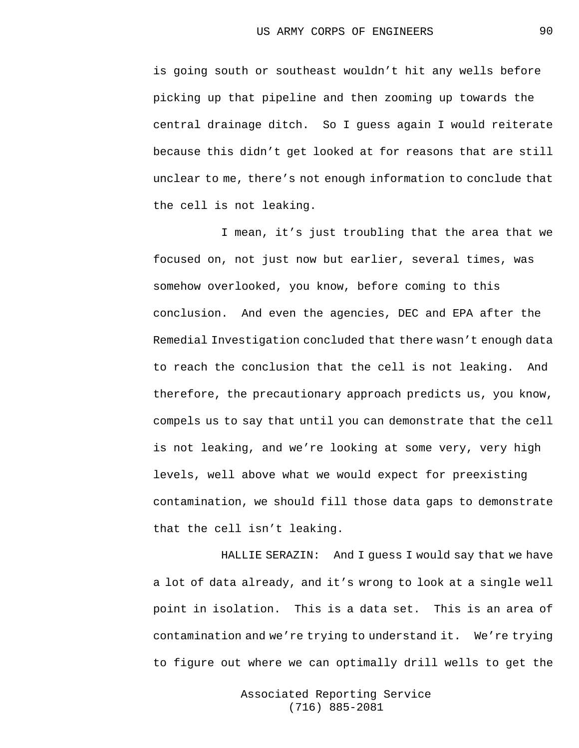is going south or southeast wouldn't hit any wells before picking up that pipeline and then zooming up towards the central drainage ditch. So I guess again I would reiterate because this didn't get looked at for reasons that are still unclear to me, there's not enough information to conclude that the cell is not leaking.

I mean, it's just troubling that the area that we focused on, not just now but earlier, several times, was somehow overlooked, you know, before coming to this conclusion. And even the agencies, DEC and EPA after the Remedial Investigation concluded that there wasn't enough data to reach the conclusion that the cell is not leaking. And therefore, the precautionary approach predicts us, you know, compels us to say that until you can demonstrate that the cell is not leaking, and we're looking at some very, very high levels, well above what we would expect for preexisting contamination, we should fill those data gaps to demonstrate that the cell isn't leaking.

HALLIE SERAZIN: And I guess I would say that we have a lot of data already, and it's wrong to look at a single well point in isolation. This is a data set. This is an area of contamination and we're trying to understand it. We're trying to figure out where we can optimally drill wells to get the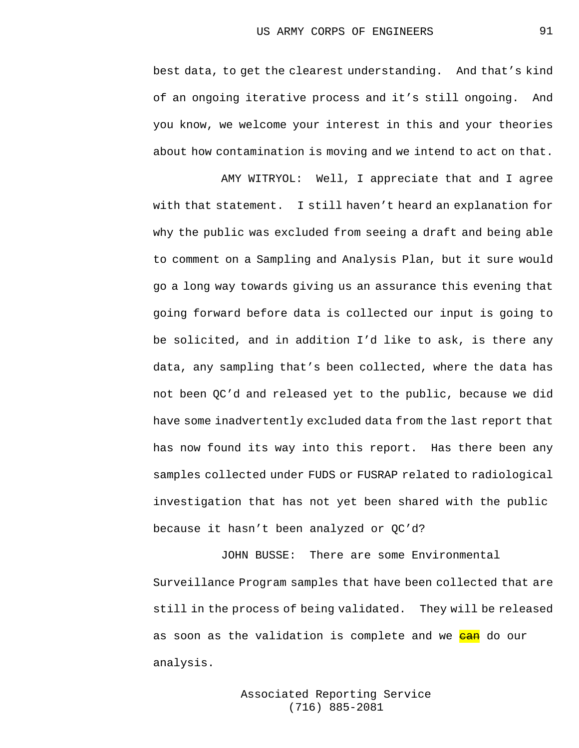best data, to get the clearest understanding. And that's kind of an ongoing iterative process and it's still ongoing. And you know, we welcome your interest in this and your theories about how contamination is moving and we intend to act on that.

AMY WITRYOL: Well, I appreciate that and I agree with that statement. I still haven't heard an explanation for why the public was excluded from seeing a draft and being able to comment on a Sampling and Analysis Plan, but it sure would go a long way towards giving us an assurance this evening that going forward before data is collected our input is going to be solicited, and in addition I'd like to ask, is there any data, any sampling that's been collected, where the data has not been QC'd and released yet to the public, because we did have some inadvertently excluded data from the last report that has now found its way into this report. Has there been any samples collected under FUDS or FUSRAP related to radiological investigation that has not yet been shared with the public because it hasn't been analyzed or QC'd?

JOHN BUSSE: There are some Environmental Surveillance Program samples that have been collected that are still in the process of being validated. They will be released as soon as the validation is complete and we ean do our analysis.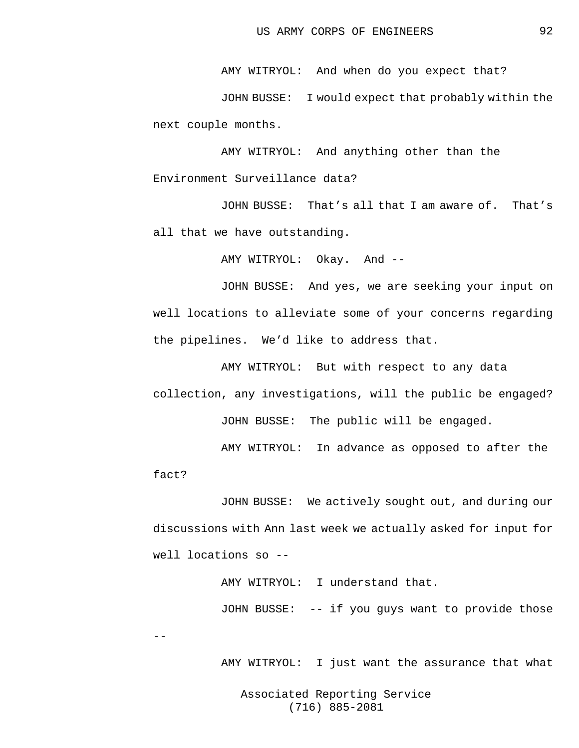AMY WITRYOL: And when do you expect that?

JOHN BUSSE: I would expect that probably within the next couple months.

AMY WITRYOL: And anything other than the Environment Surveillance data?

JOHN BUSSE: That's all that I am aware of. That's all that we have outstanding.

AMY WITRYOL: Okay. And --

JOHN BUSSE: And yes, we are seeking your input on well locations to alleviate some of your concerns regarding the pipelines. We'd like to address that.

AMY WITRYOL: But with respect to any data collection, any investigations, will the public be engaged?

JOHN BUSSE: The public will be engaged.

AMY WITRYOL: In advance as opposed to after the fact?

JOHN BUSSE: We actively sought out, and during our discussions with Ann last week we actually asked for input for well locations so --

> AMY WITRYOL: I understand that. JOHN BUSSE: -- if you guys want to provide those

 $-$ 

AMY WITRYOL: I just want the assurance that what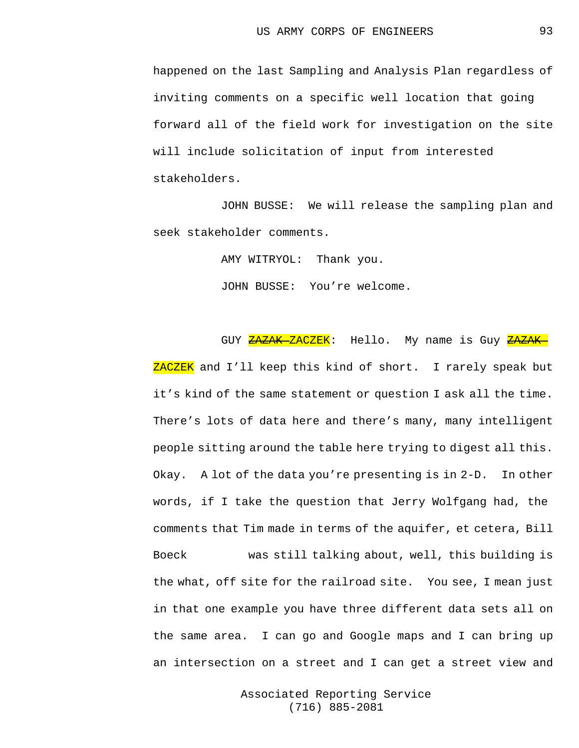happened on the last Sampling and Analysis Plan regardless of inviting comments on a specific well location that going forward all of the field work for investigation on the site will include solicitation of input from interested stakeholders.

JOHN BUSSE: We will release the sampling plan and seek stakeholder comments.

> AMY WITRYOL: Thank you. JOHN BUSSE: You're welcome.

GUY <mark>ZAZAK-ZACZEK</mark>: Hello. My name is Guy <mark>ZAZAK-</mark> ZACZEK and I'll keep this kind of short. I rarely speak but it's kind of the same statement or question I ask all the time. There's lots of data here and there's many, many intelligent people sitting around the table here trying to digest all this. Okay. A lot of the data you're presenting is in 2-D. In other words, if I take the question that Jerry Wolfgang had, the comments that Tim made in terms of the aquifer, et cetera, Bill Boeck was still talking about, well, this building is the what, off site for the railroad site. You see, I mean just in that one example you have three different data sets all on the same area. I can go and Google maps and I can bring up an intersection on a street and I can get a street view and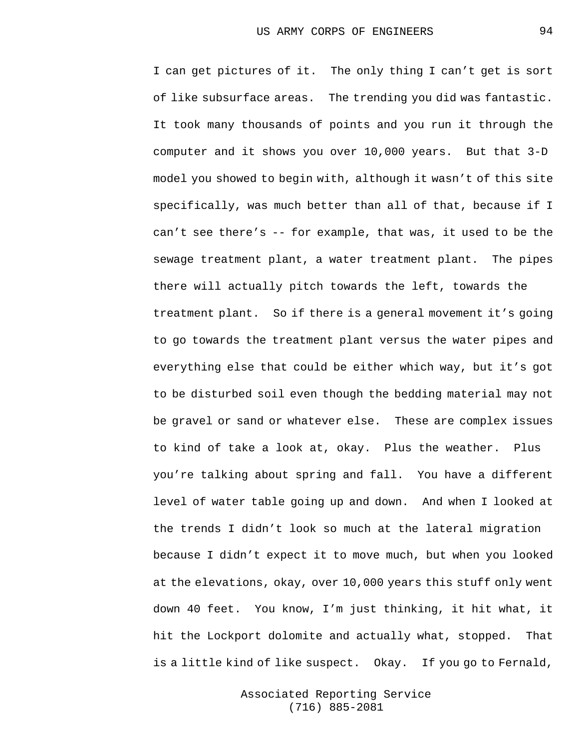I can get pictures of it. The only thing I can't get is sort of like subsurface areas. The trending you did was fantastic. It took many thousands of points and you run it through the computer and it shows you over 10,000 years. But that 3-D model you showed to begin with, although it wasn't of this site specifically, was much better than all of that, because if I can't see there's -- for example, that was, it used to be the sewage treatment plant, a water treatment plant. The pipes there will actually pitch towards the left, towards the treatment plant. So if there is a general movement it's going to go towards the treatment plant versus the water pipes and everything else that could be either which way, but it's got to be disturbed soil even though the bedding material may not be gravel or sand or whatever else. These are complex issues to kind of take a look at, okay. Plus the weather. Plus you're talking about spring and fall. You have a different level of water table going up and down. And when I looked at the trends I didn't look so much at the lateral migration because I didn't expect it to move much, but when you looked at the elevations, okay, over 10,000 years this stuff only went down 40 feet. You know, I'm just thinking, it hit what, it hit the Lockport dolomite and actually what, stopped. That is a little kind of like suspect. Okay. If you go to Fernald,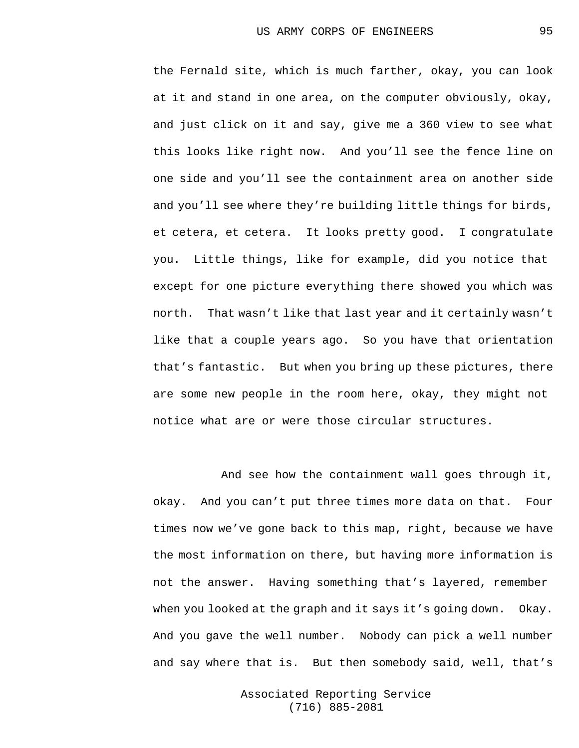the Fernald site, which is much farther, okay, you can look at it and stand in one area, on the computer obviously, okay, and just click on it and say, give me a 360 view to see what this looks like right now. And you'll see the fence line on one side and you'll see the containment area on another side and you'll see where they're building little things for birds, et cetera, et cetera. It looks pretty good. I congratulate you. Little things, like for example, did you notice that except for one picture everything there showed you which was north. That wasn't like that last year and it certainly wasn't like that a couple years ago. So you have that orientation that's fantastic. But when you bring up these pictures, there are some new people in the room here, okay, they might not notice what are or were those circular structures.

And see how the containment wall goes through it, okay. And you can't put three times more data on that. Four times now we've gone back to this map, right, because we have the most information on there, but having more information is not the answer. Having something that's layered, remember when you looked at the graph and it says it's going down. Okay. And you gave the well number. Nobody can pick a well number and say where that is. But then somebody said, well, that's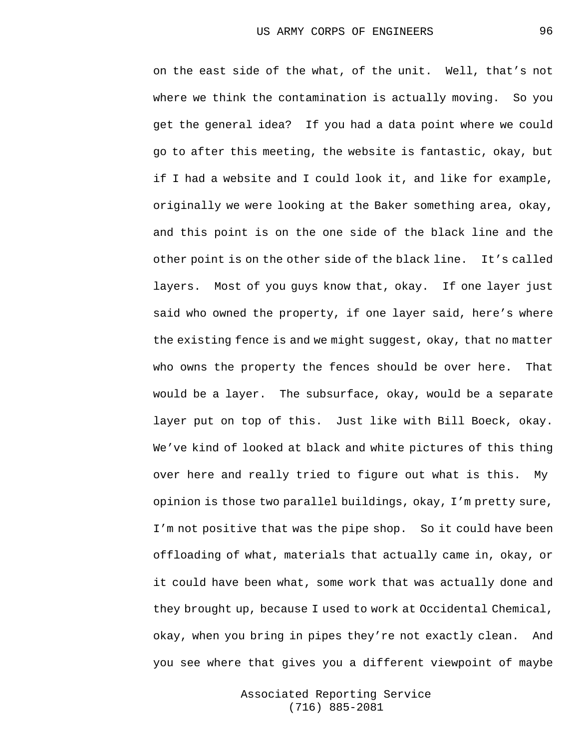on the east side of the what, of the unit. Well, that's not where we think the contamination is actually moving. So you get the general idea? If you had a data point where we could go to after this meeting, the website is fantastic, okay, but if I had a website and I could look it, and like for example, originally we were looking at the Baker something area, okay, and this point is on the one side of the black line and the other point is on the other side of the black line. It's called layers. Most of you guys know that, okay. If one layer just said who owned the property, if one layer said, here's where the existing fence is and we might suggest, okay, that no matter who owns the property the fences should be over here. That would be a layer. The subsurface, okay, would be a separate layer put on top of this. Just like with Bill Boeck, okay. We've kind of looked at black and white pictures of this thing over here and really tried to figure out what is this. My opinion is those two parallel buildings, okay, I'm pretty sure, I'm not positive that was the pipe shop. So it could have been offloading of what, materials that actually came in, okay, or it could have been what, some work that was actually done and they brought up, because I used to work at Occidental Chemical, okay, when you bring in pipes they're not exactly clean. And you see where that gives you a different viewpoint of maybe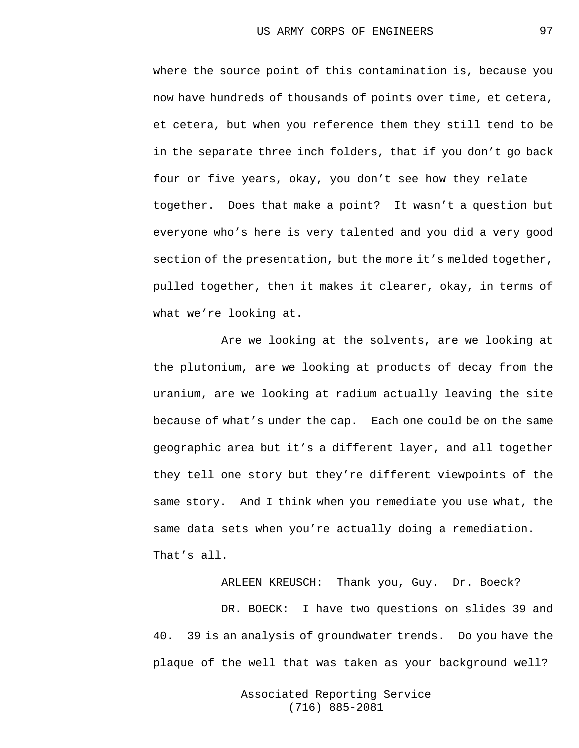where the source point of this contamination is, because you now have hundreds of thousands of points over time, et cetera, et cetera, but when you reference them they still tend to be in the separate three inch folders, that if you don't go back four or five years, okay, you don't see how they relate together. Does that make a point? It wasn't a question but everyone who's here is very talented and you did a very good section of the presentation, but the more it's melded together, pulled together, then it makes it clearer, okay, in terms of what we're looking at.

Are we looking at the solvents, are we looking at the plutonium, are we looking at products of decay from the uranium, are we looking at radium actually leaving the site because of what's under the cap. Each one could be on the same geographic area but it's a different layer, and all together they tell one story but they're different viewpoints of the same story. And I think when you remediate you use what, the same data sets when you're actually doing a remediation. That's all.

ARLEEN KREUSCH: Thank you, Guy. Dr. Boeck? DR. BOECK: I have two questions on slides 39 and 40. 39 is an analysis of groundwater trends. Do you have the plaque of the well that was taken as your background well?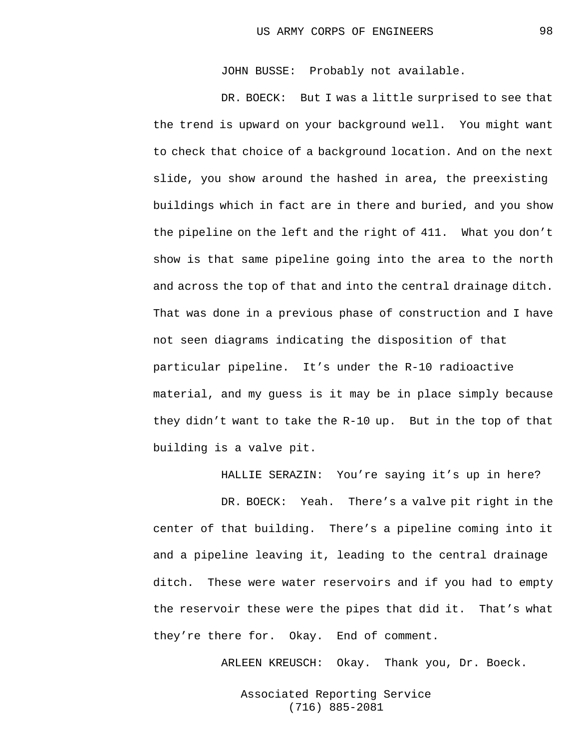JOHN BUSSE: Probably not available.

DR. BOECK: But I was a little surprised to see that the trend is upward on your background well. You might want to check that choice of a background location. And on the next slide, you show around the hashed in area, the preexisting buildings which in fact are in there and buried, and you show the pipeline on the left and the right of 411. What you don't show is that same pipeline going into the area to the north and across the top of that and into the central drainage ditch. That was done in a previous phase of construction and I have not seen diagrams indicating the disposition of that particular pipeline. It's under the R-10 radioactive material, and my guess is it may be in place simply because they didn't want to take the R-10 up. But in the top of that building is a valve pit.

HALLIE SERAZIN: You're saying it's up in here?

DR. BOECK: Yeah. There's a valve pit right in the center of that building. There's a pipeline coming into it and a pipeline leaving it, leading to the central drainage ditch. These were water reservoirs and if you had to empty the reservoir these were the pipes that did it. That's what they're there for. Okay. End of comment.

ARLEEN KREUSCH: Okay. Thank you, Dr. Boeck.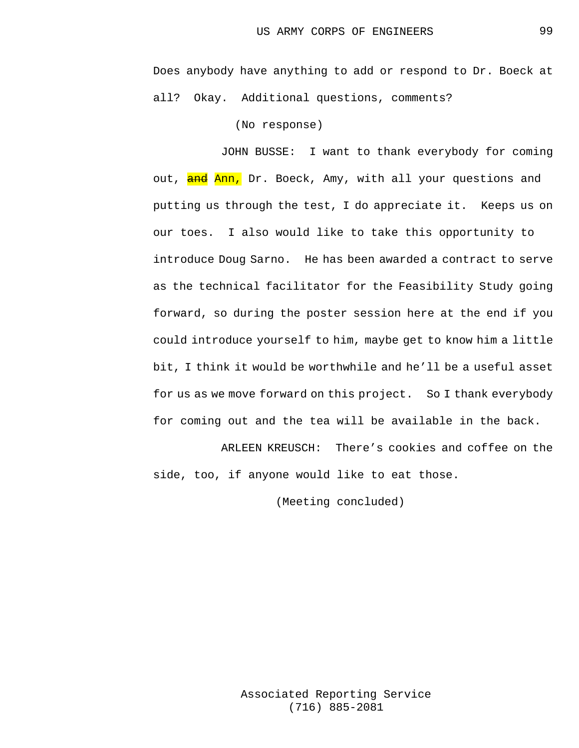Does anybody have anything to add or respond to Dr. Boeck at all? Okay. Additional questions, comments?

(No response)

JOHN BUSSE: I want to thank everybody for coming out, and Ann, Dr. Boeck, Amy, with all your questions and putting us through the test, I do appreciate it. Keeps us on our toes. I also would like to take this opportunity to introduce Doug Sarno. He has been awarded a contract to serve as the technical facilitator for the Feasibility Study going forward, so during the poster session here at the end if you could introduce yourself to him, maybe get to know him a little bit, I think it would be worthwhile and he'll be a useful asset for us as we move forward on this project. So I thank everybody for coming out and the tea will be available in the back.

ARLEEN KREUSCH: There's cookies and coffee on the side, too, if anyone would like to eat those.

(Meeting concluded)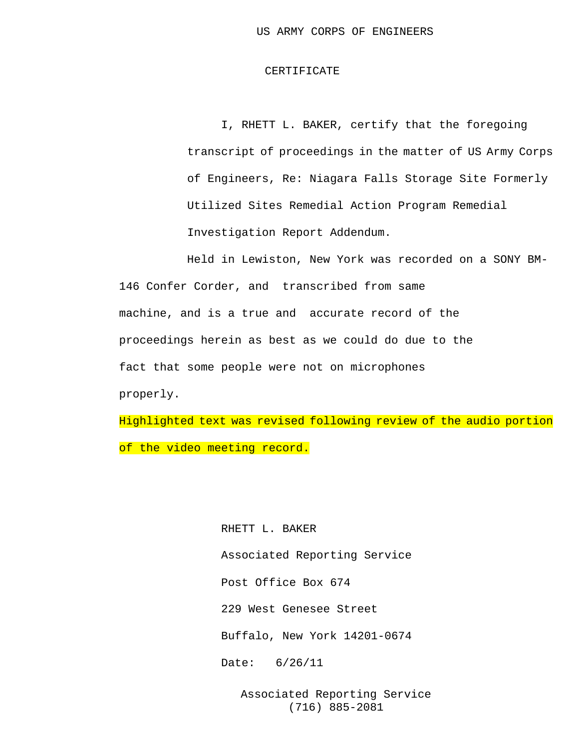## CERTIFICATE

I, RHETT L. BAKER, certify that the foregoing transcript of proceedings in the matter of US Army Corps of Engineers, Re: Niagara Falls Storage Site Formerly Utilized Sites Remedial Action Program Remedial Investigation Report Addendum.

 Held in Lewiston, New York was recorded on a SONY BM-146 Confer Corder, and transcribed from same machine, and is a true and accurate record of the proceedings herein as best as we could do due to the fact that some people were not on microphones properly.

Highlighted text was revised following review of the audio portion of the video meeting record.

> RHETT L. BAKER Associated Reporting Service Post Office Box 674 229 West Genesee Street Buffalo, New York 14201-0674 Date: 6/26/11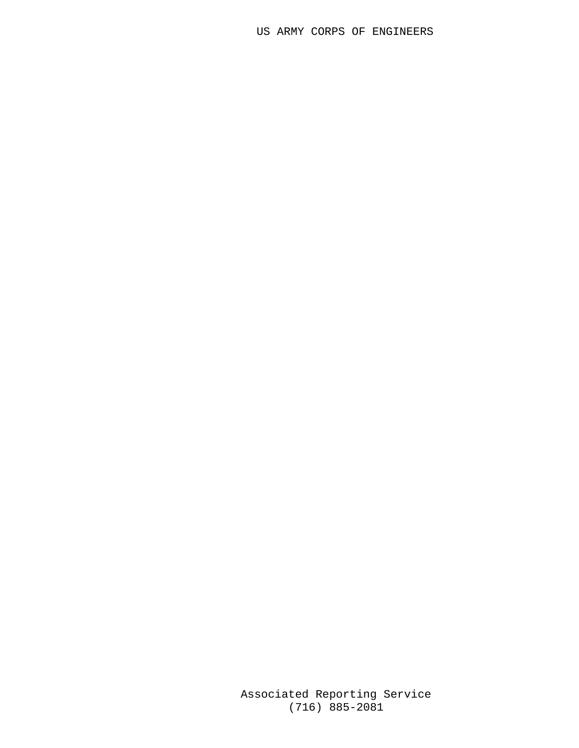US ARMY CORPS OF ENGINEERS